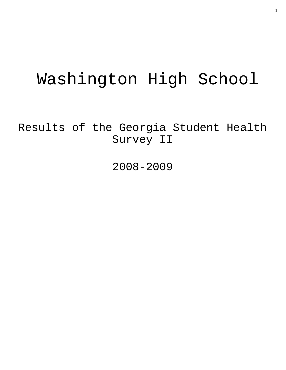# Washington High School

Results of the Georgia Student Health Survey II

2008-2009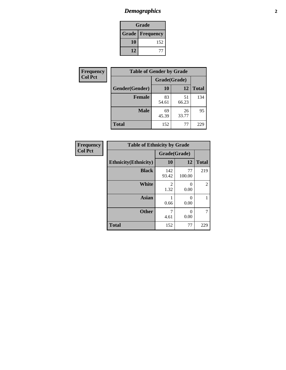# *Demographics* **2**

| Grade                    |     |  |  |
|--------------------------|-----|--|--|
| <b>Grade   Frequency</b> |     |  |  |
| 10                       | 152 |  |  |
| 12                       |     |  |  |

| <b>Frequency</b> | <b>Table of Gender by Grade</b> |              |             |              |  |  |
|------------------|---------------------------------|--------------|-------------|--------------|--|--|
| <b>Col Pct</b>   |                                 | Grade(Grade) |             |              |  |  |
|                  | Gender(Gender)                  | <b>10</b>    | 12          | <b>Total</b> |  |  |
|                  | <b>Female</b>                   | 83<br>54.61  | 51<br>66.23 | 134          |  |  |
|                  | <b>Male</b>                     | 69<br>45.39  | 26<br>33.77 | 95           |  |  |
|                  | <b>Total</b>                    | 152          | 77          | 229          |  |  |

| <b>Frequency</b> |
|------------------|
| <b>Col Pct</b>   |

| <b>Table of Ethnicity by Grade</b> |              |              |              |  |  |  |
|------------------------------------|--------------|--------------|--------------|--|--|--|
|                                    | Grade(Grade) |              |              |  |  |  |
| <b>Ethnicity</b> (Ethnicity)       | 10           | 12           | <b>Total</b> |  |  |  |
| <b>Black</b>                       | 142<br>93.42 | 77<br>100.00 | 219          |  |  |  |
| White                              | 2<br>1.32    | 0<br>0.00    | 2            |  |  |  |
| <b>Asian</b>                       | 0.66         | 0<br>0.00    |              |  |  |  |
| <b>Other</b>                       | 7<br>4.61    | 0<br>0.00    | 7            |  |  |  |
| <b>Total</b>                       | 152          | 77           | 229          |  |  |  |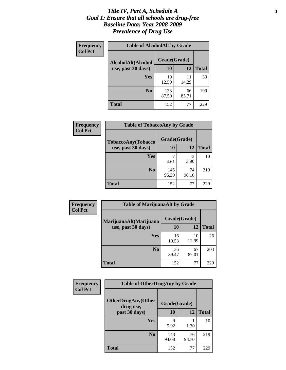#### *Title IV, Part A, Schedule A* **3** *Goal 1: Ensure that all schools are drug-free Baseline Data: Year 2008-2009 Prevalence of Drug Use*

| Frequency<br><b>Col Pct</b> | <b>Table of AlcoholAlt by Grade</b> |              |             |              |  |  |
|-----------------------------|-------------------------------------|--------------|-------------|--------------|--|--|
|                             | AlcoholAlt(Alcohol                  | Grade(Grade) |             |              |  |  |
|                             | use, past 30 days)                  | 10           | 12          | <b>Total</b> |  |  |
|                             | Yes                                 | 19<br>12.50  | 11<br>14.29 | 30           |  |  |
|                             | N <sub>0</sub>                      | 133<br>87.50 | 66<br>85.71 | 199          |  |  |
|                             | <b>Total</b>                        | 152          | 77          | 229          |  |  |

| Frequency      | <b>Table of TobaccoAny by Grade</b> |              |             |              |
|----------------|-------------------------------------|--------------|-------------|--------------|
| <b>Col Pct</b> | TobaccoAny(Tobacco                  | Grade(Grade) |             |              |
|                | use, past 30 days)                  | <b>10</b>    | 12          | <b>Total</b> |
|                | Yes                                 | 4.61         | 3<br>3.90   | 10           |
|                | N <sub>0</sub>                      | 145<br>95.39 | 74<br>96.10 | 219          |
|                | Total                               | 152          | 77          | 229          |

| Frequency<br><b>Col Pct</b> | <b>Table of MarijuanaAlt by Grade</b> |              |             |              |  |
|-----------------------------|---------------------------------------|--------------|-------------|--------------|--|
|                             | MarijuanaAlt(Marijuana                | Grade(Grade) |             |              |  |
|                             | use, past 30 days)                    | 10           | 12          | <b>Total</b> |  |
|                             | <b>Yes</b>                            | 16<br>10.53  | 10<br>12.99 | 26           |  |
|                             | N <sub>0</sub>                        | 136<br>89.47 | 67<br>87.01 | 203          |  |
|                             | <b>Total</b>                          | 152          | 77          | 229          |  |

| <b>Frequency</b><br><b>Col Pct</b> | <b>Table of OtherDrugAny by Grade</b>  |              |             |              |  |
|------------------------------------|----------------------------------------|--------------|-------------|--------------|--|
|                                    | <b>OtherDrugAny(Other</b><br>drug use, | Grade(Grade) |             |              |  |
|                                    | past 30 days)                          | 10           | 12          | <b>Total</b> |  |
|                                    | Yes                                    | q<br>5.92    | 1.30        | 10           |  |
|                                    | N <sub>0</sub>                         | 143<br>94.08 | 76<br>98.70 | 219          |  |
|                                    | <b>Total</b>                           | 152          | 77          | 229          |  |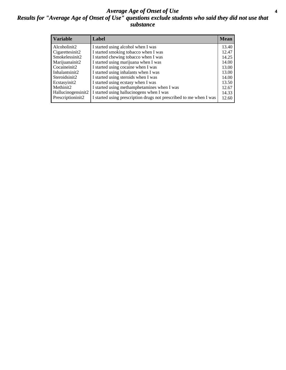#### *Average Age of Onset of Use* **4** *Results for "Average Age of Onset of Use" questions exclude students who said they did not use that substance*

| <b>Variable</b>    | Label                                                              | <b>Mean</b> |
|--------------------|--------------------------------------------------------------------|-------------|
| Alcoholinit2       | I started using alcohol when I was                                 | 13.40       |
| Cigarettesinit2    | I started smoking tobacco when I was                               | 12.47       |
| Smokelessinit2     | I started chewing tobacco when I was                               | 14.25       |
| Marijuanainit2     | I started using marijuana when I was                               | 14.00       |
| Cocaineinit2       | I started using cocaine when I was                                 | 13.00       |
| Inhalantsinit2     | I started using inhalants when I was                               | 13.00       |
| Steroidsinit2      | I started using steroids when I was                                | 14.00       |
| Ecstasyinit2       | I started using ecstasy when I was                                 | 13.50       |
| Methinit2          | I started using methamphetamines when I was                        | 12.67       |
| Hallucinogensinit2 | I started using hallucinogens when I was                           | 14.33       |
| Prescriptioninit2  | I started using prescription drugs not prescribed to me when I was | 12.60       |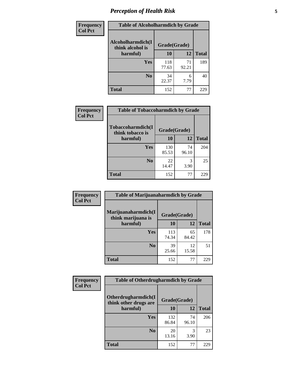# *Perception of Health Risk* **5**

| Frequency      | <b>Table of Alcoholharmdich by Grade</b> |              |             |              |
|----------------|------------------------------------------|--------------|-------------|--------------|
| <b>Col Pct</b> | Alcoholharmdich(I<br>think alcohol is    | Grade(Grade) |             |              |
|                | harmful)                                 | 10           | 12          | <b>Total</b> |
|                | Yes                                      | 118<br>77.63 | 71<br>92.21 | 189          |
|                | N <sub>0</sub>                           | 34<br>22.37  | 6<br>7.79   | 40           |
|                | <b>Total</b>                             | 152          | 77          | 229          |

| Frequency      | <b>Table of Tobaccoharmdich by Grade</b> |              |             |              |
|----------------|------------------------------------------|--------------|-------------|--------------|
| <b>Col Pct</b> | Tobaccoharmdich(I<br>think tobacco is    | Grade(Grade) |             |              |
|                | harmful)                                 | 10           | 12          | <b>Total</b> |
|                | Yes                                      | 130<br>85.53 | 74<br>96.10 | 204          |
|                | N <sub>0</sub>                           | 22<br>14.47  | 3<br>3.90   | 25           |
|                | <b>Total</b>                             | 152          | 77          | 229          |

| Frequency      | <b>Table of Marijuanaharmdich by Grade</b> |              |             |              |  |
|----------------|--------------------------------------------|--------------|-------------|--------------|--|
| <b>Col Pct</b> | Marijuanaharmdich(I<br>think marijuana is  | Grade(Grade) |             |              |  |
|                | harmful)                                   | <b>10</b>    | <b>12</b>   | <b>Total</b> |  |
|                | Yes                                        | 113<br>74.34 | 65<br>84.42 | 178          |  |
|                | N <sub>0</sub>                             | 39<br>25.66  | 12<br>15.58 | 51           |  |
|                | <b>Total</b>                               | 152          | 77          | 229          |  |

| Frequency      | <b>Table of Otherdrugharmdich by Grade</b>   |              |             |              |
|----------------|----------------------------------------------|--------------|-------------|--------------|
| <b>Col Pct</b> | Otherdrugharmdich(I<br>think other drugs are | Grade(Grade) |             |              |
|                | harmful)                                     | 10           | 12          | <b>Total</b> |
|                | <b>Yes</b>                                   | 132<br>86.84 | 74<br>96.10 | 206          |
|                | N <sub>0</sub>                               | 20<br>13.16  | 3.90        | 23           |
|                | <b>Total</b>                                 | 152          | 77          | 229          |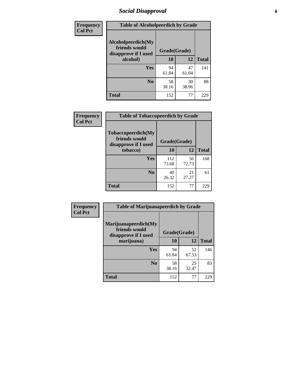### *Social Disapproval* **6**

| <b>Frequency</b> | <b>Table of Alcoholpeerdich by Grade</b>                    |              |             |              |  |  |
|------------------|-------------------------------------------------------------|--------------|-------------|--------------|--|--|
| <b>Col Pct</b>   | Alcoholpeerdich(My<br>friends would<br>disapprove if I used | Grade(Grade) |             |              |  |  |
|                  | alcohol)                                                    | 10           | 12          | <b>Total</b> |  |  |
|                  | <b>Yes</b>                                                  | 94<br>61.84  | 47<br>61.04 | 141          |  |  |
|                  | N <sub>0</sub>                                              | 58<br>38.16  | 30<br>38.96 | 88           |  |  |
|                  | <b>Total</b>                                                | 152          | 77          | 229          |  |  |

| <b>Frequency</b> |
|------------------|
| <b>Col Pct</b>   |

|                                                             | <b>Table of Tobaccopeerdich by Grade</b> |             |              |  |  |
|-------------------------------------------------------------|------------------------------------------|-------------|--------------|--|--|
| Tobaccopeerdich(My<br>friends would<br>disapprove if I used | Grade(Grade)                             |             |              |  |  |
| tobacco)                                                    | 10                                       | 12          | <b>Total</b> |  |  |
| Yes                                                         | 112<br>73.68                             | 56<br>72.73 | 168          |  |  |
| $\bf N$ <sub>0</sub>                                        | 40<br>26.32                              | 21<br>27.27 | 61           |  |  |
| <b>Total</b>                                                | 152                                      | 77          | 229          |  |  |

| Frequency      | <b>Table of Marijuanapeerdich by Grade</b>                    |              |             |              |  |  |
|----------------|---------------------------------------------------------------|--------------|-------------|--------------|--|--|
| <b>Col Pct</b> | Marijuanapeerdich(My<br>friends would<br>disapprove if I used | Grade(Grade) |             |              |  |  |
|                | marijuana)                                                    | 10           | 12          | <b>Total</b> |  |  |
|                | <b>Yes</b>                                                    | 94<br>61.84  | 52<br>67.53 | 146          |  |  |
|                | N <sub>0</sub>                                                | 58<br>38.16  | 25<br>32.47 | 83           |  |  |
|                | <b>Total</b>                                                  | 152          | 77          | 229          |  |  |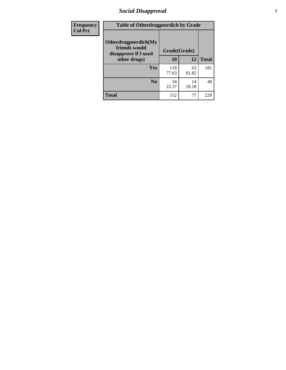# *Social Disapproval* **7**

| Frequency      | <b>Table of Otherdrugpeerdich by Grade</b>                    |              |             |              |  |  |  |
|----------------|---------------------------------------------------------------|--------------|-------------|--------------|--|--|--|
| <b>Col Pct</b> | Otherdrugpeerdich(My<br>friends would<br>disapprove if I used | Grade(Grade) |             |              |  |  |  |
|                | other drugs)                                                  | 10           | 12          | <b>Total</b> |  |  |  |
|                | Yes                                                           | 118<br>77.63 | 63<br>81.82 | 181          |  |  |  |
|                | N <sub>0</sub>                                                | 34<br>22.37  | 14<br>18.18 | 48           |  |  |  |
|                | <b>Total</b>                                                  | 152          | 77          | 229          |  |  |  |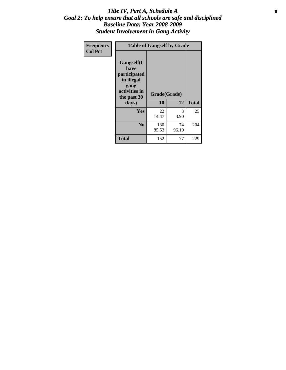#### Title IV, Part A, Schedule A **8** *Goal 2: To help ensure that all schools are safe and disciplined Baseline Data: Year 2008-2009 Student Involvement in Gang Activity*

| Frequency      | <b>Table of Gangself by Grade</b>                                                                 |                    |             |              |
|----------------|---------------------------------------------------------------------------------------------------|--------------------|-------------|--------------|
| <b>Col Pct</b> | Gangself(I<br>have<br>participated<br>in illegal<br>gang<br>activities in<br>the past 30<br>days) | Grade(Grade)<br>10 | 12          | <b>Total</b> |
|                | Yes                                                                                               | 22<br>14.47        | 3<br>3.90   | 25           |
|                | N <sub>0</sub>                                                                                    | 130<br>85.53       | 74<br>96.10 | 204          |
|                | <b>Total</b>                                                                                      | 152                | 77          | 229          |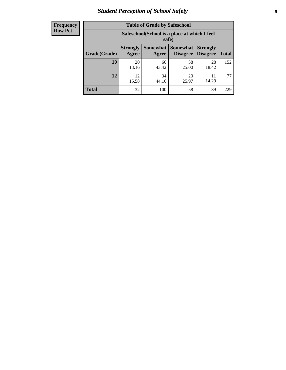# *Student Perception of School Safety* **9**

| <b>Frequency</b><br>Row Pct |
|-----------------------------|
|                             |

| <b>Table of Grade by Safeschool</b> |                                                                                                                            |                                                        |             |             |     |  |  |
|-------------------------------------|----------------------------------------------------------------------------------------------------------------------------|--------------------------------------------------------|-------------|-------------|-----|--|--|
|                                     |                                                                                                                            | Safeschool (School is a place at which I feel<br>safe) |             |             |     |  |  |
| Grade(Grade)                        | Somewhat   Somewhat<br><b>Strongly</b><br><b>Strongly</b><br><b>Disagree</b><br>Agree<br>Disagree<br><b>Total</b><br>Agree |                                                        |             |             |     |  |  |
| 10                                  | 20<br>13.16                                                                                                                | 66<br>43.42                                            | 38<br>25.00 | 28<br>18.42 | 152 |  |  |
| 12                                  | 12.<br>15.58                                                                                                               | 34<br>44.16                                            | 20<br>25.97 | 14.29       | 77  |  |  |
| <b>Total</b>                        | 32                                                                                                                         | 100                                                    | 58          | 39          | 229 |  |  |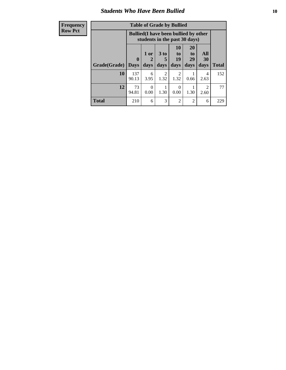### *Students Who Have Been Bullied* **10**

| <b>Frequency</b> | <b>Table of Grade by Bullied</b> |              |                                                                               |                                     |                        |                       |                        |              |
|------------------|----------------------------------|--------------|-------------------------------------------------------------------------------|-------------------------------------|------------------------|-----------------------|------------------------|--------------|
| <b>Row Pct</b>   |                                  |              | <b>Bullied</b> (I have been bullied by other<br>students in the past 30 days) |                                     |                        |                       |                        |              |
|                  |                                  | $\mathbf{0}$ | 1 or<br>2                                                                     | 3 <sub>to</sub><br>5                | 10<br>to  <br>19       | <b>20</b><br>to<br>29 | All<br>30              |              |
|                  | Grade(Grade)                     | <b>Days</b>  | days                                                                          | days                                | days                   | days                  | days                   | <b>Total</b> |
|                  | 10                               | 137<br>90.13 | 6<br>3.95                                                                     | $\mathcal{D}_{\mathcal{L}}$<br>1.32 | $\mathfrak{D}$<br>1.32 | 0.66                  | 4<br>2.63              | 152          |
|                  | 12                               | 73<br>94.81  | $\Omega$<br>0.00                                                              | 1.30                                | $\Omega$<br>0.00       | 1.30                  | $\mathfrak{D}$<br>2.60 | 77           |
|                  | <b>Total</b>                     | 210          | 6                                                                             | 3                                   | $\overline{2}$         | $\overline{2}$        | 6                      | 229          |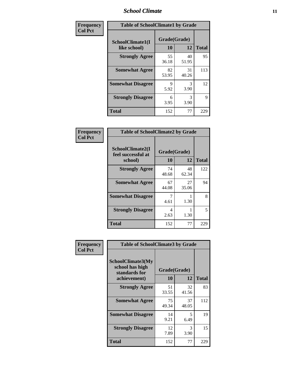### *School Climate* **11**

| Frequency      | <b>Table of SchoolClimate1 by Grade</b> |                    |             |              |
|----------------|-----------------------------------------|--------------------|-------------|--------------|
| <b>Col Pct</b> | SchoolClimate1(I<br>like school)        | Grade(Grade)<br>10 | 12          | <b>Total</b> |
|                | <b>Strongly Agree</b>                   | 55<br>36.18        | 40<br>51.95 | 95           |
|                | <b>Somewhat Agree</b>                   | 82<br>53.95        | 31<br>40.26 | 113          |
|                | <b>Somewhat Disagree</b>                | 9<br>5.92          | 3<br>3.90   | 12           |
|                | <b>Strongly Disagree</b>                | 6<br>3.95          | 3<br>3.90   | 9            |
|                | <b>Total</b>                            | 152                | 77          | 229          |

| Frequency<br><b>Col Pct</b> | <b>Table of SchoolClimate2 by Grade</b>           |                    |             |              |
|-----------------------------|---------------------------------------------------|--------------------|-------------|--------------|
|                             | SchoolClimate2(I<br>feel successful at<br>school) | Grade(Grade)<br>10 | 12          | <b>Total</b> |
|                             | <b>Strongly Agree</b>                             | 74<br>48.68        | 48<br>62.34 | 122          |
|                             | <b>Somewhat Agree</b>                             | 67<br>44.08        | 27<br>35.06 | 94           |
|                             | <b>Somewhat Disagree</b>                          | 4.61               | 1.30        | 8            |
|                             | <b>Strongly Disagree</b>                          | 4<br>2.63          | 1.30        | 5            |
|                             | <b>Total</b>                                      | 152                | 77          | 229          |

| Frequency | <b>Table of SchoolClimate3 by Grade</b>                      |              |             |              |
|-----------|--------------------------------------------------------------|--------------|-------------|--------------|
| Col Pct   | <b>SchoolClimate3(My</b><br>school has high<br>standards for | Grade(Grade) |             |              |
|           | achievement)                                                 | 10           | 12          | <b>Total</b> |
|           | <b>Strongly Agree</b>                                        | 51<br>33.55  | 32<br>41.56 | 83           |
|           | <b>Somewhat Agree</b>                                        | 75<br>49.34  | 37<br>48.05 | 112          |
|           | <b>Somewhat Disagree</b>                                     | 14<br>9.21   | 5<br>6.49   | 19           |
|           | <b>Strongly Disagree</b>                                     | 12<br>7.89   | 3<br>3.90   | 15           |
|           | Total                                                        | 152          | 77          | 229          |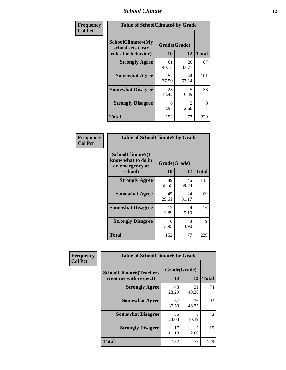#### *School Climate* **12**

| Frequency      | <b>Table of SchoolClimate4 by Grade</b>                              |                           |                                     |              |
|----------------|----------------------------------------------------------------------|---------------------------|-------------------------------------|--------------|
| <b>Col Pct</b> | <b>SchoolClimate4(My</b><br>school sets clear<br>rules for behavior) | Grade(Grade)<br><b>10</b> | 12                                  | <b>Total</b> |
|                | <b>Strongly Agree</b>                                                | 61<br>40.13               | 26<br>33.77                         | 87           |
|                | <b>Somewhat Agree</b>                                                | 57<br>37.50               | 44<br>57.14                         | 101          |
|                | <b>Somewhat Disagree</b>                                             | 28<br>18.42               | 5<br>6.49                           | 33           |
|                | <b>Strongly Disagree</b>                                             | 6<br>3.95                 | $\mathcal{D}_{\mathcal{L}}$<br>2.60 | 8            |
|                | Total                                                                | 152                       | 77                                  | 229          |

| <b>Table of SchoolClimate5 by Grade</b>                              |                    |             |              |  |
|----------------------------------------------------------------------|--------------------|-------------|--------------|--|
| SchoolClimate5(I<br>know what to do in<br>an emergency at<br>school) | Grade(Grade)<br>10 | 12          | <b>Total</b> |  |
| <b>Strongly Agree</b>                                                | 89<br>58.55        | 46<br>59.74 | 135          |  |
| <b>Somewhat Agree</b>                                                | 45<br>29.61        | 24<br>31.17 | 69           |  |
| <b>Somewhat Disagree</b>                                             | 12<br>7.89         | 4<br>5.19   | 16           |  |
| <b>Strongly Disagree</b>                                             | 6<br>3.95          | 3<br>3.90   | 9            |  |
| Total                                                                | 152                | 77          | 229          |  |

| <b>Frequency</b> | <b>Table of SchoolClimate6 by Grade</b>                  |                    |                        |              |
|------------------|----------------------------------------------------------|--------------------|------------------------|--------------|
| <b>Col Pct</b>   | <b>SchoolClimate6(Teachers</b><br>treat me with respect) | Grade(Grade)<br>10 | 12                     | <b>Total</b> |
|                  | <b>Strongly Agree</b>                                    | 43<br>28.29        | 31<br>40.26            | 74           |
|                  | <b>Somewhat Agree</b>                                    | 57<br>37.50        | 36<br>46.75            | 93           |
|                  | <b>Somewhat Disagree</b>                                 | 35<br>23.03        | 8<br>10.39             | 43           |
|                  | <b>Strongly Disagree</b>                                 | 17<br>11.18        | $\mathfrak{D}$<br>2.60 | 19           |
|                  | <b>Total</b>                                             | 152                | 77                     | 229          |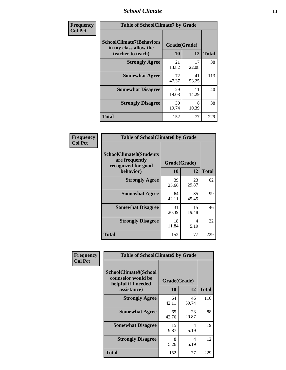#### *School Climate* **13**

| Frequency      | <b>Table of SchoolClimate7 by Grade</b>                                       |                           |             |              |
|----------------|-------------------------------------------------------------------------------|---------------------------|-------------|--------------|
| <b>Col Pct</b> | <b>SchoolClimate7(Behaviors</b><br>in my class allow the<br>teacher to teach) | Grade(Grade)<br><b>10</b> | 12          | <b>Total</b> |
|                | <b>Strongly Agree</b>                                                         | 21<br>13.82               | 17<br>22.08 | 38           |
|                | <b>Somewhat Agree</b>                                                         | 72<br>47.37               | 41<br>53.25 | 113          |
|                | <b>Somewhat Disagree</b>                                                      | 29<br>19.08               | 11<br>14.29 | 40           |
|                | <b>Strongly Disagree</b>                                                      | 30<br>19.74               | 8<br>10.39  | 38           |
|                | <b>Total</b>                                                                  | 152                       | 77          | 229          |

| Frequency      | <b>Table of SchoolClimate8 by Grade</b>                                 |              |             |              |
|----------------|-------------------------------------------------------------------------|--------------|-------------|--------------|
| <b>Col Pct</b> | <b>SchoolClimate8(Students</b><br>are frequently<br>recognized for good | Grade(Grade) |             |              |
|                | behavior)                                                               | 10           | 12          | <b>Total</b> |
|                | <b>Strongly Agree</b>                                                   | 39<br>25.66  | 23<br>29.87 | 62           |
|                | <b>Somewhat Agree</b>                                                   | 64<br>42.11  | 35<br>45.45 | 99           |
|                | <b>Somewhat Disagree</b>                                                | 31<br>20.39  | 15<br>19.48 | 46           |
|                | <b>Strongly Disagree</b>                                                | 18<br>11.84  | 4<br>5.19   | 22           |
|                | <b>Total</b>                                                            | 152          | 77          | 229          |

| Frequency      | <b>Table of SchoolClimate9 by Grade</b>                                           |                    |             |              |
|----------------|-----------------------------------------------------------------------------------|--------------------|-------------|--------------|
| <b>Col Pct</b> | SchoolClimate9(School<br>counselor would be<br>helpful if I needed<br>assistance) | Grade(Grade)<br>10 | 12          | <b>Total</b> |
|                | <b>Strongly Agree</b>                                                             | 64<br>42.11        | 46<br>59.74 | 110          |
|                | <b>Somewhat Agree</b>                                                             | 65<br>42.76        | 23<br>29.87 | 88           |
|                | <b>Somewhat Disagree</b>                                                          | 15<br>9.87         | 4<br>5.19   | 19           |
|                | <b>Strongly Disagree</b>                                                          | 8<br>5.26          | 4<br>5.19   | 12           |
|                | Total                                                                             | 152                | 77          | 229          |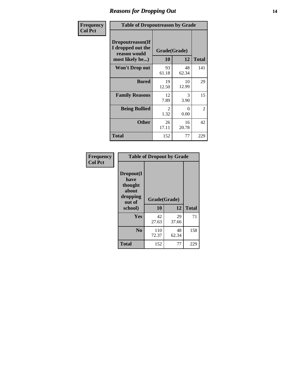### *Reasons for Dropping Out* **14**

| Frequency      | <b>Table of Dropoutreason by Grade</b>                                   |             |                    |              |
|----------------|--------------------------------------------------------------------------|-------------|--------------------|--------------|
| <b>Col Pct</b> | Dropoutreason(If<br>I dropped out the<br>reason would<br>most likely be) | 10          | Grade(Grade)<br>12 | <b>Total</b> |
|                | <b>Won't Drop out</b>                                                    | 93<br>61.18 | 48<br>62.34        | 141          |
|                | <b>Bored</b>                                                             | 19<br>12.50 | 10<br>12.99        | 29           |
|                | <b>Family Reasons</b>                                                    | 12<br>7.89  | 3<br>3.90          | 15           |
|                | <b>Being Bullied</b>                                                     | 2<br>1.32   | $\Omega$<br>0.00   | 2            |
|                | <b>Other</b>                                                             | 26<br>17.11 | 16<br>20.78        | 42           |
|                | <b>Total</b>                                                             | 152         | 77                 | 229          |

| Frequency<br><b>Col Pct</b> | <b>Table of Dropout by Grade</b>                            |                    |             |              |  |
|-----------------------------|-------------------------------------------------------------|--------------------|-------------|--------------|--|
|                             | Dropout(I<br>have<br>thought<br>about<br>dropping<br>out of | Grade(Grade)<br>10 | 12          | <b>Total</b> |  |
|                             | school)                                                     |                    |             |              |  |
|                             | Yes                                                         | 42<br>27.63        | 29<br>37.66 | 71           |  |
|                             | N <sub>0</sub>                                              | 110<br>72.37       | 48<br>62.34 | 158          |  |
|                             | <b>Total</b>                                                | 152                | 77          | 229          |  |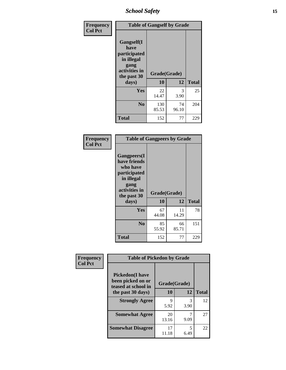*School Safety* **15**

| Frequency      | <b>Table of Gangself by Grade</b>                                                                 |                    |             |              |
|----------------|---------------------------------------------------------------------------------------------------|--------------------|-------------|--------------|
| <b>Col Pct</b> | Gangself(I<br>have<br>participated<br>in illegal<br>gang<br>activities in<br>the past 30<br>days) | Grade(Grade)<br>10 | 12          | <b>Total</b> |
|                | Yes                                                                                               | 22<br>14.47        | 3<br>3.90   | 25           |
|                | N <sub>0</sub>                                                                                    | 130<br>85.53       | 74<br>96.10 | 204          |
|                | <b>Total</b>                                                                                      | 152                | 77          | 229          |

| Frequency<br><b>Col Pct</b> | <b>Table of Gangpeers by Grade</b>                                                                                             |                    |             |              |
|-----------------------------|--------------------------------------------------------------------------------------------------------------------------------|--------------------|-------------|--------------|
|                             | <b>Gangpeers</b> (I<br>have friends<br>who have<br>participated<br>in illegal<br>gang<br>activities in<br>the past 30<br>days) | Grade(Grade)<br>10 | 12          | <b>Total</b> |
|                             | Yes                                                                                                                            | 67<br>44.08        | 11<br>14.29 | 78           |
|                             | N <sub>0</sub>                                                                                                                 | 85<br>55.92        | 66<br>85.71 | 151          |
|                             | <b>Total</b>                                                                                                                   | 152                | 77          | 229          |

| Frequency      | <b>Table of Pickedon by Grade</b>                                                       |                    |           |              |
|----------------|-----------------------------------------------------------------------------------------|--------------------|-----------|--------------|
| <b>Col Pct</b> | <b>Pickedon(I have</b><br>been picked on or<br>teased at school in<br>the past 30 days) | Grade(Grade)<br>10 | 12        | <b>Total</b> |
|                | <b>Strongly Agree</b>                                                                   | 9<br>5.92          | 3<br>3.90 | 12           |
|                | <b>Somewhat Agree</b>                                                                   | 20<br>13.16        | 9.09      | 27           |
|                | <b>Somewhat Disagree</b>                                                                | 17<br>11.18        | 5<br>6.49 | 22           |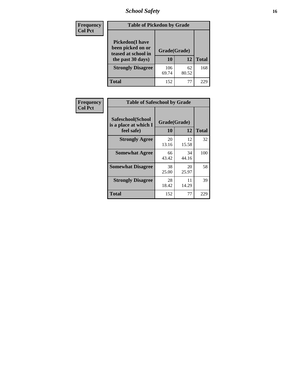# *School Safety* **16**

| <b>Frequency</b> |                                                                                          | <b>Table of Pickedon by Grade</b> |             |              |  |  |  |  |  |
|------------------|------------------------------------------------------------------------------------------|-----------------------------------|-------------|--------------|--|--|--|--|--|
| <b>Col Pct</b>   | <b>Pickedon</b> (I have<br>been picked on or<br>teased at school in<br>the past 30 days) | Grade(Grade)<br>10                | 12          | <b>Total</b> |  |  |  |  |  |
|                  | <b>Strongly Disagree</b>                                                                 | 106<br>69.74                      | 62<br>80.52 | 168          |  |  |  |  |  |
|                  | Total                                                                                    | 152                               | 77          | 229          |  |  |  |  |  |

| Frequency      | <b>Table of Safeschool by Grade</b>                      |                    |             |              |
|----------------|----------------------------------------------------------|--------------------|-------------|--------------|
| <b>Col Pct</b> | Safeschool(School<br>is a place at which I<br>feel safe) | Grade(Grade)<br>10 | 12          | <b>Total</b> |
|                | <b>Strongly Agree</b>                                    | 20<br>13.16        | 12<br>15.58 | 32           |
|                | <b>Somewhat Agree</b>                                    | 66<br>43.42        | 34<br>44.16 | 100          |
|                | <b>Somewhat Disagree</b>                                 | 38<br>25.00        | 20<br>25.97 | 58           |
|                | <b>Strongly Disagree</b>                                 | 28<br>18.42        | 11<br>14.29 | 39           |
|                | Total                                                    | 152                | 77          | 229          |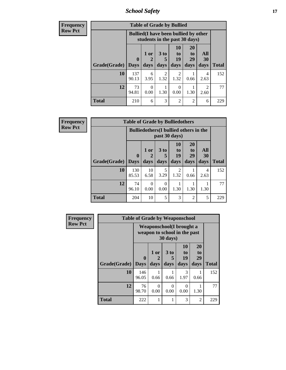*School Safety* **17**

| <b>Frequency</b> |                     |              | <b>Table of Grade by Bullied</b>                                              |                        |                        |                       |                  |              |
|------------------|---------------------|--------------|-------------------------------------------------------------------------------|------------------------|------------------------|-----------------------|------------------|--------------|
| <b>Row Pct</b>   |                     |              | <b>Bullied</b> (I have been bullied by other<br>students in the past 30 days) |                        |                        |                       |                  |              |
|                  |                     | $\mathbf 0$  | 1 or                                                                          | 3 <sub>to</sub><br>5   | 10<br>to<br>19         | <b>20</b><br>to<br>29 | All<br><b>30</b> |              |
|                  | Grade(Grade)   Days |              | days                                                                          | days                   | days                   | days                  | days             | <b>Total</b> |
|                  | 10                  | 137<br>90.13 | 6<br>3.95                                                                     | $\overline{2}$<br>1.32 | $\mathfrak{D}$<br>1.32 | 0.66                  | 4<br>2.63        | 152          |
|                  | 12                  | 73<br>94.81  | $\Omega$<br>0.00                                                              | 1.30                   | $\Omega$<br>0.00       | 1.30                  | 2<br>2.60        | 77           |
|                  | <b>Total</b>        | 210          | 6                                                                             | 3                      | $\overline{2}$         | $\overline{2}$        | 6                | 229          |

| <b>Frequency</b> |                     | <b>Table of Grade by Bulliedothers</b> |                                                                |                  |                                  |                               |                   |              |  |
|------------------|---------------------|----------------------------------------|----------------------------------------------------------------|------------------|----------------------------------|-------------------------------|-------------------|--------------|--|
| <b>Row Pct</b>   |                     |                                        | <b>Bulliedothers</b> (I bullied others in the<br>past 30 days) |                  |                                  |                               |                   |              |  |
|                  | Grade(Grade)   Days | $\mathbf{0}$                           | 1 or<br>days                                                   | 3 to<br>days     | 10<br>$\mathbf{t}$<br>19<br>days | <b>20</b><br>to<br>29<br>days | All<br>30<br>days | <b>Total</b> |  |
|                  |                     |                                        |                                                                |                  |                                  |                               |                   |              |  |
|                  | 10                  | 130<br>85.53                           | 10<br>6.58                                                     | 5<br>3.29        | 2<br>1.32                        | 0.66                          | 4<br>2.63         | 152          |  |
|                  | 12                  | 74<br>96.10                            | $\Omega$<br>0.00                                               | $\Omega$<br>0.00 | 1.30                             | 1.30                          | 1.30              | 77           |  |
|                  | <b>Total</b>        | 204                                    | 10                                                             | 5                | 3                                | 2                             | 5                 | 229          |  |

| <b>Frequency</b> |              | <b>Table of Grade by Weaponschool</b>                            |                   |                              |                               |                        |              |
|------------------|--------------|------------------------------------------------------------------|-------------------|------------------------------|-------------------------------|------------------------|--------------|
| <b>Row Pct</b>   |              | <b>Weaponschool</b> (I brought a<br>weapon to school in the past |                   |                              |                               |                        |              |
|                  | Grade(Grade) | $\bf{0}$<br><b>Days</b>                                          | 1 or<br>2<br>days | 3 <sub>to</sub><br>5<br>days | <b>10</b><br>to<br>19<br>days | 20<br>to<br>29<br>days | <b>Total</b> |
|                  | 10           | 146<br>96.05                                                     | 0.66              | 0.66                         | 3<br>1.97                     | 0.66                   | 152          |
|                  | 12           | 76<br>98.70                                                      | 0<br>0.00         | 0<br>0.00                    | 0<br>0.00                     | 1.30                   | 77           |
|                  | <b>Total</b> | 222                                                              |                   |                              | 3                             | $\overline{2}$         | 229          |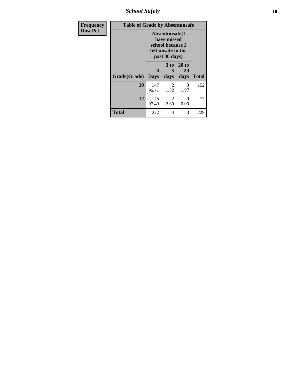*School Safety* **18**

| <b>Frequency</b> | <b>Table of Grade by Absentunsafe</b> |                  |                                                                                           |                     |              |  |  |  |  |
|------------------|---------------------------------------|------------------|-------------------------------------------------------------------------------------------|---------------------|--------------|--|--|--|--|
| <b>Row Pct</b>   |                                       |                  | Absentunsafe(I)<br>have missed<br>school because I<br>felt unsafe in the<br>past 30 days) |                     |              |  |  |  |  |
|                  | Grade(Grade)                          | 0<br><b>Days</b> | 3 to<br>5<br>days                                                                         | 20 to<br>29<br>days | <b>Total</b> |  |  |  |  |
|                  | 10                                    | 147<br>96.71     | 2<br>1.32                                                                                 | 3<br>1.97           | 152          |  |  |  |  |
|                  | 12                                    | 75<br>97.40      | $\overline{2}$<br>2.60                                                                    | 0<br>0.00           | 77           |  |  |  |  |
|                  | <b>Total</b>                          | 222              | 4                                                                                         | 3                   | 229          |  |  |  |  |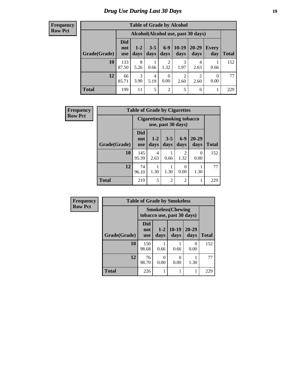### *Drug Use During Last 30 Days* **19**

#### **Frequency Row Pct**

| <b>Table of Grade by Alcohol</b> |                                 |                                    |                 |                        |                 |                        |                  |              |  |
|----------------------------------|---------------------------------|------------------------------------|-----------------|------------------------|-----------------|------------------------|------------------|--------------|--|
|                                  |                                 | Alcohol(Alcohol use, past 30 days) |                 |                        |                 |                        |                  |              |  |
| Grade(Grade)                     | <b>Did</b><br>not<br><b>use</b> | $1 - 2$<br>days                    | $3 - 5$<br>days | $6 - 9$<br>days        | $10-19$<br>days | $20 - 29$<br>days      | Every<br>day     | <b>Total</b> |  |
| 10                               | 133<br>87.50                    | 8<br>5.26                          | 0.66            | $\overline{2}$<br>1.32 | 3<br>1.97       | 4<br>2.63              | 0.66             | 152          |  |
| 12                               | 66<br>85.71                     | 3<br>3.90                          | 4<br>5.19       | $\theta$<br>0.00       | 2<br>2.60       | $\overline{2}$<br>2.60 | $\theta$<br>0.00 | 77           |  |
| <b>Total</b>                     | 199                             | 11                                 | 5               | $\overline{2}$         | 5               | 6                      |                  | 229          |  |

| Frequency      |              | <b>Table of Grade by Cigarettes</b> |                                    |                    |                |                   |              |  |  |
|----------------|--------------|-------------------------------------|------------------------------------|--------------------|----------------|-------------------|--------------|--|--|
| <b>Row Pct</b> |              |                                     | <b>Cigarettes (Smoking tobacco</b> | use, past 30 days) |                |                   |              |  |  |
|                | Grade(Grade) | <b>Did</b><br>not<br><b>use</b>     | $1 - 2$<br>days                    | $3 - 5$<br>days    | $6-9$<br>days  | $20 - 29$<br>days | <b>Total</b> |  |  |
|                | 10           | 145<br>95.39                        | $\overline{4}$<br>2.63             | 0.66               | 2<br>1.32      | 0<br>0.00         | 152          |  |  |
|                | 12           | 74<br>96.10                         | 1.30                               | 1.30               | 0<br>0.00      | 1.30              | 77           |  |  |
|                | <b>Total</b> | 219                                 | 5                                  | $\overline{2}$     | $\overline{2}$ |                   | 229          |  |  |

| Frequency      |              |                                                         |                  | <b>Table of Grade by Smokeless</b> |                   |              |
|----------------|--------------|---------------------------------------------------------|------------------|------------------------------------|-------------------|--------------|
| <b>Row Pct</b> |              | <b>Smokeless</b> (Chewing<br>tobacco use, past 30 days) |                  |                                    |                   |              |
|                | Grade(Grade) | <b>Did</b><br>not<br><b>use</b>                         | $1 - 2$<br>days  | $10-19$<br>days                    | $20 - 29$<br>days | <b>Total</b> |
|                | 10           | 150<br>98.68                                            | 0.66             | 0.66                               | 0<br>0.00         | 152          |
|                | 12           | 76<br>98.70                                             | $\Omega$<br>0.00 | 0<br>0.00                          | 1.30              | 77           |
|                | <b>Total</b> | 226                                                     |                  | 1                                  |                   | 229          |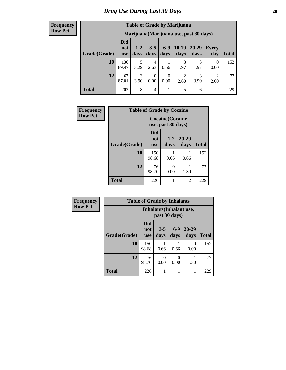#### **Frequency Row Pct**

| <b>Table of Grade by Marijuana</b> |                          |                                         |                 |               |                 |               |                        |       |  |
|------------------------------------|--------------------------|-----------------------------------------|-----------------|---------------|-----------------|---------------|------------------------|-------|--|
|                                    |                          | Marijuana (Marijuana use, past 30 days) |                 |               |                 |               |                        |       |  |
| Grade(Grade)                       | Did<br>not<br><b>use</b> | $1 - 2$<br>days                         | $3 - 5$<br>days | $6-9$<br>days | $10-19$<br>days | 20-29<br>days | Every<br>day           | Total |  |
| 10                                 | 136<br>89.47             | 5<br>3.29                               | 4<br>2.63       | 0.66          | 3<br>1.97       | 3<br>1.97     | 0<br>0.00              | 152   |  |
| 12                                 | 67<br>87.01              | $\mathcal{R}$<br>3.90                   | 0<br>0.00       | 0<br>0.00     | 2<br>2.60       | 3<br>3.90     | $\overline{2}$<br>2.60 | 77    |  |
| <b>Total</b>                       | 203                      | 8                                       | 4               |               | 5               | 6             | $\overline{2}$         | 229   |  |

| Frequency      | <b>Table of Grade by Cocaine</b> |                                               |                 |                   |              |  |  |  |  |
|----------------|----------------------------------|-----------------------------------------------|-----------------|-------------------|--------------|--|--|--|--|
| <b>Row Pct</b> |                                  | <b>Cocaine</b> (Cocaine<br>use, past 30 days) |                 |                   |              |  |  |  |  |
|                | Grade(Grade)                     | <b>Did</b><br>not<br><b>use</b>               | $1 - 2$<br>days | $20 - 29$<br>days | <b>Total</b> |  |  |  |  |
|                | 10                               | 150<br>98.68                                  | 0.66            | 0.66              | 152          |  |  |  |  |
|                | 12                               | 76<br>98.70                                   | 0<br>0.00       | 1.30              | 77           |  |  |  |  |
|                | <b>Total</b>                     | 226                                           |                 | 2                 | 229          |  |  |  |  |

| Frequency      |              | <b>Table of Grade by Inhalants</b> |                                           |               |               |              |
|----------------|--------------|------------------------------------|-------------------------------------------|---------------|---------------|--------------|
| <b>Row Pct</b> |              |                                    | Inhalants (Inhalant use,<br>past 30 days) |               |               |              |
|                | Grade(Grade) | Did<br>not<br><b>use</b>           | $3 - 5$<br>days                           | $6-9$<br>days | 20-29<br>days | <b>Total</b> |
|                | 10           | 150<br>98.68                       | 0.66                                      | 0.66          | 0<br>0.00     | 152          |
|                | 12           | 76<br>98.70                        | 0<br>0.00                                 | 0<br>0.00     | 1.30          | 77           |
|                | <b>Total</b> | 226                                | 1                                         |               | 1             | 229          |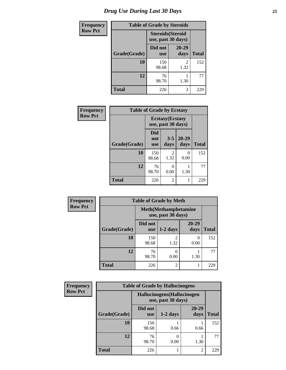| <b>Frequency</b> | <b>Table of Grade by Steroids</b> |                                                |               |              |  |
|------------------|-----------------------------------|------------------------------------------------|---------------|--------------|--|
| <b>Row Pct</b>   |                                   | <b>Steroids</b> (Steroid<br>use, past 30 days) |               |              |  |
|                  | Grade(Grade)                      | Did not<br><b>use</b>                          | 20-29<br>days | <b>Total</b> |  |
|                  | <b>10</b>                         | 150<br>98.68                                   | 2<br>1.32     | 152          |  |
|                  | 12                                | 76<br>98.70                                    | 1.30          | 77           |  |
|                  | <b>Total</b>                      | 226                                            | 3             | 229          |  |

| <b>Frequency</b> | <b>Table of Grade by Ecstasy</b> |                          |                                               |                   |              |
|------------------|----------------------------------|--------------------------|-----------------------------------------------|-------------------|--------------|
| <b>Row Pct</b>   |                                  |                          | <b>Ecstasy</b> (Ecstasy<br>use, past 30 days) |                   |              |
|                  | Grade(Grade)                     | Did<br>not<br><b>use</b> | $3 - 5$<br>days                               | $20 - 29$<br>days | <b>Total</b> |
|                  | 10                               | 150<br>98.68             | $\mathfrak{D}$<br>1.32                        | $\theta$<br>0.00  | 152          |
|                  | 12                               | 76<br>98.70              | 0<br>0.00                                     | 1.30              | 77           |
|                  | <b>Total</b>                     | 226                      | $\overline{2}$                                |                   | 229          |

| Frequency      | <b>Table of Grade by Meth</b> |                       |                                                    |                   |              |  |  |
|----------------|-------------------------------|-----------------------|----------------------------------------------------|-------------------|--------------|--|--|
| <b>Row Pct</b> |                               |                       | <b>Meth</b> (Methamphetamine<br>use, past 30 days) |                   |              |  |  |
|                | Grade(Grade)                  | Did not<br><b>use</b> | $1-2$ days                                         | $20 - 29$<br>days | <b>Total</b> |  |  |
|                | 10                            | 150<br>98.68          | 2<br>1.32                                          | 0<br>0.00         | 152          |  |  |
|                | 12                            | 76<br>98.70           | 0.00                                               | 1.30              | 77           |  |  |
|                | <b>Total</b>                  | 226                   | $\overline{c}$                                     |                   | 229          |  |  |

| Frequency      | <b>Table of Grade by Hallucinogens</b> |                                                   |            |                   |              |  |  |
|----------------|----------------------------------------|---------------------------------------------------|------------|-------------------|--------------|--|--|
| <b>Row Pct</b> |                                        | Hallucinogens (Hallucinogen<br>use, past 30 days) |            |                   |              |  |  |
|                | Grade(Grade)                           | Did not<br><b>use</b>                             | $1-2$ days | $20 - 29$<br>days | <b>Total</b> |  |  |
|                | 10                                     | 150<br>98.68                                      | 0.66       | 0.66              | 152          |  |  |
|                | 12                                     | 76<br>98.70                                       | 0.00       | 1.30              | 77           |  |  |
|                | <b>Total</b>                           | 226                                               |            | $\mathfrak{D}$    | 229          |  |  |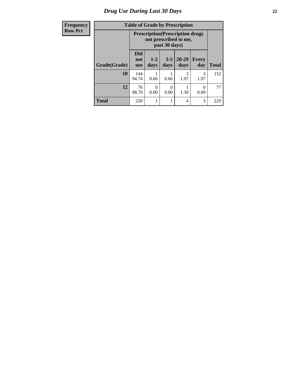# *Drug Use During Last 30 Days* **22**

| Frequency<br><b>Row Pct</b> |  |
|-----------------------------|--|
|-----------------------------|--|

| <b>Table of Grade by Prescription</b>                                             |
|-----------------------------------------------------------------------------------|
| ${\bf D}_{\text{max}} = {\bf A}^* = {\bf D}_{\text{max}} = {\bf A}^* = {\bf A}^*$ |

| $\mathbf{t}$ |              |                          | <b>Prescription</b> (Prescription drugs)<br>not prescribed to me,<br>past 30 days) |                 |                   |                     |              |
|--------------|--------------|--------------------------|------------------------------------------------------------------------------------|-----------------|-------------------|---------------------|--------------|
|              | Grade(Grade) | <b>Did</b><br>not<br>use | $1-2$<br>days                                                                      | $3 - 5$<br>days | $20 - 29$<br>days | <b>Every</b><br>day | <b>Total</b> |
|              | 10           | 144<br>94.74             | 0.66                                                                               | 0.66            | 3<br>1.97         | 3<br>1.97           | 152          |
|              | 12           | 76<br>98.70              | $\Omega$<br>0.00                                                                   | 0<br>0.00       | 1.30              | 0.00                | 77           |
|              | <b>Total</b> | 220                      |                                                                                    |                 | 4                 | 3                   | 229          |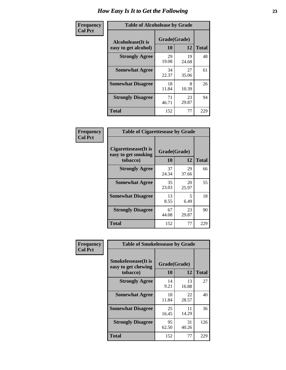| Frequency      | <b>Table of Alcoholease by Grade</b>              |                    |             |              |  |
|----------------|---------------------------------------------------|--------------------|-------------|--------------|--|
| <b>Col Pct</b> | <b>Alcoholease</b> (It is<br>easy to get alcohol) | Grade(Grade)<br>10 | 12          | <b>Total</b> |  |
|                | <b>Strongly Agree</b>                             | 29<br>19.08        | 19<br>24.68 | 48           |  |
|                | <b>Somewhat Agree</b>                             | 34<br>22.37        | 27<br>35.06 | 61           |  |
|                | <b>Somewhat Disagree</b>                          | 18<br>11.84        | 8<br>10.39  | 26           |  |
|                | <b>Strongly Disagree</b>                          | 71<br>46.71        | 23<br>29.87 | 94           |  |
|                | <b>Total</b>                                      | 152                | 77          | 229          |  |

| Frequency      | <b>Table of Cigarettesease by Grade</b>                  |                    |             |              |  |
|----------------|----------------------------------------------------------|--------------------|-------------|--------------|--|
| <b>Col Pct</b> | Cigarettesease (It is<br>easy to get smoking<br>tobacco) | Grade(Grade)<br>10 | 12          | <b>Total</b> |  |
|                | <b>Strongly Agree</b>                                    | 37<br>24.34        | 29<br>37.66 | 66           |  |
|                | <b>Somewhat Agree</b>                                    | 35<br>23.03        | 20<br>25.97 | 55           |  |
|                | <b>Somewhat Disagree</b>                                 | 13<br>8.55         | 5<br>6.49   | 18           |  |
|                | <b>Strongly Disagree</b>                                 | 67<br>44.08        | 23<br>29.87 | 90           |  |
|                | <b>Total</b>                                             | 152                | 77          | 229          |  |

| Frequency      | <b>Table of Smokelessease by Grade</b>                         |                           |             |              |  |  |
|----------------|----------------------------------------------------------------|---------------------------|-------------|--------------|--|--|
| <b>Col Pct</b> | <b>Smokelessease</b> (It is<br>easy to get chewing<br>tobacco) | Grade(Grade)<br><b>10</b> | 12          | <b>Total</b> |  |  |
|                | <b>Strongly Agree</b>                                          | 14<br>9.21                | 13<br>16.88 | 27           |  |  |
|                | <b>Somewhat Agree</b>                                          | 18<br>11.84               | 22<br>28.57 | 40           |  |  |
|                | <b>Somewhat Disagree</b>                                       | 25<br>16.45               | 11<br>14.29 | 36           |  |  |
|                | <b>Strongly Disagree</b>                                       | 95<br>62.50               | 31<br>40.26 | 126          |  |  |
|                | Total                                                          | 152                       | 77          | 229          |  |  |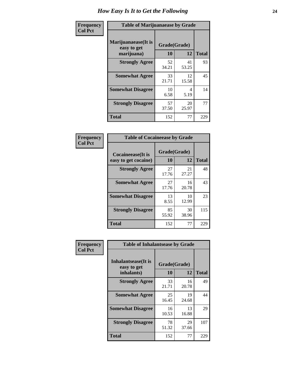| Frequency      | <b>Table of Marijuanaease by Grade</b>           |                    |             |              |  |
|----------------|--------------------------------------------------|--------------------|-------------|--------------|--|
| <b>Col Pct</b> | Marijuanaease(It is<br>easy to get<br>marijuana) | Grade(Grade)<br>10 | 12          | <b>Total</b> |  |
|                | <b>Strongly Agree</b>                            | 52<br>34.21        | 41<br>53.25 | 93           |  |
|                | <b>Somewhat Agree</b>                            | 33<br>21.71        | 12<br>15.58 | 45           |  |
|                | <b>Somewhat Disagree</b>                         | 10<br>6.58         | 4<br>5.19   | 14           |  |
|                | <b>Strongly Disagree</b>                         | 57<br>37.50        | 20<br>25.97 | 77           |  |
|                | <b>Total</b>                                     | 152                | 77          | 229          |  |

| <b>Table of Cocaineease by Grade</b>      |                    |             |              |  |  |  |
|-------------------------------------------|--------------------|-------------|--------------|--|--|--|
| Cocaineease(It is<br>easy to get cocaine) | Grade(Grade)<br>10 | 12          | <b>Total</b> |  |  |  |
| <b>Strongly Agree</b>                     | 27<br>17.76        | 21<br>27.27 | 48           |  |  |  |
| <b>Somewhat Agree</b>                     | 27<br>17.76        | 16<br>20.78 | 43           |  |  |  |
| <b>Somewhat Disagree</b>                  | 13<br>8.55         | 10<br>12.99 | 23           |  |  |  |
| <b>Strongly Disagree</b>                  | 85<br>55.92        | 30<br>38.96 | 115          |  |  |  |
| <b>Total</b>                              | 152                | 77          | 229          |  |  |  |

| Frequency      | <b>Table of Inhalantsease by Grade</b>     |              |             |              |
|----------------|--------------------------------------------|--------------|-------------|--------------|
| <b>Col Pct</b> | <b>Inhalantsease</b> (It is<br>easy to get | Grade(Grade) |             |              |
|                | inhalants)                                 | 10           | 12          | <b>Total</b> |
|                | <b>Strongly Agree</b>                      | 33<br>21.71  | 16<br>20.78 | 49           |
|                | <b>Somewhat Agree</b>                      | 25<br>16.45  | 19<br>24.68 | 44           |
|                | <b>Somewhat Disagree</b>                   | 16<br>10.53  | 13<br>16.88 | 29           |
|                | <b>Strongly Disagree</b>                   | 78<br>51.32  | 29<br>37.66 | 107          |
|                | <b>Total</b>                               | 152          | 77          | 229          |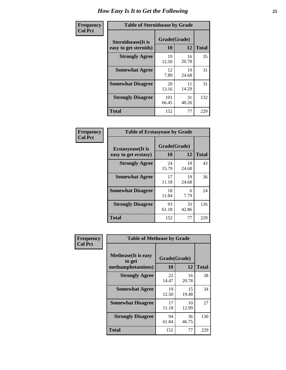| Frequency      | <b>Table of Steroidsease by Grade</b>               |                    |             |              |  |  |  |  |  |  |
|----------------|-----------------------------------------------------|--------------------|-------------|--------------|--|--|--|--|--|--|
| <b>Col Pct</b> | <b>Steroidsease</b> (It is<br>easy to get steroids) | Grade(Grade)<br>10 | 12          | <b>Total</b> |  |  |  |  |  |  |
|                | <b>Strongly Agree</b>                               | 19<br>12.50        | 16<br>20.78 | 35           |  |  |  |  |  |  |
|                | <b>Somewhat Agree</b>                               | 12<br>7.89         | 19<br>24.68 | 31           |  |  |  |  |  |  |
|                | <b>Somewhat Disagree</b>                            | 20<br>13.16        | 11<br>14.29 | 31           |  |  |  |  |  |  |
|                | <b>Strongly Disagree</b>                            | 101<br>66.45       | 31<br>40.26 | 132          |  |  |  |  |  |  |
|                | <b>Total</b>                                        | 152                | 77          | 229          |  |  |  |  |  |  |

| Frequency      | <b>Table of Ecstasyease by Grade</b>              |                           |             |              |
|----------------|---------------------------------------------------|---------------------------|-------------|--------------|
| <b>Col Pct</b> | <b>Ecstasyease</b> (It is<br>easy to get ecstasy) | Grade(Grade)<br><b>10</b> | 12          | <b>Total</b> |
|                | <b>Strongly Agree</b>                             | 24<br>15.79               | 19<br>24.68 | 43           |
|                | <b>Somewhat Agree</b>                             | 17<br>11.18               | 19<br>24.68 | 36           |
|                | <b>Somewhat Disagree</b>                          | 18<br>11.84               | 6<br>7.79   | 24           |
|                | <b>Strongly Disagree</b>                          | 93<br>61.18               | 33<br>42.86 | 126          |
|                | Total                                             | 152                       | 77          | 229          |

| Frequency      | <b>Table of Methease by Grade</b>     |              |             |              |
|----------------|---------------------------------------|--------------|-------------|--------------|
| <b>Col Pct</b> | <b>Methease</b> (It is easy<br>to get | Grade(Grade) |             |              |
|                | methamphetamines)                     | 10           | 12          | <b>Total</b> |
|                | <b>Strongly Agree</b>                 | 22<br>14.47  | 16<br>20.78 | 38           |
|                | <b>Somewhat Agree</b>                 | 19<br>12.50  | 15<br>19.48 | 34           |
|                | <b>Somewhat Disagree</b>              | 17<br>11.18  | 10<br>12.99 | 27           |
|                | <b>Strongly Disagree</b>              | 94<br>61.84  | 36<br>46.75 | 130          |
|                | <b>Total</b>                          | 152          | 77          | 229          |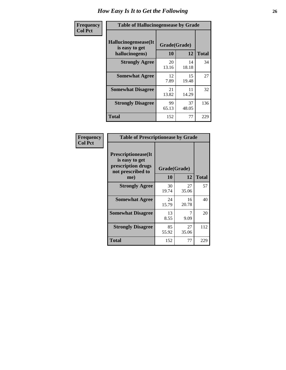| <b>Frequency</b> | <b>Table of Hallucinogensease by Grade</b>               |                    |             |              |  |  |  |  |  |  |  |
|------------------|----------------------------------------------------------|--------------------|-------------|--------------|--|--|--|--|--|--|--|
| <b>Col Pct</b>   | Hallucinogensease(It<br>is easy to get<br>hallucinogens) | Grade(Grade)<br>10 | 12          | <b>Total</b> |  |  |  |  |  |  |  |
|                  | <b>Strongly Agree</b>                                    | 20<br>13.16        | 14<br>18.18 | 34           |  |  |  |  |  |  |  |
|                  | <b>Somewhat Agree</b>                                    | 12<br>7.89         | 15<br>19.48 | 27           |  |  |  |  |  |  |  |
|                  | <b>Somewhat Disagree</b>                                 | 21<br>13.82        | 11<br>14.29 | 32           |  |  |  |  |  |  |  |
|                  | <b>Strongly Disagree</b>                                 | 99<br>65.13        | 37<br>48.05 | 136          |  |  |  |  |  |  |  |
|                  | <b>Total</b>                                             | 152                | 77          | 229          |  |  |  |  |  |  |  |

| Frequency<br>  Col Pct |
|------------------------|

| <b>Table of Prescriptionease by Grade</b>                                                |             |              |              |  |  |  |  |  |  |
|------------------------------------------------------------------------------------------|-------------|--------------|--------------|--|--|--|--|--|--|
| <b>Prescriptionease</b> (It<br>is easy to get<br>prescription drugs<br>not prescribed to |             | Grade(Grade) |              |  |  |  |  |  |  |
| me)                                                                                      | 10          | 12           | <b>Total</b> |  |  |  |  |  |  |
| <b>Strongly Agree</b>                                                                    | 30<br>19.74 | 27<br>35.06  | 57           |  |  |  |  |  |  |
| <b>Somewhat Agree</b>                                                                    | 24<br>15.79 | 16<br>20.78  | 40           |  |  |  |  |  |  |
| <b>Somewhat Disagree</b>                                                                 | 13<br>8.55  | 9.09         | 20           |  |  |  |  |  |  |
| <b>Strongly Disagree</b>                                                                 | 85<br>55.92 | 27<br>35.06  | 112          |  |  |  |  |  |  |
| <b>Total</b>                                                                             | 152         | 77           | 229          |  |  |  |  |  |  |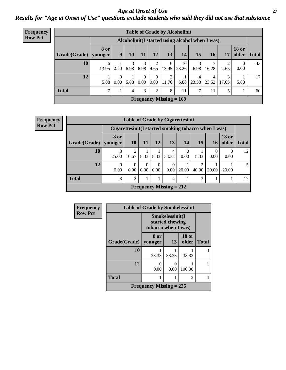*Age at Onset of Use* **27** *Results for "Age at Onset of Use" questions exclude students who said they did not use that substance*

| Frequency                                                          |              | <b>Table of Grade by Alcoholinit</b> |                  |      |                  |                           |                                |                   |            |            |            |                        |                 |
|--------------------------------------------------------------------|--------------|--------------------------------------|------------------|------|------------------|---------------------------|--------------------------------|-------------------|------------|------------|------------|------------------------|-----------------|
| <b>Row Pct</b><br>Alcoholinit (I started using alcohol when I was) |              |                                      |                  |      |                  |                           |                                |                   |            |            |            |                        |                 |
|                                                                    | Grade(Grade) | <b>8 or</b><br>younger               | 9 <sup>°</sup>   | 10   | 11               | 12                        | 13                             | 14                | 15         | <b>16</b>  | 17         | <b>18 or</b><br>older  | <b>Total</b>    |
|                                                                    | 10           | 6<br>13.95                           | 2.33             | 6.98 | 6.98             | 2<br>4.65                 | -6                             | 10<br>13.95 23.26 | 3<br>6.98  | 16.28      | 4.65       | $\overline{0}$<br>0.00 | 43              |
|                                                                    | 12           | 5.88                                 | $\theta$<br>0.00 | 5.88 | $\Omega$<br>0.00 | $\Omega$<br>$0.00\degree$ | 2<br>11.76                     | 5.88              | 4<br>23.53 | 4<br>23.53 | 3<br>17.65 | 5.88                   | 17 <sup>1</sup> |
|                                                                    | <b>Total</b> | 7                                    |                  | 4    | 3                | 2                         | 8                              | 11                | 7          | 11         | 5          |                        | 60              |
|                                                                    |              |                                      |                  |      |                  |                           | <b>Frequency Missing = 169</b> |                   |            |            |            |                        |                 |

| Frequency      | <b>Table of Grade by Cigarettesinit</b> |                  |                                                      |                  |                  |                                |                            |            |                  |              |               |  |  |
|----------------|-----------------------------------------|------------------|------------------------------------------------------|------------------|------------------|--------------------------------|----------------------------|------------|------------------|--------------|---------------|--|--|
| <b>Row Pct</b> |                                         |                  | Cigarettesinit(I started smoking tobacco when I was) |                  |                  |                                |                            |            |                  |              |               |  |  |
|                | Grade(Grade)                            | 8 or<br>younger  | <b>10</b>                                            | 11               | 12               | 13                             | 14                         | 15         | <b>16</b>        | <b>18 or</b> | older   Total |  |  |
|                | 10                                      | 3<br>25.00       | 2<br>16.67                                           | 8.33             | 8.33             | 4<br>33.33                     | $\Omega$<br>$0.00^{\circ}$ | 8.33       | $\theta$<br>0.00 | 0<br>0.00    | 12            |  |  |
|                | 12                                      | $\Omega$<br>0.00 | $\Omega$<br>0.00                                     | $\Omega$<br>0.00 | $\theta$<br>0.00 | $\theta$<br>$0.00\,$           | 20.00                      | 2<br>40.00 | 20.00            | 20.00        | 5             |  |  |
|                | <b>Total</b>                            | 3                | 2                                                    |                  |                  | 4                              |                            | 3          |                  |              | 17            |  |  |
|                |                                         |                  |                                                      |                  |                  | <b>Frequency Missing = 212</b> |                            |            |                  |              |               |  |  |

| Frequency      |              | <b>Table of Grade by Smokelessinit</b> |                                                           |                       |              |  |  |  |
|----------------|--------------|----------------------------------------|-----------------------------------------------------------|-----------------------|--------------|--|--|--|
| <b>Row Pct</b> |              |                                        | Smokelessinit(I<br>started chewing<br>tobacco when I was) |                       |              |  |  |  |
|                | Grade(Grade) | 8 or<br>younger                        | 13                                                        | <b>18 or</b><br>older | <b>Total</b> |  |  |  |
|                | 10           | 33.33                                  | 33.33                                                     | 33.33                 | 3            |  |  |  |
|                | 12           | 0<br>0.00                              | ∩<br>0.00                                                 | 100.00                |              |  |  |  |
|                | <b>Total</b> |                                        |                                                           | 2                     | 4            |  |  |  |
|                |              | Frequency Missing $= 225$              |                                                           |                       |              |  |  |  |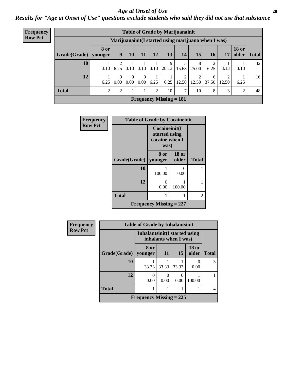#### *Age at Onset of Use* **28**

*Results for "Age at Onset of Use" questions exclude students who said they did not use that substance*

| <b>Frequency</b> |              | <b>Table of Grade by Marijuanainit</b> |                                                      |                           |                      |      |                           |                         |                         |      |       |                               |    |
|------------------|--------------|----------------------------------------|------------------------------------------------------|---------------------------|----------------------|------|---------------------------|-------------------------|-------------------------|------|-------|-------------------------------|----|
| <b>Row Pct</b>   |              |                                        | Marijuanainit (I started using marijuana when I was) |                           |                      |      |                           |                         |                         |      |       |                               |    |
|                  | Grade(Grade) | <b>8 or</b><br>younger                 | 9                                                    | 10                        | 11                   | 12   | 13                        | 14                      | 15                      | 16   | 17    | <b>18 or</b><br>older   Total |    |
|                  | 10           | 3.13                                   | 2<br>6.25                                            |                           | $3.13$ $3.13$ $3.13$ |      | 9<br>28.13                | 15.63                   | 8<br>25.00              | 6.25 | 3.13  | 3.13                          | 32 |
|                  | 12           | 6.25                                   | $\Omega$<br>0.00                                     | $\Omega$<br>$0.00\degree$ | $\Omega$<br>0.00     | 6.25 | 6.25                      | $\overline{2}$<br>12.50 | ↑<br>$12.50 \mid 37.50$ | 6    | 12.50 | 6.25                          | 16 |
|                  | <b>Total</b> | $\overline{2}$                         | 2                                                    |                           |                      | 2    | 10                        | 7                       | 10                      | 8    | 3     | 2                             | 48 |
|                  |              |                                        |                                                      |                           |                      |      | Frequency Missing $= 181$ |                         |                         |      |       |                               |    |

| <b>Frequency</b> | <b>Table of Grade by Cocaineinit</b> |                                                          |                       |              |  |  |  |  |  |  |  |
|------------------|--------------------------------------|----------------------------------------------------------|-----------------------|--------------|--|--|--|--|--|--|--|
| <b>Row Pct</b>   |                                      | Cocaineinit(I<br>started using<br>cocaine when I<br>was) |                       |              |  |  |  |  |  |  |  |
|                  | Grade(Grade)                         | 8 or<br>younger                                          | <b>18 or</b><br>older | <b>Total</b> |  |  |  |  |  |  |  |
|                  | 10                                   | 100.00                                                   | 0<br>0.00             |              |  |  |  |  |  |  |  |
|                  | 12                                   | 0.00                                                     | 100.00                |              |  |  |  |  |  |  |  |
|                  | <b>Total</b>                         |                                                          | $\overline{2}$        |              |  |  |  |  |  |  |  |
|                  |                                      | Frequency Missing $= 227$                                |                       |              |  |  |  |  |  |  |  |

| Frequency      | <b>Table of Grade by Inhalantsinit</b> |                                                         |           |       |                       |              |  |
|----------------|----------------------------------------|---------------------------------------------------------|-----------|-------|-----------------------|--------------|--|
| <b>Row Pct</b> |                                        | Inhalantsinit (I started using<br>inhalants when I was) |           |       |                       |              |  |
|                | Grade(Grade)                           | 8 or<br>younger                                         | 11        | 15    | <b>18 or</b><br>older | <b>Total</b> |  |
|                | 10                                     | 33.33                                                   | 33.33     | 33.33 | 0.00                  | 3            |  |
|                | 12                                     | $\Omega$<br>0.00                                        | 0<br>0.00 | 0.00  | 100.00                |              |  |
|                | <b>Total</b>                           |                                                         |           |       |                       | 4            |  |
|                |                                        | Frequency Missing $= 225$                               |           |       |                       |              |  |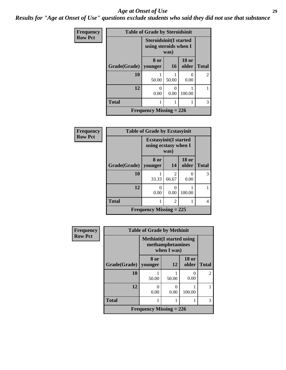#### *Age at Onset of Use* **29**

*Results for "Age at Onset of Use" questions exclude students who said they did not use that substance*

| Frequency      | <b>Table of Grade by Steroidsinit</b> |                                                                |           |                       |                |  |  |
|----------------|---------------------------------------|----------------------------------------------------------------|-----------|-----------------------|----------------|--|--|
| <b>Row Pct</b> |                                       | <b>Steroidsinit(I started</b><br>using steroids when I<br>was) |           |                       |                |  |  |
|                | Grade(Grade)                          | 8 or<br>younger                                                | 16        | <b>18 or</b><br>older | <b>Total</b>   |  |  |
|                | 10                                    | 50.00                                                          | 50.00     | 0<br>0.00             | $\overline{2}$ |  |  |
|                | 12                                    | 0<br>0.00                                                      | 0<br>0.00 | 100.00                |                |  |  |
|                | <b>Total</b>                          | 1                                                              |           |                       | 3              |  |  |
|                | <b>Frequency Missing = 226</b>        |                                                                |           |                       |                |  |  |

| Frequency      | <b>Table of Grade by Ecstasyinit</b> |                                                               |                         |                       |              |  |  |
|----------------|--------------------------------------|---------------------------------------------------------------|-------------------------|-----------------------|--------------|--|--|
| <b>Row Pct</b> |                                      | <b>Ecstasyinit</b> (I started<br>using ecstasy when I<br>was) |                         |                       |              |  |  |
|                | Grade(Grade)                         | 8 or<br>younger                                               | 14                      | <b>18 or</b><br>older | <b>Total</b> |  |  |
|                | 10                                   | 33.33                                                         | $\overline{2}$<br>66.67 | $\mathbf{0}$<br>0.00  | 3            |  |  |
|                | 12                                   | 0<br>0.00                                                     | 0.00                    | 100.00                |              |  |  |
|                | <b>Total</b>                         | 1                                                             | 2                       |                       | 4            |  |  |
|                | <b>Frequency Missing = 225</b>       |                                                               |                         |                       |              |  |  |

| <b>Frequency</b> | <b>Table of Grade by Methinit</b>                                   |       |       |                       |                |  |
|------------------|---------------------------------------------------------------------|-------|-------|-----------------------|----------------|--|
| <b>Row Pct</b>   | <b>Methinit</b> (I started using<br>methamphetamines<br>when I was) |       |       |                       |                |  |
|                  | Grade(Grade)   younger                                              | 8 or  | 12    | <b>18 or</b><br>older | <b>Total</b>   |  |
|                  | 10                                                                  | 50.00 | 50.00 | 0.00                  | $\mathfrak{D}$ |  |
|                  | 12                                                                  | 0.00  | 0.00  | 100.00                |                |  |
|                  | <b>Total</b>                                                        |       |       |                       | 3              |  |
|                  | <b>Frequency Missing = 226</b>                                      |       |       |                       |                |  |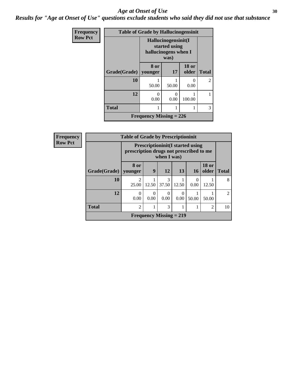#### Age at Onset of Use **30**

*Results for "Age at Onset of Use" questions exclude students who said they did not use that substance*

| Frequency      | <b>Table of Grade by Hallucinogensinit</b> |                                                              |                       |                       |                |  |  |
|----------------|--------------------------------------------|--------------------------------------------------------------|-----------------------|-----------------------|----------------|--|--|
| <b>Row Pct</b> |                                            | Hallucinogensinit(I<br>started using<br>hallucinogens when I |                       |                       |                |  |  |
|                | Grade(Grade)                               | 8 or<br>younger                                              | <b>17</b>             | <b>18 or</b><br>older | <b>Total</b>   |  |  |
|                | 10                                         | 50.00                                                        | 50.00                 | 0.00                  | $\overline{2}$ |  |  |
|                | 12                                         | ∩<br>0.00                                                    | $\mathcal{O}$<br>0.00 | 100.00                |                |  |  |
|                | <b>Total</b>                               |                                                              |                       |                       | 3              |  |  |
|                | Frequency Missing $= 226$                  |                                                              |                       |                       |                |  |  |

| Frequency      | <b>Table of Grade by Prescriptioninit</b> |                         |                                                                                                   |                           |       |                 |                       |                |
|----------------|-------------------------------------------|-------------------------|---------------------------------------------------------------------------------------------------|---------------------------|-------|-----------------|-----------------------|----------------|
| <b>Row Pct</b> |                                           |                         | <b>Prescriptioninit(I started using</b><br>prescription drugs not prescribed to me<br>when I was) |                           |       |                 |                       |                |
|                | Grade(Grade)   younger                    | 8 or                    | 9                                                                                                 | <b>12</b>                 | 13    | 16 <sup>1</sup> | <b>18 or</b><br>older | <b>Total</b>   |
|                | 10                                        | $\mathfrak{D}$<br>25.00 | 12.50                                                                                             | 3<br>37.50                | 12.50 | 0<br>0.00       | 12.50                 | 8              |
|                | 12                                        | $\Omega$<br>0.00        | 0.00                                                                                              | $\theta$<br>0.00          | 0.00  | 50.00           | 50.00                 | $\mathfrak{D}$ |
|                | <b>Total</b>                              | $\overline{c}$          |                                                                                                   | 3                         |       |                 | $\overline{2}$        | 10             |
|                |                                           |                         |                                                                                                   | Frequency Missing $= 219$ |       |                 |                       |                |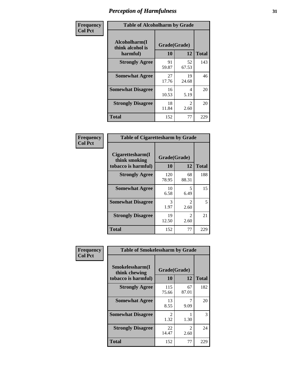| Frequency      | <b>Table of Alcoholharm by Grade</b>          |                    |                        |              |  |
|----------------|-----------------------------------------------|--------------------|------------------------|--------------|--|
| <b>Col Pct</b> | Alcoholharm(I<br>think alcohol is<br>harmful) | Grade(Grade)<br>10 | 12                     | <b>Total</b> |  |
|                | <b>Strongly Agree</b>                         | 91<br>59.87        | 52<br>67.53            | 143          |  |
|                | <b>Somewhat Agree</b>                         | 27<br>17.76        | 19<br>24.68            | 46           |  |
|                | <b>Somewhat Disagree</b>                      | 16<br>10.53        | 4<br>5.19              | 20           |  |
|                | <b>Strongly Disagree</b>                      | 18<br>11.84        | $\mathfrak{D}$<br>2.60 | 20           |  |
|                | <b>Total</b>                                  | 152                | 77                     | 229          |  |

| <b>Table of Cigarettesharm by Grade</b>                  |                    |                        |              |  |  |  |  |
|----------------------------------------------------------|--------------------|------------------------|--------------|--|--|--|--|
| Cigarettesharm(I<br>think smoking<br>tobacco is harmful) | Grade(Grade)<br>10 | 12                     | <b>Total</b> |  |  |  |  |
| <b>Strongly Agree</b>                                    | 120<br>78.95       | 68<br>88.31            | 188          |  |  |  |  |
| <b>Somewhat Agree</b>                                    | 10<br>6.58         | 5<br>6.49              | 15           |  |  |  |  |
| <b>Somewhat Disagree</b>                                 | 3<br>1.97          | $\mathfrak{D}$<br>2.60 | 5            |  |  |  |  |
| <b>Strongly Disagree</b>                                 | 19<br>12.50        | $\mathfrak{D}$<br>2.60 | 21           |  |  |  |  |
| <b>Total</b>                                             | 152                | 77                     | 229          |  |  |  |  |

| Frequency      | <b>Table of Smokelessharm by Grade</b>                  |                          |             |              |  |  |
|----------------|---------------------------------------------------------|--------------------------|-------------|--------------|--|--|
| <b>Col Pct</b> | Smokelessharm(I<br>think chewing<br>tobacco is harmful) | Grade(Grade)<br>10<br>12 |             | <b>Total</b> |  |  |
|                | <b>Strongly Agree</b>                                   | 115<br>75.66             | 67<br>87.01 | 182          |  |  |
|                | <b>Somewhat Agree</b>                                   | 13<br>8.55               | 9.09        | 20           |  |  |
|                | <b>Somewhat Disagree</b>                                | $\mathfrak{D}$<br>1.32   | 1.30        | 3            |  |  |
|                | <b>Strongly Disagree</b>                                | 22<br>14.47              | 2<br>2.60   | 24           |  |  |
|                | <b>Total</b>                                            | 152                      | 77          | 229          |  |  |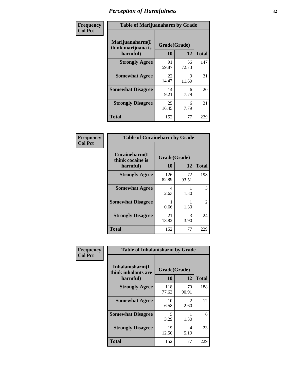| Frequency      | <b>Table of Marijuanaharm by Grade</b>            |                    |             |              |  |
|----------------|---------------------------------------------------|--------------------|-------------|--------------|--|
| <b>Col Pct</b> | Marijuanaharm(I<br>think marijuana is<br>harmful) | Grade(Grade)<br>10 | 12          | <b>Total</b> |  |
|                | <b>Strongly Agree</b>                             | 91<br>59.87        | 56<br>72.73 | 147          |  |
|                | <b>Somewhat Agree</b>                             | 22<br>14.47        | 9<br>11.69  | 31           |  |
|                | <b>Somewhat Disagree</b>                          | 14<br>9.21         | 6<br>7.79   | 20           |  |
|                | <b>Strongly Disagree</b>                          | 25<br>16.45        | 6<br>7.79   | 31           |  |
|                | <b>Total</b>                                      | 152                | 77          | 229          |  |

| <b>Table of Cocaineharm by Grade</b>          |                    |              |     |  |  |  |  |
|-----------------------------------------------|--------------------|--------------|-----|--|--|--|--|
| Cocaineharm(I<br>think cocaine is<br>harmful) | Grade(Grade)<br>10 | <b>Total</b> |     |  |  |  |  |
| <b>Strongly Agree</b>                         | 126<br>82.89       | 72<br>93.51  | 198 |  |  |  |  |
| <b>Somewhat Agree</b>                         | 4<br>2.63          | 1.30         | 5   |  |  |  |  |
| <b>Somewhat Disagree</b>                      | 1<br>0.66          | 1.30         | 2   |  |  |  |  |
| <b>Strongly Disagree</b>                      | 21<br>13.82        | 3<br>3.90    | 24  |  |  |  |  |
| <b>Total</b>                                  | 152                | 77           | 229 |  |  |  |  |

| Frequency      | <b>Table of Inhalantsharm by Grade</b>             |                                 |                       |              |  |
|----------------|----------------------------------------------------|---------------------------------|-----------------------|--------------|--|
| <b>Col Pct</b> | Inhalantsharm(I<br>think inhalants are<br>harmful) | Grade(Grade)<br><b>10</b><br>12 |                       | <b>Total</b> |  |
|                | <b>Strongly Agree</b>                              | 118<br>77.63                    | 70<br>90.91           | 188          |  |
|                | <b>Somewhat Agree</b>                              | 10<br>6.58                      | $\mathcal{L}$<br>2.60 | 12           |  |
|                | <b>Somewhat Disagree</b>                           | 5<br>3.29                       | 1.30                  | 6            |  |
|                | <b>Strongly Disagree</b>                           | 19<br>12.50                     | 4<br>5.19             | 23           |  |
|                | <b>Total</b>                                       | 152                             | 77                    | 229          |  |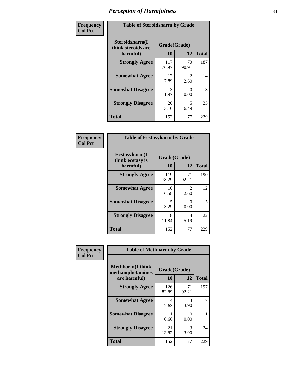| Frequency      | <b>Table of Steroidsharm by Grade</b>            |                    |                        |              |
|----------------|--------------------------------------------------|--------------------|------------------------|--------------|
| <b>Col Pct</b> | Steroidsharm(I<br>think steroids are<br>harmful) | Grade(Grade)<br>10 | 12                     | <b>Total</b> |
|                | <b>Strongly Agree</b>                            | 117<br>76.97       | 70<br>90.91            | 187          |
|                | <b>Somewhat Agree</b>                            | 12<br>7.89         | $\mathfrak{D}$<br>2.60 | 14           |
|                | <b>Somewhat Disagree</b>                         | 3<br>1.97          | 0<br>0.00              | 3            |
|                | <b>Strongly Disagree</b>                         | 20<br>13.16        | 5<br>6.49              | 25           |
|                | <b>Total</b>                                     | 152                | 77                     | 229          |

| <b>Table of Ecstasyharm by Grade</b>                |                    |                        |     |  |  |
|-----------------------------------------------------|--------------------|------------------------|-----|--|--|
| $E$ cstasyharm $(I$<br>think ecstasy is<br>harmful) | Grade(Grade)<br>10 | <b>Total</b>           |     |  |  |
| <b>Strongly Agree</b>                               | 119<br>78.29       | 71<br>92.21            | 190 |  |  |
| <b>Somewhat Agree</b>                               | 10<br>6.58         | $\mathfrak{D}$<br>2.60 | 12  |  |  |
| <b>Somewhat Disagree</b>                            | 5<br>3.29          | 0<br>0.00              | 5   |  |  |
| <b>Strongly Disagree</b>                            | 18<br>11.84        | 4<br>5.19              | 22  |  |  |
| <b>Total</b>                                        | 152                | 77                     | 229 |  |  |

| Frequency      | <b>Table of Methharm by Grade</b>                            |                           |             |              |
|----------------|--------------------------------------------------------------|---------------------------|-------------|--------------|
| <b>Col Pct</b> | <b>Methharm</b> (I think<br>methamphetamines<br>are harmful) | Grade(Grade)<br><b>10</b> | 12          | <b>Total</b> |
|                | <b>Strongly Agree</b>                                        | 126<br>82.89              | 71<br>92.21 | 197          |
|                | <b>Somewhat Agree</b>                                        | 4<br>2.63                 | 3<br>3.90   |              |
|                | <b>Somewhat Disagree</b>                                     | 0.66                      | 0<br>0.00   |              |
|                | <b>Strongly Disagree</b>                                     | 21<br>13.82               | 3<br>3.90   | 24           |
|                | <b>Total</b>                                                 | 152                       | 77          | 229          |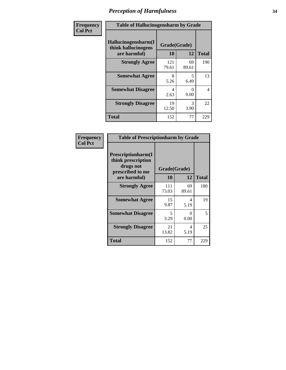| Frequency      | <b>Table of Hallucinogensharm by Grade</b>                 |                    |             |              |
|----------------|------------------------------------------------------------|--------------------|-------------|--------------|
| <b>Col Pct</b> | Hallucinogensharm(I<br>think hallucinogens<br>are harmful) | Grade(Grade)<br>10 | 12          | <b>Total</b> |
|                | <b>Strongly Agree</b>                                      | 121<br>79.61       | 69<br>89.61 | 190          |
|                | <b>Somewhat Agree</b>                                      | 8<br>5.26          | 5<br>6.49   | 13           |
|                | <b>Somewhat Disagree</b>                                   | 4<br>2.63          | 0<br>0.00   | 4            |
|                | <b>Strongly Disagree</b>                                   | 19<br>12.50        | 3<br>3.90   | 22           |
|                | <b>Total</b>                                               | 152                | 77          | 229          |

| <b>Frequency</b><br>Col Pct |
|-----------------------------|
|                             |

| <b>Table of Prescriptionharm by Grade</b>                                 |              |                      |              |  |
|---------------------------------------------------------------------------|--------------|----------------------|--------------|--|
| Prescriptionharm(I<br>think prescription<br>drugs not<br>prescribed to me |              | Grade(Grade)         |              |  |
| are harmful)                                                              | 10           | 12                   | <b>Total</b> |  |
| <b>Strongly Agree</b>                                                     | 111<br>73.03 | 69<br>89.61          | 180          |  |
| <b>Somewhat Agree</b>                                                     | 15<br>9.87   | 4<br>5.19            | 19           |  |
| <b>Somewhat Disagree</b>                                                  | 5<br>3.29    | $\mathbf{0}$<br>0.00 | 5            |  |
| <b>Strongly Disagree</b>                                                  | 21<br>13.82  | 4<br>5.19            | 25           |  |
| Total                                                                     | 152          | 77                   | 229          |  |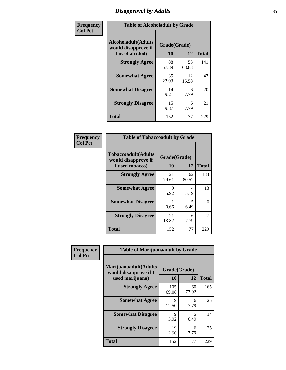### *Disapproval by Adults* **35**

| Frequency      | <b>Table of Alcoholadult by Grade</b>                                 |                    |             |              |
|----------------|-----------------------------------------------------------------------|--------------------|-------------|--------------|
| <b>Col Pct</b> | <b>Alcoholadult</b> (Adults<br>would disapprove if<br>I used alcohol) | Grade(Grade)<br>10 | 12          | <b>Total</b> |
|                | <b>Strongly Agree</b>                                                 | 88<br>57.89        | 53<br>68.83 | 141          |
|                | <b>Somewhat Agree</b>                                                 | 35<br>23.03        | 12<br>15.58 | 47           |
|                | <b>Somewhat Disagree</b>                                              | 14<br>9.21         | 6<br>7.79   | 20           |
|                | <b>Strongly Disagree</b>                                              | 15<br>9.87         | 6<br>7.79   | 21           |
|                | <b>Total</b>                                                          | 152                | 77          | 229          |

| <b>Table of Tobaccoadult by Grade</b>                                 |                    |             |              |  |  |
|-----------------------------------------------------------------------|--------------------|-------------|--------------|--|--|
| <b>Tobaccoadult</b> (Adults<br>would disapprove if<br>I used tobacco) | Grade(Grade)<br>10 | 12          | <b>Total</b> |  |  |
| <b>Strongly Agree</b>                                                 | 121<br>79.61       | 62<br>80.52 | 183          |  |  |
| <b>Somewhat Agree</b>                                                 | 9<br>5.92          | 4<br>5.19   | 13           |  |  |
| <b>Somewhat Disagree</b>                                              | 0.66               | 5<br>6.49   | 6            |  |  |
| <b>Strongly Disagree</b>                                              | 21<br>13.82        | 6<br>7.79   | 27           |  |  |
| <b>Total</b>                                                          | 152                | 77          | 229          |  |  |

| Frequency      | <b>Table of Marijuanaadult by Grade</b>                           |                    |             |              |
|----------------|-------------------------------------------------------------------|--------------------|-------------|--------------|
| <b>Col Pct</b> | Marijuanaadult(Adults<br>would disapprove if I<br>used marijuana) | Grade(Grade)<br>10 | 12          | <b>Total</b> |
|                | <b>Strongly Agree</b>                                             | 105<br>69.08       | 60<br>77.92 | 165          |
|                | <b>Somewhat Agree</b>                                             | 19<br>12.50        | 6<br>7.79   | 25           |
|                | <b>Somewhat Disagree</b>                                          | 9<br>5.92          | 5<br>6.49   | 14           |
|                | <b>Strongly Disagree</b>                                          | 19<br>12.50        | 6<br>7.79   | 25           |
|                | <b>Total</b>                                                      | 152                | 77          | 229          |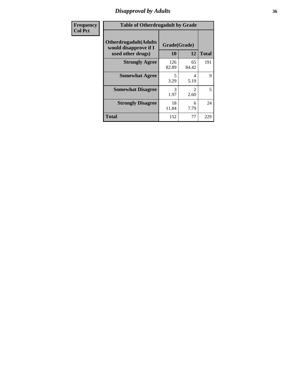### *Disapproval by Adults* **36**

| <b>Frequency</b> | <b>Table of Otherdrugadult by Grade</b>                                     |                    |                                     |              |
|------------------|-----------------------------------------------------------------------------|--------------------|-------------------------------------|--------------|
| <b>Col Pct</b>   | <b>Otherdrugadult</b> (Adults<br>would disapprove if I<br>used other drugs) | Grade(Grade)<br>10 | 12                                  | <b>Total</b> |
|                  | <b>Strongly Agree</b>                                                       | 126<br>82.89       | 65<br>84.42                         | 191          |
|                  | <b>Somewhat Agree</b>                                                       | 5<br>3.29          | 4<br>5.19                           | 9            |
|                  | <b>Somewhat Disagree</b>                                                    | 3<br>1.97          | $\mathcal{D}_{\mathcal{L}}$<br>2.60 | 5            |
|                  | <b>Strongly Disagree</b>                                                    | 18<br>11.84        | 6<br>7.79                           | 24           |
|                  | <b>Total</b>                                                                | 152                | 77                                  | 229          |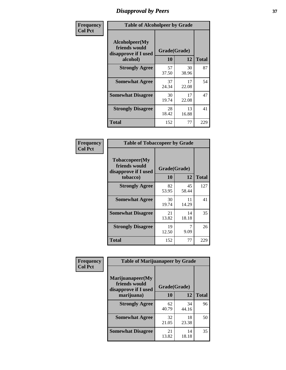# *Disapproval by Peers* **37**

| Frequency      | <b>Table of Alcoholpeer by Grade</b>                    |              |             |              |  |
|----------------|---------------------------------------------------------|--------------|-------------|--------------|--|
| <b>Col Pct</b> | Alcoholpeer(My<br>friends would<br>disapprove if I used | Grade(Grade) |             |              |  |
|                | alcohol)                                                | 10           | 12          | <b>Total</b> |  |
|                | <b>Strongly Agree</b>                                   | 57<br>37.50  | 30<br>38.96 | 87           |  |
|                | <b>Somewhat Agree</b>                                   | 37<br>24.34  | 17<br>22.08 | 54           |  |
|                | <b>Somewhat Disagree</b>                                | 30<br>19.74  | 17<br>22.08 | 47           |  |
|                | <b>Strongly Disagree</b>                                | 28<br>18.42  | 13<br>16.88 | 41           |  |
|                | Total                                                   | 152          | 77          | 229          |  |

| Frequency      | <b>Table of Tobaccopeer by Grade</b>                                |                    |             |              |
|----------------|---------------------------------------------------------------------|--------------------|-------------|--------------|
| <b>Col Pct</b> | Tobaccopeer(My<br>friends would<br>disapprove if I used<br>tobacco) | Grade(Grade)<br>10 | 12          | <b>Total</b> |
|                | <b>Strongly Agree</b>                                               | 82<br>53.95        | 45<br>58.44 | 127          |
|                | <b>Somewhat Agree</b>                                               | 30<br>19.74        | 11<br>14.29 | 41           |
|                | <b>Somewhat Disagree</b>                                            | 21<br>13.82        | 14<br>18.18 | 35           |
|                | <b>Strongly Disagree</b>                                            | 19<br>12.50        | 7<br>9.09   | 26           |
|                | <b>Total</b>                                                        | 152                | 77          | 229          |

| Frequency      | <b>Table of Marijuanapeer by Grade</b>                    |              |             |              |
|----------------|-----------------------------------------------------------|--------------|-------------|--------------|
| <b>Col Pct</b> | Marijuanapeer(My<br>friends would<br>disapprove if I used | Grade(Grade) |             |              |
|                | marijuana)                                                | <b>10</b>    | 12          | <b>Total</b> |
|                | <b>Strongly Agree</b>                                     | 62<br>40.79  | 34<br>44.16 | 96           |
|                | <b>Somewhat Agree</b>                                     | 32<br>21.05  | 18<br>23.38 | 50           |
|                | <b>Somewhat Disagree</b>                                  | 21<br>13.82  | 14<br>18.18 | 35           |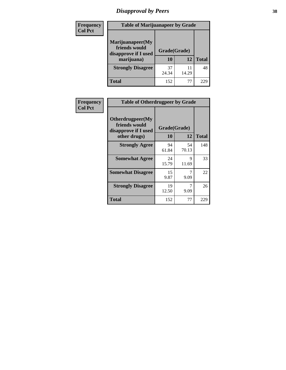# *Disapproval by Peers* **38**

| Frequency<br><b>Col Pct</b> | <b>Table of Marijuanapeer by Grade</b>                                  |                    |             |              |
|-----------------------------|-------------------------------------------------------------------------|--------------------|-------------|--------------|
|                             | Marijuanapeer(My<br>friends would<br>disapprove if I used<br>marijuana) | Grade(Grade)<br>10 | 12          | <b>Total</b> |
|                             | <b>Strongly Disagree</b>                                                | 37<br>24.34        | 11<br>14.29 | 48           |
|                             | Total                                                                   | 152                | 77          | 229          |

| Frequency      | <b>Table of Otherdrugpeer by Grade</b>                                    |                    |             |              |
|----------------|---------------------------------------------------------------------------|--------------------|-------------|--------------|
| <b>Col Pct</b> | Otherdrugpeer(My<br>friends would<br>disapprove if I used<br>other drugs) | Grade(Grade)<br>10 | 12          | <b>Total</b> |
|                | <b>Strongly Agree</b>                                                     | 94<br>61.84        | 54<br>70.13 | 148          |
|                | <b>Somewhat Agree</b>                                                     | 24<br>15.79        | 9<br>11.69  | 33           |
|                | <b>Somewhat Disagree</b>                                                  | 15<br>9.87         | 7<br>9.09   | 22           |
|                | <b>Strongly Disagree</b>                                                  | 19<br>12.50        | 7<br>9.09   | 26           |
|                | Total                                                                     | 152                | 77          | 229          |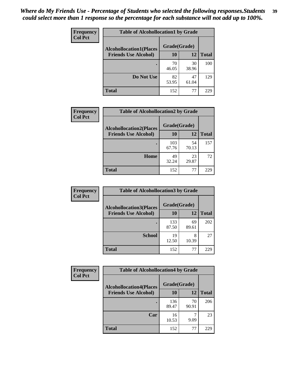| Frequency<br><b>Col Pct</b> | <b>Table of Alcohollocation1 by Grade</b> |             |             |              |
|-----------------------------|-------------------------------------------|-------------|-------------|--------------|
|                             | <b>Alcohollocation1(Places</b>            |             |             |              |
|                             | <b>Friends Use Alcohol)</b>               | 10          | 12          | <b>Total</b> |
|                             |                                           | 70<br>46.05 | 30<br>38.96 | 100          |
|                             | Do Not Use                                | 82<br>53.95 | 47<br>61.04 | 129          |
|                             | <b>Total</b>                              | 152         | 77          | 229          |

| Frequency      | <b>Table of Alcohollocation2 by Grade</b>                     |                    |             |              |
|----------------|---------------------------------------------------------------|--------------------|-------------|--------------|
| <b>Col Pct</b> | <b>Alcohollocation2(Places</b><br><b>Friends Use Alcohol)</b> | Grade(Grade)<br>10 | 12          | <b>Total</b> |
|                |                                                               | 103<br>67.76       | 54<br>70.13 | 157          |
|                | Home                                                          | 49<br>32.24        | 23<br>29.87 | 72           |
|                | <b>Total</b>                                                  | 152                | 77          | 229          |

| Frequency<br><b>Col Pct</b> | <b>Table of Alcohollocation 3 by Grade</b> |                    |             |              |
|-----------------------------|--------------------------------------------|--------------------|-------------|--------------|
|                             | <b>Alcohollocation3(Places</b>             | Grade(Grade)<br>10 |             |              |
|                             | <b>Friends Use Alcohol)</b>                |                    | 12          | <b>Total</b> |
|                             |                                            | 133<br>87.50       | 69<br>89.61 | 202          |
|                             | <b>School</b>                              | 19<br>12.50        | 8<br>10.39  | 27           |
|                             | <b>Total</b>                               | 152                | 77          | 229          |

| Frequency      | <b>Table of Alcohollocation4 by Grade</b> |              |             |              |  |
|----------------|-------------------------------------------|--------------|-------------|--------------|--|
| <b>Col Pct</b> | <b>Alcohollocation4(Places</b>            | Grade(Grade) |             |              |  |
|                | <b>Friends Use Alcohol)</b>               | 10           | 12          | <b>Total</b> |  |
|                |                                           | 136<br>89.47 | 70<br>90.91 | 206          |  |
|                | Car                                       | 16<br>10.53  | ¬<br>9.09   | 23           |  |
|                | <b>Total</b>                              | 152          | 77          | 229          |  |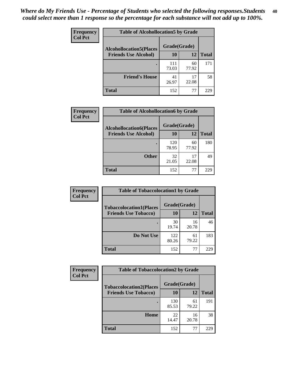| Frequency<br><b>Col Pct</b> | <b>Table of Alcohollocation5 by Grade</b>      |              |             |              |  |
|-----------------------------|------------------------------------------------|--------------|-------------|--------------|--|
|                             | Grade(Grade)<br><b>Alcohollocation5(Places</b> |              |             |              |  |
|                             | <b>Friends Use Alcohol)</b>                    | 10           | 12          | <b>Total</b> |  |
|                             |                                                | 111<br>73.03 | 60<br>77.92 | 171          |  |
|                             | <b>Friend's House</b>                          | 41<br>26.97  | 17<br>22.08 | 58           |  |
|                             | <b>Total</b>                                   | 152          | 77          | 229          |  |

| Frequency      | <b>Table of Alcohollocation6 by Grade</b>                     |                           |             |              |
|----------------|---------------------------------------------------------------|---------------------------|-------------|--------------|
| <b>Col Pct</b> | <b>Alcohollocation6(Places</b><br><b>Friends Use Alcohol)</b> | Grade(Grade)<br><b>10</b> | 12          | <b>Total</b> |
|                |                                                               |                           |             |              |
|                |                                                               | 120<br>78.95              | 60<br>77.92 | 180          |
|                | <b>Other</b>                                                  | 32<br>21.05               | 17<br>22.08 | 49           |
|                | <b>Total</b>                                                  | 152                       | 77          | 229          |

| <b>Frequency</b> | <b>Table of Tobaccolocation1 by Grade</b> |              |             |              |
|------------------|-------------------------------------------|--------------|-------------|--------------|
| <b>Col Pct</b>   | <b>Tobaccolocation1(Places</b>            | Grade(Grade) |             |              |
|                  | <b>Friends Use Tobacco)</b>               | 10           | 12          | <b>Total</b> |
|                  |                                           | 30<br>19.74  | 16<br>20.78 | 46           |
|                  | Do Not Use                                | 122<br>80.26 | 61<br>79.22 | 183          |
|                  | <b>Total</b>                              | 152          | 77          | 229          |

| <b>Frequency</b> | <b>Table of Tobaccolocation2 by Grade</b> |              |             |              |
|------------------|-------------------------------------------|--------------|-------------|--------------|
| <b>Col Pct</b>   | <b>Tobaccolocation2(Places</b>            | Grade(Grade) |             |              |
|                  | <b>Friends Use Tobacco)</b>               | 10           | 12          | <b>Total</b> |
|                  |                                           | 130<br>85.53 | 61<br>79.22 | 191          |
|                  | Home                                      | 22<br>14.47  | 16<br>20.78 | 38           |
|                  | <b>Total</b>                              | 152          | 77          | 229          |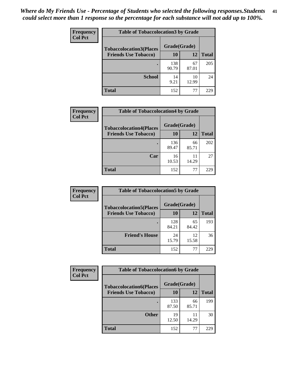| Frequency      | <b>Table of Tobaccolocation 3 by Grade</b> |              |             |              |  |
|----------------|--------------------------------------------|--------------|-------------|--------------|--|
| <b>Col Pct</b> | <b>Tobaccolocation3(Places</b>             | Grade(Grade) |             |              |  |
|                | <b>Friends Use Tobacco)</b>                | 10           | 12          | <b>Total</b> |  |
|                |                                            | 138<br>90.79 | 67<br>87.01 | 205          |  |
|                | <b>School</b>                              | 14<br>9.21   | 10<br>12.99 | 24           |  |
|                | <b>Total</b>                               | 152          | 77          | 229          |  |

| Frequency      | <b>Table of Tobaccolocation4 by Grade</b> |              |             |              |
|----------------|-------------------------------------------|--------------|-------------|--------------|
| <b>Col Pct</b> | <b>Tobaccolocation4(Places</b>            | Grade(Grade) |             |              |
|                | <b>Friends Use Tobacco)</b>               | 10           | 12          | <b>Total</b> |
|                |                                           | 136<br>89.47 | 66<br>85.71 | 202          |
|                | Car                                       | 16<br>10.53  | 11<br>14.29 | 27           |
|                | <b>Total</b>                              | 152          | 77          | 229          |

| Frequency      | <b>Table of Tobaccolocation5 by Grade</b> |              |             |              |
|----------------|-------------------------------------------|--------------|-------------|--------------|
| <b>Col Pct</b> | <b>Tobaccolocation5(Places</b>            | Grade(Grade) |             |              |
|                | <b>Friends Use Tobacco)</b>               | 10           | 12          | <b>Total</b> |
|                |                                           | 128<br>84.21 | 65<br>84.42 | 193          |
|                | <b>Friend's House</b>                     | 24<br>15.79  | 12<br>15.58 | 36           |
|                | <b>Total</b>                              | 152          | 77          | 229          |

| <b>Frequency</b> | <b>Table of Tobaccolocation6 by Grade</b> |              |             |              |  |
|------------------|-------------------------------------------|--------------|-------------|--------------|--|
| <b>Col Pct</b>   | <b>Tobaccolocation6(Places</b>            | Grade(Grade) |             |              |  |
|                  | <b>Friends Use Tobacco)</b>               | 10           | 12          | <b>Total</b> |  |
|                  |                                           | 133<br>87.50 | 66<br>85.71 | 199          |  |
|                  | <b>Other</b>                              | 19<br>12.50  | 11<br>14.29 | 30           |  |
|                  | <b>Total</b>                              | 152          | 77          | 229          |  |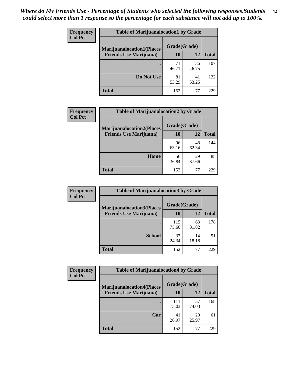| <b>Frequency</b> | <b>Table of Marijuanalocation1 by Grade</b> |              |             |              |
|------------------|---------------------------------------------|--------------|-------------|--------------|
| <b>Col Pct</b>   | <b>Marijuanalocation1(Places</b>            | Grade(Grade) |             |              |
|                  | <b>Friends Use Marijuana</b> )              | 10           | 12          | <b>Total</b> |
|                  |                                             | 71<br>46.71  | 36<br>46.75 | 107          |
|                  | Do Not Use                                  | 81<br>53.29  | 41<br>53.25 | 122          |
|                  | Total                                       | 152          | 77          | 229          |

| <b>Frequency</b> | <b>Table of Marijuanalocation2 by Grade</b>                        |                           |             |              |
|------------------|--------------------------------------------------------------------|---------------------------|-------------|--------------|
| <b>Col Pct</b>   | <b>Marijuanalocation2(Places</b><br><b>Friends Use Marijuana</b> ) | Grade(Grade)<br><b>10</b> | 12          | <b>Total</b> |
|                  |                                                                    | 96<br>63.16               | 48<br>62.34 | 144          |
|                  | Home                                                               | 56<br>36.84               | 29<br>37.66 | 85           |
|                  | <b>Total</b>                                                       | 152                       | 77          | 229          |

| Frequency<br><b>Col Pct</b> | <b>Table of Marijuanalocation3 by Grade</b> |              |             |              |
|-----------------------------|---------------------------------------------|--------------|-------------|--------------|
|                             | <b>Marijuanalocation3</b> (Places           | Grade(Grade) |             |              |
|                             | <b>Friends Use Marijuana</b> )              | 10           | 12          | <b>Total</b> |
|                             |                                             | 115          | 63          | 178          |
|                             |                                             | 75.66        | 81.82       |              |
|                             | <b>School</b>                               | 37<br>24.34  | 14<br>18.18 | 51           |
|                             | <b>Total</b>                                | 152          | 77          | 229          |

| <b>Frequency</b> | <b>Table of Marijuanalocation4 by Grade</b> |              |             |              |  |
|------------------|---------------------------------------------|--------------|-------------|--------------|--|
| <b>Col Pct</b>   | <b>Marijuanalocation4(Places</b>            | Grade(Grade) |             |              |  |
|                  | <b>Friends Use Marijuana</b> )              | <b>10</b>    | 12          | <b>Total</b> |  |
|                  |                                             | 111<br>73.03 | 57<br>74.03 | 168          |  |
|                  | Car                                         | 41<br>26.97  | 20<br>25.97 | 61           |  |
|                  | <b>Total</b>                                | 152          | 77          | 229          |  |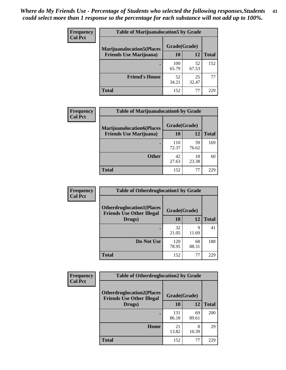| <b>Frequency</b> | <b>Table of Marijuanalocation5 by Grade</b> |              |             |              |
|------------------|---------------------------------------------|--------------|-------------|--------------|
| <b>Col Pct</b>   | <b>Marijuanalocation5</b> (Places           | Grade(Grade) |             |              |
|                  | <b>Friends Use Marijuana</b> )              | 10           | 12          | <b>Total</b> |
|                  |                                             | 100<br>65.79 | 52<br>67.53 | 152          |
|                  | <b>Friend's House</b>                       | 52<br>34.21  | 25<br>32.47 | 77           |
|                  | <b>Total</b>                                | 152          | 77          | 229          |

| <b>Frequency</b> | <b>Table of Marijuanalocation6 by Grade</b>                        |                    |             |              |
|------------------|--------------------------------------------------------------------|--------------------|-------------|--------------|
| <b>Col Pct</b>   | <b>Marijuanalocation6(Places</b><br><b>Friends Use Marijuana</b> ) | Grade(Grade)<br>10 | 12          | <b>Total</b> |
|                  |                                                                    | 110<br>72.37       | 59<br>76.62 | 169          |
|                  | <b>Other</b>                                                       | 42<br>27.63        | 18<br>23.38 | 60           |
|                  | <b>Total</b>                                                       | 152                | 77          | 229          |

| <b>Frequency</b> | <b>Table of Otherdruglocation1 by Grade</b>                          |              |             |              |
|------------------|----------------------------------------------------------------------|--------------|-------------|--------------|
| <b>Col Pct</b>   | <b>Otherdruglocation1(Places</b><br><b>Friends Use Other Illegal</b> | Grade(Grade) |             |              |
|                  | Drugs)                                                               | 10           | 12          | <b>Total</b> |
|                  |                                                                      | 32<br>21.05  | 9<br>11.69  | 41           |
|                  | Do Not Use                                                           | 120<br>78.95 | 68<br>88.31 | 188          |
|                  | <b>Total</b>                                                         | 152          | 77          | 229          |

| Frequency      | <b>Table of Otherdruglocation2 by Grade</b>                          |              |             |                           |
|----------------|----------------------------------------------------------------------|--------------|-------------|---------------------------|
| <b>Col Pct</b> | <b>Otherdruglocation2(Places</b><br><b>Friends Use Other Illegal</b> | Grade(Grade) |             | <b>Total</b><br>200<br>29 |
|                | Drugs)                                                               | 10           | 12          |                           |
|                |                                                                      | 131<br>86.18 | 69<br>89.61 |                           |
|                | Home                                                                 | 21<br>13.82  | 8<br>10.39  |                           |
|                | <b>Total</b>                                                         | 152          | 77          | 229                       |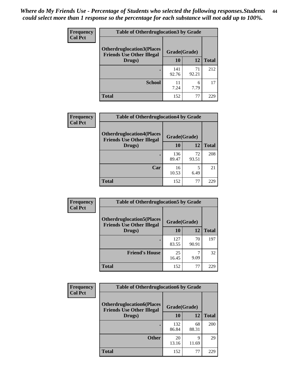| <b>Frequency</b> | <b>Table of Otherdruglocation3 by Grade</b>                          |              |             |              |
|------------------|----------------------------------------------------------------------|--------------|-------------|--------------|
| <b>Col Pct</b>   | <b>Otherdruglocation3(Places</b><br><b>Friends Use Other Illegal</b> | Grade(Grade) |             |              |
|                  | Drugs)                                                               | <b>10</b>    | 12          | <b>Total</b> |
|                  |                                                                      | 141<br>92.76 | 71<br>92.21 | 212          |
|                  | <b>School</b>                                                        | 11<br>7.24   | 6<br>7.79   | 17           |
|                  | <b>Total</b>                                                         | 152          | 77          | つつく          |

| <b>Frequency</b> | <b>Table of Otherdruglocation4 by Grade</b>                          |              |             |              |
|------------------|----------------------------------------------------------------------|--------------|-------------|--------------|
| <b>Col Pct</b>   | <b>Otherdruglocation4(Places</b><br><b>Friends Use Other Illegal</b> | Grade(Grade) |             |              |
|                  | Drugs)                                                               | 10           | 12          | <b>Total</b> |
|                  |                                                                      | 136<br>89.47 | 72<br>93.51 | 208          |
|                  | Car                                                                  | 16<br>10.53  | 6.49        | 21           |
|                  | <b>Total</b>                                                         | 152          | 77          | 229          |

| Frequency      | <b>Table of Otherdruglocation5 by Grade</b>                          |              |             |              |
|----------------|----------------------------------------------------------------------|--------------|-------------|--------------|
| <b>Col Pct</b> | <b>Otherdruglocation5(Places</b><br><b>Friends Use Other Illegal</b> | Grade(Grade) |             |              |
|                | Drugs)                                                               | 10           | 12          | <b>Total</b> |
|                |                                                                      | 127<br>83.55 | 70<br>90.91 | 197          |
|                | <b>Friend's House</b>                                                | 25<br>16.45  | 9.09        | 32           |
|                | <b>Total</b>                                                         | 152          | 77          | 229          |

| <b>Frequency</b> | <b>Table of Otherdruglocation6 by Grade</b>                          |              |             |              |
|------------------|----------------------------------------------------------------------|--------------|-------------|--------------|
| <b>Col Pct</b>   | <b>Otherdruglocation6(Places</b><br><b>Friends Use Other Illegal</b> | Grade(Grade) |             |              |
|                  | Drugs)                                                               | <b>10</b>    | 12          | <b>Total</b> |
|                  |                                                                      | 132<br>86.84 | 68<br>88.31 | 200          |
|                  | <b>Other</b>                                                         | 20<br>13.16  | 9<br>11.69  | 29           |
|                  | <b>Total</b>                                                         | 152          | 77          | 229          |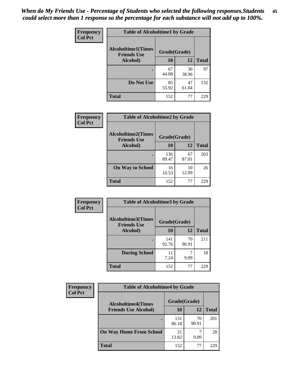| Frequency      | <b>Table of Alcoholtime1 by Grade</b>           |              |             |              |
|----------------|-------------------------------------------------|--------------|-------------|--------------|
| <b>Col Pct</b> | <b>Alcoholtime1(Times</b><br><b>Friends Use</b> | Grade(Grade) |             |              |
|                | Alcohol)                                        | 10           | 12          | <b>Total</b> |
|                |                                                 | 67<br>44.08  | 30<br>38.96 | 97           |
|                | Do Not Use                                      | 85<br>55.92  | 47<br>61.04 | 132          |
|                | <b>Total</b>                                    | 152          | 77          | 229          |

| Frequency      | <b>Table of Alcoholtime2 by Grade</b>           |              |             |              |
|----------------|-------------------------------------------------|--------------|-------------|--------------|
| <b>Col Pct</b> | <b>Alcoholtime2(Times</b><br><b>Friends Use</b> | Grade(Grade) |             |              |
|                | Alcohol)                                        | 10           | 12          | <b>Total</b> |
|                |                                                 | 136<br>89.47 | 67<br>87.01 | 203          |
|                | <b>On Way to School</b>                         | 16<br>10.53  | 10<br>12.99 | 26           |
|                | <b>Total</b>                                    | 152          | 77          | 229          |

| Frequency<br><b>Col Pct</b> | <b>Table of Alcoholtime3 by Grade</b>                           |              |             |              |
|-----------------------------|-----------------------------------------------------------------|--------------|-------------|--------------|
|                             | <b>Alcoholtime3(Times</b><br>Grade(Grade)<br><b>Friends Use</b> |              |             |              |
|                             | Alcohol)                                                        | 10           | 12          | <b>Total</b> |
|                             |                                                                 | 141<br>92.76 | 70<br>90.91 | 211          |
|                             | <b>During School</b>                                            | 11<br>7.24   | 9.09        | 18           |
|                             | Total                                                           | 152          | 77          | 229          |

| <b>Frequency</b> | <b>Table of Alcoholtime4 by Grade</b> |              |             |              |  |
|------------------|---------------------------------------|--------------|-------------|--------------|--|
| <b>Col Pct</b>   | <b>Alcoholtime4(Times</b>             | Grade(Grade) |             |              |  |
|                  | <b>Friends Use Alcohol)</b>           | 10           | 12          | <b>Total</b> |  |
|                  |                                       | 131<br>86.18 | 70<br>90.91 | 201          |  |
|                  | <b>On Way Home From School</b>        | 21<br>13.82  | ⇁<br>9.09   | 28           |  |
|                  | <b>Total</b>                          | 152          | 77          | 229          |  |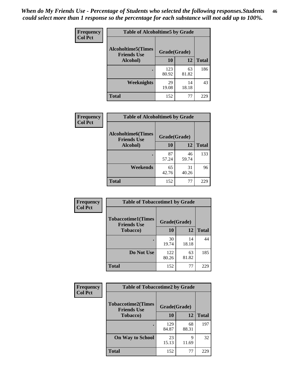*When do My Friends Use - Percentage of Students who selected the following responses.Students could select more than 1 response so the percentage for each substance will not add up to 100%.* **46**

| <b>Frequency</b> | <b>Table of Alcoholtime5 by Grade</b>           |              |             |              |
|------------------|-------------------------------------------------|--------------|-------------|--------------|
| <b>Col Pct</b>   | <b>Alcoholtime5(Times</b><br><b>Friends Use</b> | Grade(Grade) |             |              |
|                  | Alcohol)                                        | 10           | 12          | <b>Total</b> |
|                  |                                                 | 123<br>80.92 | 63<br>81.82 | 186          |
|                  | Weeknights                                      | 29<br>19.08  | 14<br>18.18 | 43           |
|                  | <b>Total</b>                                    | 152          | 77          | 229          |

| Frequency      | <b>Table of Alcoholtime6 by Grade</b>           |              |             |              |
|----------------|-------------------------------------------------|--------------|-------------|--------------|
| <b>Col Pct</b> | <b>Alcoholtime6(Times</b><br><b>Friends Use</b> | Grade(Grade) |             |              |
|                | Alcohol)                                        | 10           | 12          | <b>Total</b> |
|                |                                                 | 87<br>57.24  | 46<br>59.74 | 133          |
|                | Weekends                                        | 65<br>42.76  | 31<br>40.26 | 96           |
|                | <b>Total</b>                                    | 152          | 77          | 229          |

| Frequency      | <b>Table of Tobaccotime1 by Grade</b>           |              |             |              |
|----------------|-------------------------------------------------|--------------|-------------|--------------|
| <b>Col Pct</b> | <b>Tobaccotime1(Times</b><br><b>Friends Use</b> | Grade(Grade) |             |              |
|                | <b>Tobacco</b> )                                | 10           | 12          | <b>Total</b> |
|                | ٠                                               | 30<br>19.74  | 14<br>18.18 | 44           |
|                | Do Not Use                                      | 122<br>80.26 | 63<br>81.82 | 185          |
|                | <b>Total</b>                                    | 152          | 77          | 229          |

| Frequency      | <b>Table of Tobaccotime2 by Grade</b>           |              |             |              |
|----------------|-------------------------------------------------|--------------|-------------|--------------|
| <b>Col Pct</b> | <b>Tobaccotime2(Times</b><br><b>Friends Use</b> | Grade(Grade) |             |              |
|                | <b>Tobacco</b> )                                | 10           | 12          | <b>Total</b> |
|                |                                                 | 129<br>84.87 | 68<br>88.31 | 197          |
|                | <b>On Way to School</b>                         | 23<br>15.13  | 9<br>11.69  | 32           |
|                | <b>Total</b>                                    | 152          | 77          | 229          |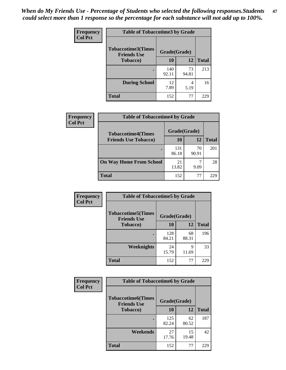*When do My Friends Use - Percentage of Students who selected the following responses.Students could select more than 1 response so the percentage for each substance will not add up to 100%.* **47**

| <b>Frequency</b> | <b>Table of Tobaccotime3 by Grade</b>           |              |             |              |  |
|------------------|-------------------------------------------------|--------------|-------------|--------------|--|
| <b>Col Pct</b>   | <b>Tobaccotime3(Times</b><br><b>Friends Use</b> | Grade(Grade) |             |              |  |
|                  | <b>Tobacco</b> )                                | 10           | 12          | <b>Total</b> |  |
|                  |                                                 | 140<br>92.11 | 73<br>94.81 | 213          |  |
|                  | <b>During School</b>                            | 12<br>7.89   | 4<br>5.19   | 16           |  |
|                  | <b>Total</b>                                    | 152          | 77          | 229          |  |

| <b>Frequency</b><br><b>Col Pct</b> | <b>Table of Tobaccotime4 by Grade</b> |              |             |              |
|------------------------------------|---------------------------------------|--------------|-------------|--------------|
|                                    | <b>Tobaccotime4(Times</b>             | Grade(Grade) |             |              |
|                                    | <b>Friends Use Tobacco)</b>           | 10           | 12          | <b>Total</b> |
|                                    |                                       | 131<br>86.18 | 70<br>90.91 | 201          |
|                                    | <b>On Way Home From School</b>        | 21<br>13.82  | 9.09        | 28           |
|                                    | Total                                 | 152          | 77          | 229          |

| <b>Frequency</b> | <b>Table of Tobaccotime5 by Grade</b>           |              |             |              |
|------------------|-------------------------------------------------|--------------|-------------|--------------|
| <b>Col Pct</b>   | <b>Tobaccotime5(Times</b><br><b>Friends Use</b> | Grade(Grade) |             |              |
|                  | <b>Tobacco</b> )                                | 10           | 12          | <b>Total</b> |
|                  |                                                 | 128<br>84.21 | 68<br>88.31 | 196          |
|                  | Weeknights                                      | 24<br>15.79  | 9<br>11.69  | 33           |
|                  | <b>Total</b>                                    | 152          | 77          | 229          |

| Frequency      | <b>Table of Tobaccotime6 by Grade</b><br><b>Tobaccotime6(Times</b><br>Grade(Grade)<br><b>Friends Use</b> |              |             |              |
|----------------|----------------------------------------------------------------------------------------------------------|--------------|-------------|--------------|
| <b>Col Pct</b> |                                                                                                          |              |             |              |
|                | <b>Tobacco</b> )                                                                                         | 10           | 12          | <b>Total</b> |
|                |                                                                                                          | 125<br>82.24 | 62<br>80.52 | 187          |
|                | Weekends                                                                                                 | 27<br>17.76  | 15<br>19.48 | 42           |
|                | <b>Total</b>                                                                                             | 152          | 77          | 229          |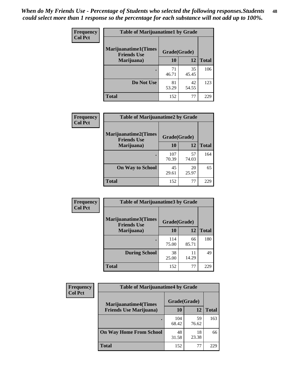| Frequency      | <b>Table of Marijuanatime1 by Grade</b>           |              |             |              |
|----------------|---------------------------------------------------|--------------|-------------|--------------|
| <b>Col Pct</b> | <b>Marijuanatime1(Times</b><br><b>Friends Use</b> | Grade(Grade) |             |              |
|                | Marijuana)                                        | 10           | 12          | <b>Total</b> |
|                |                                                   | 71<br>46.71  | 35<br>45.45 | 106          |
|                | Do Not Use                                        | 81<br>53.29  | 42<br>54.55 | 123          |
|                | <b>Total</b>                                      | 152          | 77          | 229          |

| Frequency      | <b>Table of Marijuanatime2 by Grade</b>           |              |             |              |
|----------------|---------------------------------------------------|--------------|-------------|--------------|
| <b>Col Pct</b> | <b>Marijuanatime2(Times</b><br><b>Friends Use</b> | Grade(Grade) |             |              |
|                | Marijuana)                                        | 10           | 12          | <b>Total</b> |
|                |                                                   | 107<br>70.39 | 57<br>74.03 | 164          |
|                | <b>On Way to School</b>                           | 45<br>29.61  | 20<br>25.97 | 65           |
|                | <b>Total</b>                                      | 152          | 77          | 229          |

| Frequency      | <b>Table of Marijuanatime3 by Grade</b>    |              |             |              |  |
|----------------|--------------------------------------------|--------------|-------------|--------------|--|
| <b>Col Pct</b> | Marijuanatime3(Times<br><b>Friends Use</b> | Grade(Grade) |             |              |  |
|                | Marijuana)                                 | 10           | 12          | <b>Total</b> |  |
|                |                                            | 114<br>75.00 | 66<br>85.71 | 180          |  |
|                | <b>During School</b>                       | 38<br>25.00  | 11<br>14.29 | 49           |  |
|                | <b>Total</b>                               | 152          | 77          | 229          |  |

| <b>Frequency</b> | <b>Table of Marijuanatime4 by Grade</b> |              |             |              |
|------------------|-----------------------------------------|--------------|-------------|--------------|
| <b>Col Pct</b>   | <b>Marijuanatime4(Times</b>             | Grade(Grade) |             |              |
|                  | <b>Friends Use Marijuana</b> )          | 10           | 12          | <b>Total</b> |
|                  |                                         | 104<br>68.42 | 59<br>76.62 | 163          |
|                  | <b>On Way Home From School</b>          | 48<br>31.58  | 18<br>23.38 | 66           |
|                  | <b>Total</b>                            | 152          | 77          | 229          |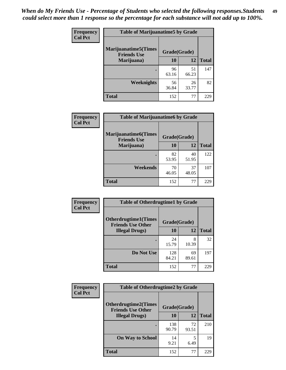| Frequency      | <b>Table of Marijuanatime5 by Grade</b>            |              |             |              |
|----------------|----------------------------------------------------|--------------|-------------|--------------|
| <b>Col Pct</b> | <b>Marijuanatime5</b> (Times<br><b>Friends Use</b> | Grade(Grade) |             |              |
|                | Marijuana)                                         | 10           | 12          | <b>Total</b> |
|                |                                                    | 96<br>63.16  | 51<br>66.23 | 147          |
|                | <b>Weeknights</b>                                  | 56<br>36.84  | 26<br>33.77 | 82           |
|                | <b>Total</b>                                       | 152          | 77          | 229          |

| Frequency      | <b>Table of Marijuanatime6 by Grade</b>            |              |             |              |
|----------------|----------------------------------------------------|--------------|-------------|--------------|
| <b>Col Pct</b> | <b>Marijuanatime6</b> (Times<br><b>Friends Use</b> | Grade(Grade) |             |              |
|                | Marijuana)                                         | 10           | 12          | <b>Total</b> |
|                |                                                    | 82<br>53.95  | 40<br>51.95 | 122          |
|                | Weekends                                           | 70<br>46.05  | 37<br>48.05 | 107          |
|                | <b>Total</b>                                       | 152          | 77          | 229          |

| <b>Frequency</b> | <b>Table of Otherdrugtime1 by Grade</b>                 |              |             |              |  |
|------------------|---------------------------------------------------------|--------------|-------------|--------------|--|
| <b>Col Pct</b>   | <b>Otherdrugtime1(Times</b><br><b>Friends Use Other</b> | Grade(Grade) |             |              |  |
|                  | <b>Illegal Drugs</b> )                                  | 10           | 12          | <b>Total</b> |  |
|                  |                                                         | 24<br>15.79  | 8<br>10.39  | 32           |  |
|                  | Do Not Use                                              | 128<br>84.21 | 69<br>89.61 | 197          |  |
|                  | <b>Total</b>                                            | 152          | 77          | 229          |  |

| Frequency      | <b>Table of Otherdrugtime2 by Grade</b>                 |              |             |              |  |  |
|----------------|---------------------------------------------------------|--------------|-------------|--------------|--|--|
| <b>Col Pct</b> | <b>Otherdrugtime2(Times</b><br><b>Friends Use Other</b> | Grade(Grade) |             |              |  |  |
|                | <b>Illegal Drugs</b> )                                  | 10           | 12          | <b>Total</b> |  |  |
|                |                                                         | 138<br>90.79 | 72<br>93.51 | 210          |  |  |
|                | <b>On Way to School</b>                                 | 14<br>9.21   | 5<br>6.49   | 19           |  |  |
|                | Total                                                   | 152          | 77          | 229          |  |  |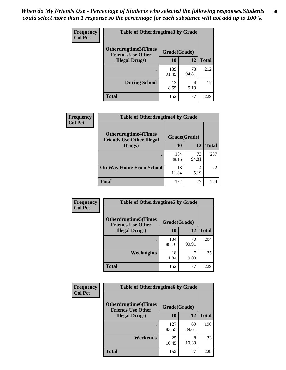| <b>Frequency</b> | <b>Table of Otherdrugtime3 by Grade</b>                 |              |             |              |  |  |
|------------------|---------------------------------------------------------|--------------|-------------|--------------|--|--|
| <b>Col Pct</b>   | <b>Otherdrugtime3(Times</b><br><b>Friends Use Other</b> | Grade(Grade) |             |              |  |  |
|                  | <b>Illegal Drugs</b> )                                  | 10           | 12          | <b>Total</b> |  |  |
|                  |                                                         | 139<br>91.45 | 73<br>94.81 | 212          |  |  |
|                  | <b>During School</b>                                    | 13<br>8.55   | 4<br>5.19   | 17           |  |  |
|                  | <b>Total</b>                                            | 152          | 77          | 229          |  |  |

| <b>Frequency</b> | <b>Table of Otherdrugtime4 by Grade</b>                         |              |             |              |  |  |
|------------------|-----------------------------------------------------------------|--------------|-------------|--------------|--|--|
| <b>Col Pct</b>   | <b>Otherdrugtime4(Times</b><br><b>Friends Use Other Illegal</b> | Grade(Grade) |             |              |  |  |
|                  | Drugs)                                                          | 10           | 12          | <b>Total</b> |  |  |
|                  | $\bullet$                                                       | 134<br>88.16 | 73<br>94.81 | 207          |  |  |
|                  | <b>On Way Home From School</b>                                  | 18<br>11.84  | 4<br>5.19   | 22           |  |  |
|                  | <b>Total</b>                                                    | 152          | 77          | 229          |  |  |

| <b>Frequency</b> | <b>Table of Otherdrugtime5 by Grade</b>                  |              |             |              |  |  |
|------------------|----------------------------------------------------------|--------------|-------------|--------------|--|--|
| <b>Col Pct</b>   | <b>Otherdrugtime5</b> (Times<br><b>Friends Use Other</b> | Grade(Grade) |             |              |  |  |
|                  | <b>Illegal Drugs)</b>                                    | 10           | 12          | <b>Total</b> |  |  |
|                  |                                                          | 134<br>88.16 | 70<br>90.91 | 204          |  |  |
|                  | Weeknights                                               | 18<br>11.84  | 7<br>9.09   | 25           |  |  |
|                  | <b>Total</b>                                             | 152          | 77          | 229          |  |  |

| <b>Frequency</b> | <b>Table of Otherdrugtime6 by Grade</b>                 |              |             |              |  |
|------------------|---------------------------------------------------------|--------------|-------------|--------------|--|
| <b>Col Pct</b>   | <b>Otherdrugtime6(Times</b><br><b>Friends Use Other</b> | Grade(Grade) |             |              |  |
|                  | <b>Illegal Drugs</b> )                                  | 10           | 12          | <b>Total</b> |  |
|                  |                                                         | 127<br>83.55 | 69<br>89.61 | 196          |  |
|                  | Weekends                                                | 25<br>16.45  | 8<br>10.39  | 33           |  |
|                  | <b>Total</b>                                            | 152          | 77          | 229          |  |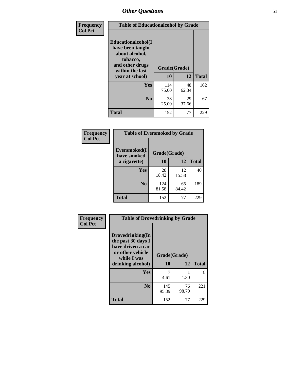| Frequency      | <b>Table of Educationalcohol by Grade</b>                                                                  |              |             |              |  |
|----------------|------------------------------------------------------------------------------------------------------------|--------------|-------------|--------------|--|
| <b>Col Pct</b> | Educationalcohol(I<br>have been taught<br>about alcohol,<br>tobacco,<br>and other drugs<br>within the last | Grade(Grade) |             |              |  |
|                | year at school)                                                                                            | 10           | 12          | <b>Total</b> |  |
|                | <b>Yes</b>                                                                                                 | 114<br>75.00 | 48<br>62.34 | 162          |  |
|                | N <sub>0</sub>                                                                                             | 38<br>25.00  | 29<br>37.66 | 67           |  |
|                | <b>Total</b>                                                                                               | 152          | 77          | 229          |  |

| Frequency      | <b>Table of Eversmoked by Grade</b> |              |             |              |  |  |
|----------------|-------------------------------------|--------------|-------------|--------------|--|--|
| <b>Col Pct</b> | Eversmoked(I<br>have smoked         | Grade(Grade) |             |              |  |  |
|                | a cigarette)                        | 10           | 12          | <b>Total</b> |  |  |
|                | <b>Yes</b>                          | 28<br>18.42  | 12<br>15.58 | 40           |  |  |
|                | N <sub>0</sub>                      | 124<br>81.58 | 65<br>84.42 | 189          |  |  |
|                | <b>Total</b>                        | 152          | 77          | 229          |  |  |

| Frequency      | <b>Table of Drovedrinking by Grade</b>                                                                              |                    |              |     |
|----------------|---------------------------------------------------------------------------------------------------------------------|--------------------|--------------|-----|
| <b>Col Pct</b> | Drovedrinking(In<br>the past 30 days I<br>have driven a car<br>or other vehicle<br>while I was<br>drinking alcohol) | Grade(Grade)<br>10 | <b>Total</b> |     |
|                | <b>Yes</b>                                                                                                          | 7<br>4.61          | 1.30         | 8   |
|                | N <sub>0</sub>                                                                                                      | 145<br>95.39       | 76<br>98.70  | 221 |
|                | <b>Total</b>                                                                                                        | 152                | 77           | 229 |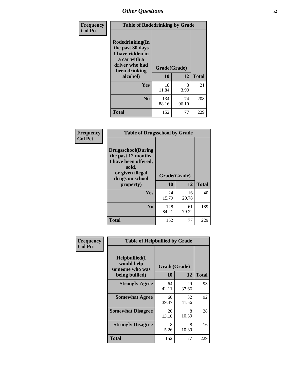| Frequency<br><b>Col Pct</b> | <b>Table of Rodedrinking by Grade</b>                                                                                  |                          |             |              |  |
|-----------------------------|------------------------------------------------------------------------------------------------------------------------|--------------------------|-------------|--------------|--|
|                             | Rodedrinking(In<br>the past 30 days<br>I have ridden in<br>a car with a<br>driver who had<br>been drinking<br>alcohol) | Grade(Grade)<br>10<br>12 |             | <b>Total</b> |  |
|                             | Yes                                                                                                                    | 18<br>11.84              | 3<br>3.90   | 21           |  |
|                             | N <sub>0</sub>                                                                                                         | 134<br>88.16             | 74<br>96.10 | 208          |  |
|                             | <b>Total</b>                                                                                                           | 152                      | 77          | 229          |  |

#### **Frequency Col Pct**

| <b>Table of Drugsschool by Grade</b>                                                                                      |              |              |              |  |  |  |
|---------------------------------------------------------------------------------------------------------------------------|--------------|--------------|--------------|--|--|--|
| <b>Drugsschool</b> (During<br>the past 12 months,<br>I have been offered,<br>sold,<br>or given illegal<br>drugs on school |              | Grade(Grade) |              |  |  |  |
| property)                                                                                                                 | 10           | 12           | <b>Total</b> |  |  |  |
| Yes                                                                                                                       | 24<br>15.79  | 16<br>20.78  | 40           |  |  |  |
| N <sub>0</sub>                                                                                                            | 128<br>84.21 | 61<br>79.22  | 189          |  |  |  |
| <b>Total</b>                                                                                                              | 152          | 77           | 229          |  |  |  |

| Frequency      | <b>Table of Helpbullied by Grade</b>                                 |             |             |              |  |  |
|----------------|----------------------------------------------------------------------|-------------|-------------|--------------|--|--|
| <b>Col Pct</b> | $Helpb$ ullied $(I$<br>would help<br>Grade(Grade)<br>someone who was |             |             |              |  |  |
|                | being bullied)                                                       | 10          | 12          | <b>Total</b> |  |  |
|                | <b>Strongly Agree</b>                                                | 64<br>42.11 | 29<br>37.66 | 93           |  |  |
|                | <b>Somewhat Agree</b>                                                | 60<br>39.47 | 32<br>41.56 | 92           |  |  |
|                | <b>Somewhat Disagree</b>                                             | 20<br>13.16 | 8<br>10.39  | 28           |  |  |
|                | <b>Strongly Disagree</b>                                             | 8<br>5.26   | 8<br>10.39  | 16           |  |  |
|                | <b>Total</b>                                                         | 152         | 77          | 229          |  |  |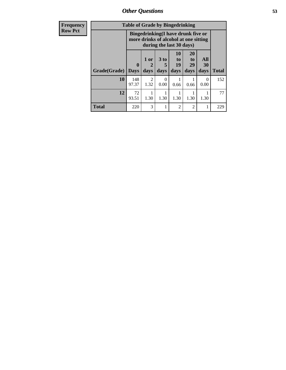*Other Questions* **53**

| <b>Frequency</b> | <b>Table of Grade by Bingedrinking</b> |                         |                             |                                                                                                         |                                   |                               |                   |              |
|------------------|----------------------------------------|-------------------------|-----------------------------|---------------------------------------------------------------------------------------------------------|-----------------------------------|-------------------------------|-------------------|--------------|
| <b>Row Pct</b>   |                                        |                         |                             | Bingedrinking(I have drunk five or<br>more drinks of alcohol at one sitting<br>during the last 30 days) |                                   |                               |                   |              |
|                  | Grade(Grade)                           | $\bf{0}$<br><b>Days</b> | 1 or<br>$\mathbf 2$<br>days | $3$ to<br>5<br>days                                                                                     | 10<br>$\mathbf{to}$<br>19<br>days | <b>20</b><br>to<br>29<br>days | All<br>30<br>days | <b>Total</b> |
|                  | 10                                     | 148<br>97.37            | $\mathfrak{D}$<br>1.32      | $\Omega$<br>0.00                                                                                        | 0.66                              | 0.66                          | 0<br>0.00         | 152          |
|                  | 12                                     | 72<br>93.51             | 1.30                        | 1.30                                                                                                    | 1.30                              | 1.30                          | 1.30              | 77           |
|                  | <b>Total</b>                           | 220                     | 3                           |                                                                                                         | 2                                 | $\overline{2}$                |                   | 229          |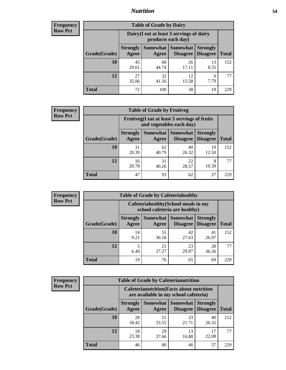### *Nutrition* **54**

| <b>Frequency</b> |
|------------------|
| <b>Row Pct</b>   |

| <b>Table of Grade by Dairy</b> |                          |                                                                 |                             |                                    |              |
|--------------------------------|--------------------------|-----------------------------------------------------------------|-----------------------------|------------------------------------|--------------|
|                                |                          | Dairy (I eat at least 3 servings of dairy<br>products each day) |                             |                                    |              |
| Grade(Grade)                   | <b>Strongly</b><br>Agree | <b>Somewhat</b><br>Agree                                        | <b>Somewhat</b><br>Disagree | <b>Strongly</b><br><b>Disagree</b> | <b>Total</b> |
| 10                             | 45<br>29.61              | 68<br>44.74                                                     | 26<br>17.11                 | 13<br>8.55                         | 152          |
| 12                             | 27<br>35.06              | 32<br>41.56                                                     | 12<br>15.58                 | 6<br>7.79                          | 77           |
| <b>Total</b>                   | 72                       | 100                                                             | 38                          | 19                                 | 229          |

| <b>Frequency</b> |  |
|------------------|--|
| <b>Row Pct</b>   |  |

| <b>Table of Grade by Fruitveg</b> |                          |                                                                          |                             |                                    |              |
|-----------------------------------|--------------------------|--------------------------------------------------------------------------|-----------------------------|------------------------------------|--------------|
|                                   |                          | Fruitveg(I eat at least 5 servings of fruits<br>and vegetables each day) |                             |                                    |              |
| Grade(Grade)                      | <b>Strongly</b><br>Agree | Somewhat  <br>Agree                                                      | <b>Somewhat</b><br>Disagree | <b>Strongly</b><br><b>Disagree</b> | <b>Total</b> |
| 10                                | 31<br>20.39              | 62<br>40.79                                                              | 40<br>26.32                 | 19<br>12.50                        | 152          |
| 12                                | 16<br>20.78              | 31<br>40.26                                                              | 22<br>28.57                 | 8<br>10.39                         | 77           |
| <b>Total</b>                      | 47                       | 93                                                                       | 62                          | 27                                 | 229          |

| <b>Frequency</b> |              | <b>Table of Grade by Cafeteriahealthy</b> |                                                                       |                                   |                                    |              |
|------------------|--------------|-------------------------------------------|-----------------------------------------------------------------------|-----------------------------------|------------------------------------|--------------|
| <b>Row Pct</b>   |              |                                           | Cafeteriahealthy (School meals in my<br>school cafeteria are healthy) |                                   |                                    |              |
|                  | Grade(Grade) | <b>Strongly</b><br>Agree                  | Agree                                                                 | Somewhat   Somewhat  <br>Disagree | <b>Strongly</b><br><b>Disagree</b> | <b>Total</b> |
|                  | 10           | 14<br>9.21                                | 55<br>36.18                                                           | 42<br>27.63                       | 41<br>26.97                        | 152          |
|                  | 12           | 6.49                                      | 21<br>27.27                                                           | 23<br>29.87                       | 28<br>36.36                        | 77           |
|                  | Total        | 19                                        | 76                                                                    | 65                                | 69                                 | 229          |

| <b>Frequency</b> |
|------------------|
| <b>Row Pct</b>   |

| <b>Table of Grade by Cafeterianutrition</b> |                          |                                                                                           |                                      |                                    |              |  |
|---------------------------------------------|--------------------------|-------------------------------------------------------------------------------------------|--------------------------------------|------------------------------------|--------------|--|
|                                             |                          | <b>Cafeterianutrition</b> (Facts about nutrition<br>are available in my school cafeteria) |                                      |                                    |              |  |
| Grade(Grade)                                | <b>Strongly</b><br>Agree | Agree                                                                                     | Somewhat Somewhat<br><b>Disagree</b> | <b>Strongly</b><br><b>Disagree</b> | <b>Total</b> |  |
| 10                                          | 28<br>18.42              | 51<br>33.55                                                                               | 33<br>21.71                          | 40<br>26.32                        | 152          |  |
| 12                                          | 18<br>23.38              | 29<br>37.66                                                                               | 13<br>16.88                          | 17<br>22.08                        | 77           |  |
| <b>Total</b>                                | 46                       | 80                                                                                        | 46                                   | 57                                 | 229          |  |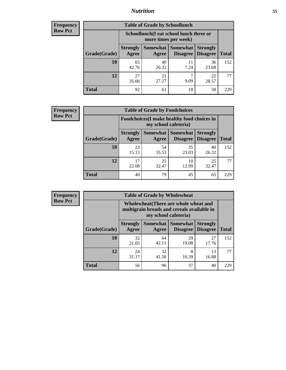### *Nutrition* **55**

| Frequency |
|-----------|
| Row Pct   |

| <b>Table of Grade by Schoollunch</b> |                          |                                                                 |                                 |                                    |              |
|--------------------------------------|--------------------------|-----------------------------------------------------------------|---------------------------------|------------------------------------|--------------|
|                                      |                          | Schoollunch(I eat school lunch three or<br>more times per week) |                                 |                                    |              |
| Grade(Grade)                         | <b>Strongly</b><br>Agree | Agree                                                           | Somewhat   Somewhat<br>Disagree | <b>Strongly</b><br><b>Disagree</b> | <b>Total</b> |
| 10                                   | 65<br>42.76              | 40<br>26.32                                                     | 11<br>7.24                      | 36<br>23.68                        | 152          |
| 12                                   | 27<br>35.06              | 21<br>27.27                                                     | ℸ<br>9.09                       | 22<br>28.57                        | 77           |
| <b>Total</b>                         | 92                       | 61                                                              | 18                              | 58                                 | 229          |

| <b>Frequency</b> |  |
|------------------|--|
| <b>Row Pct</b>   |  |

| <b>Table of Grade by Foodchoices</b> |                          |                                                                     |                                   |                                    |              |
|--------------------------------------|--------------------------|---------------------------------------------------------------------|-----------------------------------|------------------------------------|--------------|
|                                      |                          | Foodchoices (I make healthy food choices in<br>my school cafeteria) |                                   |                                    |              |
| Grade(Grade)                         | <b>Strongly</b><br>Agree | Agree                                                               | Somewhat   Somewhat  <br>Disagree | <b>Strongly</b><br><b>Disagree</b> | <b>Total</b> |
| 10                                   | 23<br>15.13              | 54<br>35.53                                                         | 35<br>23.03                       | 40<br>26.32                        | 152          |
| 12                                   | 17<br>22.08              | 25<br>32.47                                                         | 10<br>12.99                       | 25<br>32.47                        | 77           |
| <b>Total</b>                         | 40                       | 79                                                                  | 45                                | 65                                 | 229          |

| <b>Frequency</b> |
|------------------|
| <b>Row Pct</b>   |

| y | <b>Table of Grade by Wholewheat</b> |                                                                                                             |             |                                             |                                    |              |  |
|---|-------------------------------------|-------------------------------------------------------------------------------------------------------------|-------------|---------------------------------------------|------------------------------------|--------------|--|
|   |                                     | Wholewheat (There are whole wheat and<br>multigrain breads and cereals available in<br>my school cafeteria) |             |                                             |                                    |              |  |
|   | Grade(Grade)                        | <b>Strongly</b><br>Agree                                                                                    | Agree       | <b>Somewhat Somewhat</b><br><b>Disagree</b> | <b>Strongly</b><br><b>Disagree</b> | <b>Total</b> |  |
|   | 10                                  | 32<br>21.05                                                                                                 | 64<br>42.11 | 29<br>19.08                                 | 27<br>17.76                        | 152          |  |
|   | 12                                  | 24<br>31.17                                                                                                 | 32<br>41.56 | 8<br>10.39                                  | 13<br>16.88                        | 77           |  |
|   | <b>Total</b>                        | 56                                                                                                          | 96          | 37                                          | 40                                 | 229          |  |

E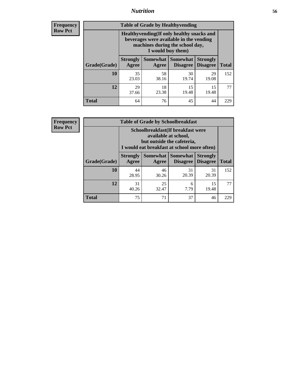### *Nutrition* **56**

**Frequency Row Pct**

| <b>Table of Grade by Healthyvending</b> |                                                                                                                                               |             |                                        |                                    |              |  |  |
|-----------------------------------------|-----------------------------------------------------------------------------------------------------------------------------------------------|-------------|----------------------------------------|------------------------------------|--------------|--|--|
|                                         | Healthyvending (If only healthy snacks and<br>beverages were available in the vending<br>machines during the school day,<br>I would buy them) |             |                                        |                                    |              |  |  |
| Grade(Grade)                            | <b>Strongly</b><br>Agree                                                                                                                      | Agree       | Somewhat   Somewhat<br><b>Disagree</b> | <b>Strongly</b><br><b>Disagree</b> | <b>Total</b> |  |  |
| 10                                      | 35<br>23.03                                                                                                                                   | 58<br>38.16 | 30<br>19.74                            | 29<br>19.08                        | 152          |  |  |
| 12                                      | 29<br>37.66                                                                                                                                   | 18<br>23.38 | 15<br>19.48                            | 15<br>19.48                        | 77           |  |  |
| <b>Total</b>                            | 64                                                                                                                                            | 76          | 45                                     | 44                                 | 229          |  |  |

**Frequency Row Pct**

| <b>Table of Grade by Schoolbreakfast</b> |                                                                                                                                         |             |             |             |              |  |  |
|------------------------------------------|-----------------------------------------------------------------------------------------------------------------------------------------|-------------|-------------|-------------|--------------|--|--|
|                                          | Schoolbreakfast (If breakfast were<br>available at school,<br>but outside the cafeteria,<br>I would eat breakfast at school more often) |             |             |             |              |  |  |
| Grade(Grade)                             | Somewhat   Somewhat<br><b>Strongly</b><br><b>Strongly</b><br><b>Disagree</b><br>Agree<br>Disagree<br>Agree                              |             |             |             | <b>Total</b> |  |  |
| 10                                       | 44<br>28.95                                                                                                                             | 46<br>30.26 | 31<br>20.39 | 31<br>20.39 | 152          |  |  |
| 12                                       | 31<br>40.26                                                                                                                             | 25<br>32.47 | 6<br>7.79   | 15<br>19.48 | 77           |  |  |
| <b>Total</b>                             | 75                                                                                                                                      | 71          | 37          | 46          | 229          |  |  |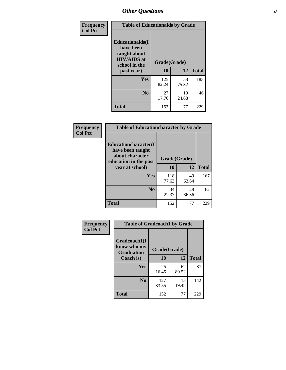| Frequency<br><b>Col Pct</b> | <b>Table of Educationaids by Grade</b>                                                                    |                    |             |              |  |
|-----------------------------|-----------------------------------------------------------------------------------------------------------|--------------------|-------------|--------------|--|
|                             | <b>Educationaids</b> (I<br>have been<br>taught about<br><b>HIV/AIDS</b> at<br>school in the<br>past year) | Grade(Grade)<br>10 | 12          | <b>Total</b> |  |
|                             | Yes                                                                                                       | 125                | 58          | 183          |  |
|                             |                                                                                                           | 82.24              | 75.32       |              |  |
|                             | N <sub>0</sub>                                                                                            | 27<br>17.76        | 19<br>24.68 | 46           |  |
|                             | <b>Total</b>                                                                                              | 152                | 77          | 229          |  |

| Frequency      | <b>Table of Educationcharacter by Grade</b>                                                             |              |             |              |  |
|----------------|---------------------------------------------------------------------------------------------------------|--------------|-------------|--------------|--|
| <b>Col Pct</b> | Educationcharacter(I<br>have been taught<br>about character<br>education in the past<br>year at school) | Grade(Grade) |             |              |  |
|                |                                                                                                         | 10           | 12          | <b>Total</b> |  |
|                | Yes                                                                                                     | 118<br>77.63 | 49<br>63.64 | 167          |  |
|                | N <sub>0</sub>                                                                                          | 34<br>22.37  | 28<br>36.36 | 62           |  |
|                | <b>Total</b>                                                                                            | 152          | 77          | 229          |  |

| Frequency      | <b>Table of Gradcoach1 by Grade</b>              |              |             |              |
|----------------|--------------------------------------------------|--------------|-------------|--------------|
| <b>Col Pct</b> | Gradcoach1(I<br>know who my<br><b>Graduation</b> | Grade(Grade) |             |              |
|                | Coach is)                                        | 10           | 12          | <b>Total</b> |
|                | Yes                                              | 25<br>16.45  | 62<br>80.52 | 87           |
|                | N <sub>0</sub>                                   | 127<br>83.55 | 15<br>19.48 | 142          |
|                | <b>Total</b>                                     | 152          | 77          | 229          |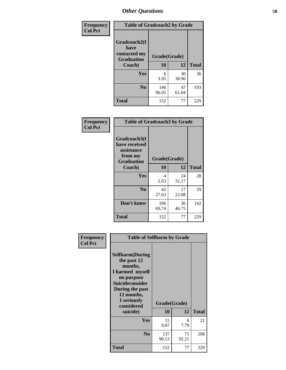| Frequency      | <b>Table of Gradcoach2 by Grade</b>         |              |             |              |
|----------------|---------------------------------------------|--------------|-------------|--------------|
| <b>Col Pct</b> |                                             |              |             |              |
|                | Gradcoach2(I<br>have                        |              |             |              |
|                | contacted my<br><b>Graduation</b><br>Coach) | Grade(Grade) |             |              |
|                |                                             | 10           | 12          | <b>Total</b> |
|                | Yes                                         | 6<br>3.95    | 30<br>38.96 | 36           |
|                | N <sub>0</sub>                              | 146<br>96.05 | 47<br>61.04 | 193          |
|                | <b>Total</b>                                | 152          | 77          | 229          |

| Frequency<br><b>Col Pct</b> | <b>Table of Gradcoach3 by Grade</b>                                         |              |             |              |
|-----------------------------|-----------------------------------------------------------------------------|--------------|-------------|--------------|
|                             | Gradcoach3(I<br>have received<br>assistance<br>from my<br><b>Graduation</b> | Grade(Grade) |             |              |
|                             | Coach)                                                                      | 10           | 12          | <b>Total</b> |
|                             | Yes                                                                         | 4<br>2.63    | 24<br>31.17 | 28           |
|                             | N <sub>0</sub>                                                              | 42<br>27.63  | 17<br>22.08 | 59           |
|                             | Don't know                                                                  | 106<br>69.74 | 36<br>46.75 | 142          |
|                             | <b>Total</b>                                                                | 152          | 77          | 229          |

| Frequency      | <b>Table of Selfharm by Grade</b>                                                                                                                                                      |                    |             |              |  |
|----------------|----------------------------------------------------------------------------------------------------------------------------------------------------------------------------------------|--------------------|-------------|--------------|--|
| <b>Col Pct</b> | <b>Selfharm</b> (During<br>the past 12<br>months,<br>I harmed myself<br>on purpose<br><b>Suicideconsider</b><br>During the past<br>12 months,<br>I seriously<br>considered<br>suicide) | Grade(Grade)<br>10 | 12          | <b>Total</b> |  |
|                | Yes                                                                                                                                                                                    | 15<br>9.87         | 6<br>7.79   | 21           |  |
|                | N <sub>0</sub>                                                                                                                                                                         | 137<br>90.13       | 71<br>92.21 | 208          |  |
|                | <b>Total</b>                                                                                                                                                                           | 152                | 77          | 229          |  |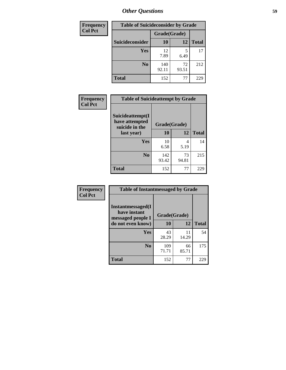| <b>Frequency</b><br><b>Table of Suicideconsider by Grade</b> |                 |              |             |              |
|--------------------------------------------------------------|-----------------|--------------|-------------|--------------|
| <b>Col Pct</b>                                               |                 | Grade(Grade) |             |              |
|                                                              | Suicideconsider | 10           | 12          | <b>Total</b> |
|                                                              | Yes             | 12<br>7.89   | 6.49        | 17           |
|                                                              | N <sub>0</sub>  | 140<br>92.11 | 72<br>93.51 | 212          |
|                                                              | <b>Total</b>    | 152          | 77          | 229          |

| Frequency      | <b>Table of Suicideattempt by Grade</b>              |              |             |              |
|----------------|------------------------------------------------------|--------------|-------------|--------------|
| <b>Col Pct</b> | Suicideattempt(I<br>have attempted<br>suicide in the | Grade(Grade) |             |              |
|                | last year)                                           | <b>10</b>    | 12          | <b>Total</b> |
|                | Yes                                                  | 10<br>6.58   | 4<br>5.19   | 14           |
|                | N <sub>0</sub>                                       | 142<br>93.42 | 73<br>94.81 | 215          |
|                | <b>Total</b>                                         | 152          | 77          | 229          |

| Frequency      | <b>Table of Instantmessaged by Grade</b>               |              |             |              |
|----------------|--------------------------------------------------------|--------------|-------------|--------------|
| <b>Col Pct</b> | Instantmessaged(I<br>have instant<br>messaged people I | Grade(Grade) |             |              |
|                | do not even know)                                      | 10           | 12          | <b>Total</b> |
|                | Yes                                                    | 43<br>28.29  | 11<br>14.29 | 54           |
|                | N <sub>0</sub>                                         | 109<br>71.71 | 66<br>85.71 | 175          |
|                | <b>Total</b>                                           | 152          | 77          | 229          |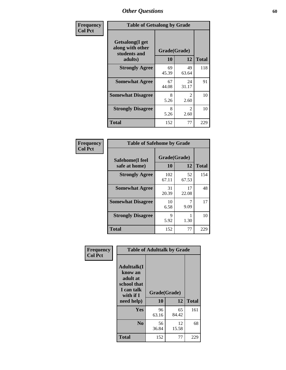| Frequency      | <b>Table of Getsalong by Grade</b>                          |              |                        |              |  |  |  |
|----------------|-------------------------------------------------------------|--------------|------------------------|--------------|--|--|--|
| <b>Col Pct</b> | <b>Getsalong</b> (I get<br>along with other<br>students and | Grade(Grade) |                        |              |  |  |  |
|                | adults)                                                     | 10           | 12                     | <b>Total</b> |  |  |  |
|                | <b>Strongly Agree</b>                                       | 69<br>45.39  | 49<br>63.64            | 118          |  |  |  |
|                | <b>Somewhat Agree</b>                                       | 67<br>44.08  | 24<br>31.17            | 91           |  |  |  |
|                | <b>Somewhat Disagree</b>                                    | 8<br>5.26    | $\mathfrak{D}$<br>2.60 | 10           |  |  |  |
|                | <b>Strongly Disagree</b>                                    | 8<br>5.26    | $\mathfrak{D}$<br>2.60 | 10           |  |  |  |
|                | <b>Total</b>                                                | 152          | 77                     | 229          |  |  |  |

| Frequency      | <b>Table of Safehome by Grade</b> |                    |             |              |  |  |  |
|----------------|-----------------------------------|--------------------|-------------|--------------|--|--|--|
| <b>Col Pct</b> | Safehome(I feel<br>safe at home)  | Grade(Grade)<br>10 | 12          | <b>Total</b> |  |  |  |
|                | <b>Strongly Agree</b>             | 102<br>67.11       | 52<br>67.53 | 154          |  |  |  |
|                | <b>Somewhat Agree</b>             | 31<br>20.39        | 17<br>22.08 | 48           |  |  |  |
|                | <b>Somewhat Disagree</b>          | 10<br>6.58         | 9.09        | 17           |  |  |  |
|                | <b>Strongly Disagree</b>          | 9<br>5.92          | 1.30        | 10           |  |  |  |
|                | <b>Total</b>                      | 152                | 77          | 229          |  |  |  |

| Frequency<br><b>Col Pct</b> | <b>Table of Adulttalk by Grade</b>                                                                |                    |             |              |  |  |  |
|-----------------------------|---------------------------------------------------------------------------------------------------|--------------------|-------------|--------------|--|--|--|
|                             | <b>Adulttalk(I</b><br>know an<br>adult at<br>school that<br>I can talk<br>with if I<br>need help) | Grade(Grade)<br>10 | 12          | <b>Total</b> |  |  |  |
|                             | Yes                                                                                               | 96<br>63.16        | 65<br>84.42 | 161          |  |  |  |
|                             | N <sub>0</sub>                                                                                    | 56<br>36.84        | 12<br>15.58 | 68           |  |  |  |
|                             | <b>Total</b>                                                                                      | 152                | 77          | 229          |  |  |  |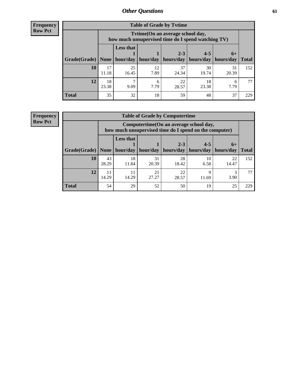**Frequency Row Pct**

| <b>Table of Grade by Tvtime</b> |             |                                                                                         |                     |                        |                                  |                      |              |  |  |  |  |
|---------------------------------|-------------|-----------------------------------------------------------------------------------------|---------------------|------------------------|----------------------------------|----------------------|--------------|--|--|--|--|
|                                 |             | Tytime (On an average school day,<br>how much unsupervised time do I spend watching TV) |                     |                        |                                  |                      |              |  |  |  |  |
| Grade(Grade)   None             |             | <b>Less that</b>                                                                        | hour/day   hour/day | $2 - 3$<br>  hours/day | $4 - 5$<br>hours/day   hours/day | $6+$                 | <b>Total</b> |  |  |  |  |
| 10                              | 17<br>11.18 | 25<br>16.45                                                                             | 12<br>7.89          | 37<br>24.34            | 30<br>19.74                      | 31<br>20.39          | 152          |  |  |  |  |
| 12                              | 18<br>23.38 | 9.09                                                                                    | 7.79                | 22<br>28.57            | 18<br>23.38                      | <sub>6</sub><br>7.79 | 77           |  |  |  |  |
| <b>Total</b>                    | 35          | 32                                                                                      | 18                  | 59                     | 48                               | 37                   | 229          |  |  |  |  |

**Frequency Row Pct**

| <b>Table of Grade by Computertime</b> |             |                                                                                                                               |             |             |            |             |     |  |  |  |
|---------------------------------------|-------------|-------------------------------------------------------------------------------------------------------------------------------|-------------|-------------|------------|-------------|-----|--|--|--|
|                                       |             | Computertime (On an average school day,<br>how much unsupervised time do I spend on the computer)                             |             |             |            |             |     |  |  |  |
| Grade(Grade)                          | None        | <b>Less that</b><br>$2 - 3$<br>$4 - 5$<br>$6+$<br>hour/day<br>hours/day<br>hours/day<br>hour/day<br>hours/day<br><b>Total</b> |             |             |            |             |     |  |  |  |
| 10                                    | 43<br>28.29 | 18<br>11.84                                                                                                                   | 31<br>20.39 | 28<br>18.42 | 10<br>6.58 | 22<br>14.47 | 152 |  |  |  |
| 12                                    | 11<br>14.29 | 22<br>21<br>3<br>11<br>Q<br>14.29<br>27.27<br>3.90<br>28.57<br>11.69                                                          |             |             |            |             |     |  |  |  |
| <b>Total</b>                          | 54          | 29                                                                                                                            | 52          | 50          | 19         | 25          | 229 |  |  |  |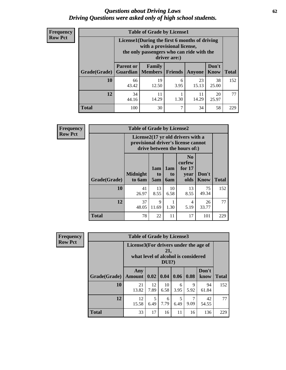#### *Questions about Driving Laws* **62** *Driving Questions were asked only of high school students.*

| <b>Frequency</b> |
|------------------|
| <b>Row Pct</b>   |

| <b>Table of Grade by License1</b> |                                                                  |                                                                                                                                           |                |             |               |              |  |  |  |
|-----------------------------------|------------------------------------------------------------------|-------------------------------------------------------------------------------------------------------------------------------------------|----------------|-------------|---------------|--------------|--|--|--|
|                                   |                                                                  | License1(During the first 6 months of driving<br>with a provisional license,<br>the only passengers who can ride with the<br>driver are:) |                |             |               |              |  |  |  |
| Grade(Grade)                      | <b>Parent or</b><br><b>Guardian</b>                              | Family<br><b>Members</b>                                                                                                                  | <b>Friends</b> | Anyone      | Don't<br>Know | <b>Total</b> |  |  |  |
| 10                                | 66<br>43.42                                                      | 19<br>12.50                                                                                                                               | 6<br>3.95      | 23<br>15.13 | 38<br>25.00   | 152          |  |  |  |
| 12                                | 34<br>20<br>11<br>11<br>14.29<br>1.30<br>14.29<br>25.97<br>44.16 |                                                                                                                                           |                |             |               |              |  |  |  |
| <b>Total</b>                      | 100                                                              | 30                                                                                                                                        | 7              | 34          | 58            | 229          |  |  |  |

| <b>Frequency</b> | <b>Table of Grade by License2</b> |                           |                  |                  |                                                                                                          |                      |              |  |  |
|------------------|-----------------------------------|---------------------------|------------------|------------------|----------------------------------------------------------------------------------------------------------|----------------------|--------------|--|--|
| <b>Row Pct</b>   |                                   |                           |                  |                  | License2(17 yr old drivers with a<br>provisional driver's license cannot<br>drive between the hours of:) |                      |              |  |  |
|                  | Grade(Grade)                      | <b>Midnight</b><br>to 6am | 1am<br>to<br>5am | 1am<br>to<br>6am | N <sub>0</sub><br>curfew<br>for $17$<br>year<br>olds                                                     | Don't<br><b>Know</b> | <b>Total</b> |  |  |
|                  | 10                                | 41<br>26.97               | 13<br>8.55       | 10<br>6.58       | 13<br>8.55                                                                                               | 75<br>49.34          | 152          |  |  |
|                  | 12                                | 37<br>48.05               | 9<br>11.69       | 1<br>1.30        | $\overline{4}$<br>5.19                                                                                   | 26<br>33.77          | 77           |  |  |
|                  | <b>Total</b>                      | 78                        | 22               | 11               | 17                                                                                                       | 101                  | 229          |  |  |

| Frequency      | <b>Table of Grade by License3</b> |                                                                              |            |              |           |                        |               |              |  |
|----------------|-----------------------------------|------------------------------------------------------------------------------|------------|--------------|-----------|------------------------|---------------|--------------|--|
| <b>Row Pct</b> |                                   | License3(For drivers under the age of<br>what level of alcohol is considered |            | 21,<br>DUI?) |           |                        |               |              |  |
|                | Grade(Grade)                      | Any<br>Amount                                                                | 0.02       | 0.04         | 0.06      | 0.08                   | Don't<br>know | <b>Total</b> |  |
|                | 10                                | 21<br>13.82                                                                  | 12<br>7.89 | 10<br>6.58   | 6<br>3.95 | 9<br>5.92              | 94<br>61.84   | 152          |  |
|                | 12                                | 12<br>15.58                                                                  | 5<br>6.49  | 6<br>7.79    | 5<br>6.49 | $\overline{7}$<br>9.09 | 42<br>54.55   | 77           |  |
|                | <b>Total</b>                      | 33                                                                           | 17         | 16           | 11        | 16                     | 136           | 229          |  |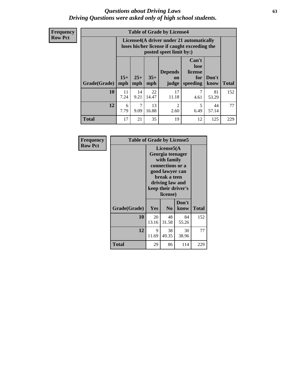#### *Questions about Driving Laws* **63** *Driving Questions were asked only of high school students.*

**Frequency Row Pct**

| <b>Table of Grade by License4</b> |            |                                                                                                                                                                                                                                                                                |             |             |           |             |     |  |  |
|-----------------------------------|------------|--------------------------------------------------------------------------------------------------------------------------------------------------------------------------------------------------------------------------------------------------------------------------------|-------------|-------------|-----------|-------------|-----|--|--|
|                                   |            | License4(A driver under 21 automatically<br>loses his/her license if caught exceeding the<br>posted speet limit by:)<br>Can't<br>lose<br><b>Depends</b><br>license<br>$15+$<br>$25+$<br>$35+$<br>Don't<br>for<br>on<br>mph<br><b>Total</b><br>speeding<br>know<br>mph<br>judge |             |             |           |             |     |  |  |
| Grade(Grade)                      | mph        |                                                                                                                                                                                                                                                                                |             |             |           |             |     |  |  |
| 10                                | 11<br>7.24 | 14<br>9.21                                                                                                                                                                                                                                                                     | 22<br>14.47 | 17<br>11.18 | 7<br>4.61 | 81<br>53.29 | 152 |  |  |
| 12                                | 6<br>7.79  | 13<br>7<br>$\overline{2}$<br>5<br>44<br>16.88<br>9.09<br>6.49<br>57.14<br>2.60                                                                                                                                                                                                 |             |             |           |             |     |  |  |
| <b>Total</b>                      | 17         | 21                                                                                                                                                                                                                                                                             | 35          | 19          | 12        | 125         | 229 |  |  |

| Frequency      | <b>Table of Grade by License5</b> |             |                                                                                                                                      |                     |       |
|----------------|-----------------------------------|-------------|--------------------------------------------------------------------------------------------------------------------------------------|---------------------|-------|
| <b>Row Pct</b> |                                   |             | License5(A)<br>Georgia teenager<br>with family<br>connections or a<br>good lawyer can<br>break a teen<br>driving law and<br>license) | keep their driver's |       |
|                | Grade(Grade)                      | <b>Yes</b>  | N <sub>0</sub>                                                                                                                       | Don't<br>know       | Total |
|                | 10                                | 20<br>13.16 | 48<br>31.58                                                                                                                          | 84<br>55.26         | 152   |
|                | 12                                | 9<br>11.69  | 38<br>49.35                                                                                                                          | 30<br>38.96         | 77    |
|                | Total                             | 29          | 86                                                                                                                                   | 114                 | 229   |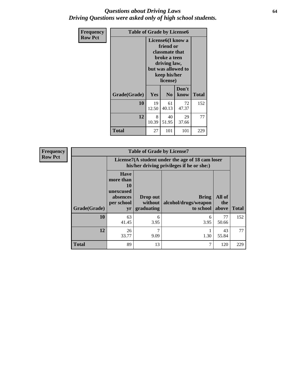#### *Questions about Driving Laws* **64** *Driving Questions were asked only of high school students.*

| <b>Frequency</b> | <b>Table of Grade by License6</b> |                                                                                                                                                 |                            |               |              |
|------------------|-----------------------------------|-------------------------------------------------------------------------------------------------------------------------------------------------|----------------------------|---------------|--------------|
| <b>Row Pct</b>   |                                   | License <sub>6</sub> (I know a<br>friend or<br>classmate that<br>broke a teen<br>driving law,<br>but was allowed to<br>keep his/her<br>license) |                            |               |              |
|                  | Grade(Grade)                      | <b>Yes</b>                                                                                                                                      | N <sub>0</sub>             | Don't<br>know | <b>Total</b> |
|                  | 10                                | 19<br>12.50                                                                                                                                     | 72<br>61<br>40.13<br>47.37 |               |              |
|                  | 12                                | 8<br>10.39                                                                                                                                      | 77                         |               |              |
|                  | Total                             | 27                                                                                                                                              | 101                        | 101           | 229          |

| <b>Frequency</b> | <b>Table of Grade by License7</b> |                                                                             |                                                                                               |                                            |                        |              |  |
|------------------|-----------------------------------|-----------------------------------------------------------------------------|-----------------------------------------------------------------------------------------------|--------------------------------------------|------------------------|--------------|--|
| <b>Row Pct</b>   |                                   |                                                                             | License7(A student under the age of 18 cam loser<br>his/her driving privileges if he or she:) |                                            |                        |              |  |
|                  | Grade(Grade)                      | <b>Have</b><br>more than<br>10<br>unexcused<br>absences<br>per school<br>yr | Drop out<br>without<br>graduating                                                             | Bring<br>alcohol/drugs/weapon<br>to school | All of<br>the<br>above | <b>Total</b> |  |
|                  | 10                                | 63<br>41.45                                                                 | 6<br>3.95                                                                                     | 6<br>3.95                                  | 77<br>50.66            | 152          |  |
|                  | 12                                | 26<br>33.77                                                                 | ⇁<br>9.09                                                                                     | 1.30                                       | 43<br>55.84            | 77           |  |
|                  | <b>Total</b>                      | 89                                                                          | 13                                                                                            | 7                                          | 120                    | 229          |  |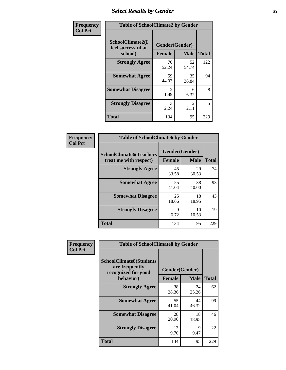# *Select Results by Gender* **65**

| Frequency      | <b>Table of SchoolClimate2 by Gender</b>          |                                 |                       |              |
|----------------|---------------------------------------------------|---------------------------------|-----------------------|--------------|
| <b>Col Pct</b> | SchoolClimate2(I<br>feel successful at<br>school) | Gender(Gender)<br><b>Female</b> | <b>Male</b>           | <b>Total</b> |
|                | <b>Strongly Agree</b>                             | 70<br>52.24                     | 52<br>54.74           | 122          |
|                | <b>Somewhat Agree</b>                             | 59<br>44.03                     | 35<br>36.84           | 94           |
|                | <b>Somewhat Disagree</b>                          | $\mathcal{L}$<br>1.49           | 6<br>6.32             | 8            |
|                | <b>Strongly Disagree</b>                          | 3<br>2.24                       | $\mathcal{L}$<br>2.11 | 5            |
|                | <b>Total</b>                                      | 134                             | 95                    | 229          |

| Frequency      | <b>Table of SchoolClimate6 by Gender</b>                 |                                 |             |              |  |
|----------------|----------------------------------------------------------|---------------------------------|-------------|--------------|--|
| <b>Col Pct</b> | <b>SchoolClimate6(Teachers</b><br>treat me with respect) | Gender(Gender)<br><b>Female</b> | <b>Male</b> | <b>Total</b> |  |
|                | <b>Strongly Agree</b>                                    | 45<br>33.58                     | 29<br>30.53 | 74           |  |
|                | <b>Somewhat Agree</b>                                    | 55<br>41.04                     | 38<br>40.00 | 93           |  |
|                | <b>Somewhat Disagree</b>                                 | 25<br>18.66                     | 18<br>18.95 | 43           |  |
|                | <b>Strongly Disagree</b>                                 | 9<br>6.72                       | 10<br>10.53 | 19           |  |
|                | <b>Total</b>                                             | 134                             | 95          | 229          |  |

| <b>Frequency</b> | <b>Table of SchoolClimate8 by Gender</b>                                             |               |                               |              |
|------------------|--------------------------------------------------------------------------------------|---------------|-------------------------------|--------------|
| <b>Col Pct</b>   | <b>SchoolClimate8(Students</b><br>are frequently<br>recognized for good<br>behavior) | <b>Female</b> | Gender(Gender)<br><b>Male</b> | <b>Total</b> |
|                  | <b>Strongly Agree</b>                                                                | 38<br>28.36   | 24<br>25.26                   | 62           |
|                  | <b>Somewhat Agree</b>                                                                | 55<br>41.04   | 44<br>46.32                   | 99           |
|                  | <b>Somewhat Disagree</b>                                                             | 28<br>20.90   | 18<br>18.95                   | 46           |
|                  | <b>Strongly Disagree</b>                                                             | 13<br>9.70    | 9<br>9.47                     | 22           |
|                  | Total                                                                                | 134           | 95                            | 229          |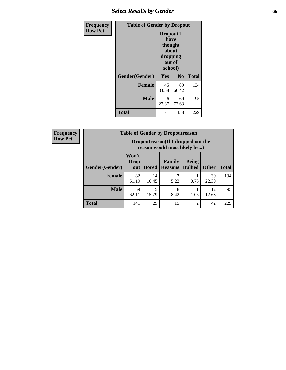# *Select Results by Gender* **66**

| Frequency      | <b>Table of Gender by Dropout</b> |                                                                        |                |              |
|----------------|-----------------------------------|------------------------------------------------------------------------|----------------|--------------|
| <b>Row Pct</b> |                                   | Dropout(I<br>have<br>thought<br>about<br>dropping<br>out of<br>school) |                |              |
|                | Gender(Gender)                    | Yes                                                                    | N <sub>0</sub> | <b>Total</b> |
|                | <b>Female</b>                     | 45<br>33.58                                                            | 89<br>66.42    | 134          |
|                | <b>Male</b>                       | 26<br>27.37                                                            | 69<br>72.63    | 95           |
|                | <b>Total</b>                      | 71                                                                     | 158            | 229          |

| <b>Frequency</b> | <b>Table of Gender by Dropoutreason</b> |                                                                    |              |                          |                                |              |              |
|------------------|-----------------------------------------|--------------------------------------------------------------------|--------------|--------------------------|--------------------------------|--------------|--------------|
| <b>Row Pct</b>   |                                         | Dropoutreason(If I dropped out the<br>reason would most likely be) |              |                          |                                |              |              |
|                  | Gender(Gender)                          | Won't<br><b>Drop</b><br>out                                        | <b>Bored</b> | Family<br><b>Reasons</b> | <b>Being</b><br><b>Bullied</b> | <b>Other</b> | <b>Total</b> |
|                  | Female                                  | 82<br>61.19                                                        | 14<br>10.45  | 5.22                     | 0.75                           | 30<br>22.39  | 134          |
|                  | <b>Male</b>                             | 59<br>62.11                                                        | 15<br>15.79  | 8<br>8.42                | 1.05                           | 12<br>12.63  | 95           |
|                  | <b>Total</b>                            | 141                                                                | 29           | 15                       | $\overline{c}$                 | 42           | 229          |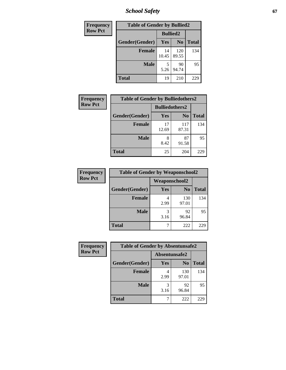*School Safety* **67**

| Frequency      | <b>Table of Gender by Bullied2</b> |                 |                |              |
|----------------|------------------------------------|-----------------|----------------|--------------|
| <b>Row Pct</b> |                                    | <b>Bullied2</b> |                |              |
|                | Gender(Gender)                     | <b>Yes</b>      | N <sub>0</sub> | <b>Total</b> |
|                | <b>Female</b>                      | 14<br>10.45     | 120<br>89.55   | 134          |
|                | <b>Male</b>                        | 5.26            | 90<br>94.74    | 95           |
|                | <b>Total</b>                       | 19              | 210            | 229          |

| Frequency      | <b>Table of Gender by Bulliedothers2</b> |                       |                |              |
|----------------|------------------------------------------|-----------------------|----------------|--------------|
| <b>Row Pct</b> |                                          | <b>Bulliedothers2</b> |                |              |
|                | Gender(Gender)                           | Yes                   | N <sub>0</sub> | <b>Total</b> |
|                | <b>Female</b>                            | 17<br>12.69           | 117<br>87.31   | 134          |
|                | <b>Male</b>                              | 8<br>8.42             | 87<br>91.58    | 95           |
|                | <b>Total</b>                             | 25                    | 204            | 229          |

| Frequency      | <b>Table of Gender by Weaponschool2</b> |               |                |              |
|----------------|-----------------------------------------|---------------|----------------|--------------|
| <b>Row Pct</b> |                                         | Weaponschool2 |                |              |
|                | Gender(Gender)                          | <b>Yes</b>    | N <sub>0</sub> | <b>Total</b> |
|                | <b>Female</b>                           | 4<br>2.99     | 130<br>97.01   | 134          |
|                | <b>Male</b>                             | 3<br>3.16     | 92<br>96.84    | 95           |
|                | <b>Total</b>                            |               | 222            | 229          |

| Frequency      | <b>Table of Gender by Absentunsafe2</b> |               |                |              |
|----------------|-----------------------------------------|---------------|----------------|--------------|
| <b>Row Pct</b> |                                         | Absentunsafe2 |                |              |
|                | Gender(Gender)                          | Yes           | N <sub>0</sub> | <b>Total</b> |
|                | <b>Female</b>                           | 4<br>2.99     | 130<br>97.01   | 134          |
|                | <b>Male</b>                             | 3.16          | 92<br>96.84    | 95           |
|                | <b>Total</b>                            |               | 222            | 229          |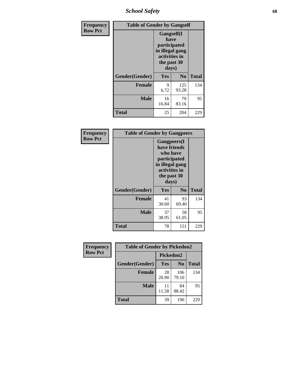*School Safety* **68**

| Frequency      | <b>Table of Gender by Gangself</b> |                                                                                                |                |              |
|----------------|------------------------------------|------------------------------------------------------------------------------------------------|----------------|--------------|
| <b>Row Pct</b> |                                    | Gangself(I<br>have<br>participated<br>in illegal gang<br>activities in<br>the past 30<br>days) |                |              |
|                | Gender(Gender)                     | Yes                                                                                            | N <sub>0</sub> | <b>Total</b> |
|                | <b>Female</b>                      | 9<br>6.72                                                                                      | 125<br>93.28   | 134          |
|                | <b>Male</b>                        | 16<br>16.84                                                                                    | 79<br>83.16    | 95           |
|                | <b>Total</b>                       | 25                                                                                             | 204            | 229          |

| Frequency      | <b>Table of Gender by Gangpeers</b> |                                                                                                                             |                |              |
|----------------|-------------------------------------|-----------------------------------------------------------------------------------------------------------------------------|----------------|--------------|
| <b>Row Pct</b> |                                     | <b>Gangpeers</b> (I<br>have friends<br>who have<br>participated<br>in illegal gang<br>activities in<br>the past 30<br>days) |                |              |
|                | Gender(Gender)                      | Yes                                                                                                                         | N <sub>0</sub> | <b>Total</b> |
|                | <b>Female</b>                       | 41<br>30.60                                                                                                                 | 93<br>69.40    | 134          |
|                | <b>Male</b>                         | 37<br>38.95                                                                                                                 | 58<br>61.05    | 95           |
|                | Total                               | 78                                                                                                                          | 151            | 229          |

| Frequency      | <b>Table of Gender by Pickedon2</b> |             |                |              |
|----------------|-------------------------------------|-------------|----------------|--------------|
| <b>Row Pct</b> |                                     | Pickedon2   |                |              |
|                | Gender(Gender)                      | <b>Yes</b>  | N <sub>0</sub> | <b>Total</b> |
|                | <b>Female</b>                       | 28<br>20.90 | 106<br>79.10   | 134          |
|                | <b>Male</b>                         | 11<br>11.58 | 84<br>88.42    | 95           |
|                | <b>Total</b>                        | 39          | 190            | 229          |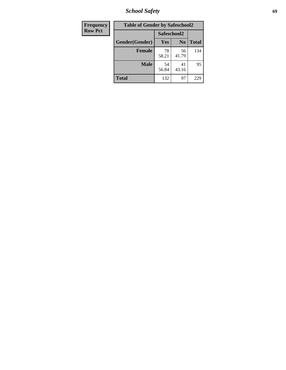*School Safety* **69**

| Frequency      | <b>Table of Gender by Safeschool2</b> |             |                |              |
|----------------|---------------------------------------|-------------|----------------|--------------|
| <b>Row Pct</b> |                                       | Safeschool2 |                |              |
|                | Gender(Gender)                        | Yes         | N <sub>0</sub> | <b>Total</b> |
|                | <b>Female</b>                         | 78<br>58.21 | 56<br>41.79    | 134          |
|                | <b>Male</b>                           | 54<br>56.84 | 41<br>43.16    | 95           |
|                | <b>Total</b>                          | 132         | 97             | 229          |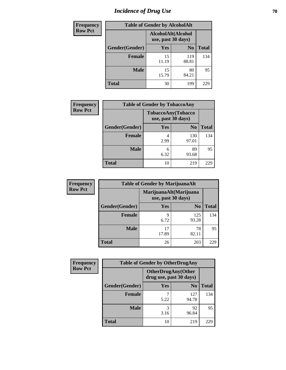# *Incidence of Drug Use* **70**

| <b>Frequency</b> | <b>Table of Gender by AlcoholAlt</b> |                                          |                |              |
|------------------|--------------------------------------|------------------------------------------|----------------|--------------|
| <b>Row Pct</b>   |                                      | AlcoholAlt(Alcohol<br>use, past 30 days) |                |              |
|                  | Gender(Gender)                       | Yes                                      | N <sub>0</sub> | <b>Total</b> |
|                  | <b>Female</b>                        | 15<br>11.19                              | 119<br>88.81   | 134          |
|                  | <b>Male</b>                          | 15<br>15.79                              | 80<br>84.21    | 95           |
|                  | <b>Total</b>                         | 30                                       | 199            | 229          |

| <b>Frequency</b> | <b>Table of Gender by TobaccoAny</b> |            |                                          |              |
|------------------|--------------------------------------|------------|------------------------------------------|--------------|
| <b>Row Pct</b>   |                                      |            | TobaccoAny(Tobacco<br>use, past 30 days) |              |
|                  | Gender(Gender)                       | <b>Yes</b> | N <sub>0</sub>                           | <b>Total</b> |
|                  | <b>Female</b>                        | 2.99       | 130<br>97.01                             | 134          |
|                  | <b>Male</b>                          | 6<br>6.32  | 89<br>93.68                              | 95           |
|                  | <b>Total</b>                         | 10         | 219                                      | 229          |

| <b>Frequency</b> | <b>Table of Gender by MarijuanaAlt</b> |                    |                        |              |
|------------------|----------------------------------------|--------------------|------------------------|--------------|
| <b>Row Pct</b>   |                                        | use, past 30 days) | MarijuanaAlt(Marijuana |              |
|                  | Gender(Gender)                         | <b>Yes</b>         | N <sub>0</sub>         | <b>Total</b> |
|                  | <b>Female</b>                          | 9<br>6.72          | 125<br>93.28           | 134          |
|                  | <b>Male</b>                            | 17<br>17.89        | 78<br>82.11            | 95           |
|                  | <b>Total</b>                           | 26                 | 203                    | 229          |

| <b>Frequency</b> | <b>Table of Gender by OtherDrugAny</b> |                         |                           |              |
|------------------|----------------------------------------|-------------------------|---------------------------|--------------|
| <b>Row Pct</b>   |                                        | drug use, past 30 days) | <b>OtherDrugAny(Other</b> |              |
|                  | Gender(Gender)                         | <b>Yes</b>              | N <sub>0</sub>            | <b>Total</b> |
|                  | <b>Female</b>                          | 5.22                    | 127<br>94.78              | 134          |
|                  | <b>Male</b>                            | 3<br>3.16               | 92<br>96.84               | 95           |
|                  | <b>Total</b>                           | 10                      | 219                       | 229          |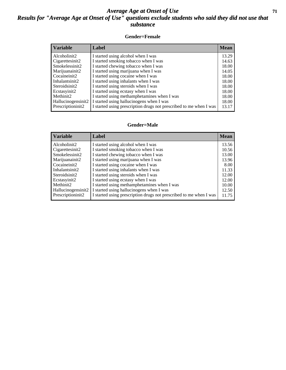#### *Average Age at Onset of Use* **71** *Results for "Average Age at Onset of Use" questions exclude students who said they did not use that substance*

#### **Gender=Female**

| <b>Variable</b>                 | Label                                                              | <b>Mean</b> |
|---------------------------------|--------------------------------------------------------------------|-------------|
| Alcoholinit2                    | I started using alcohol when I was                                 | 13.29       |
| Cigarettesinit2                 | I started smoking tobacco when I was                               | 14.63       |
| Smokelessinit2                  | I started chewing tobacco when I was                               | 18.00       |
| Marijuanainit2                  | I started using marijuana when I was                               | 14.05       |
| Cocaineinit2                    | I started using cocaine when I was                                 | 18.00       |
| Inhalantsinit2                  | I started using inhalants when I was                               | 18.00       |
| Steroidsinit2                   | I started using steroids when I was                                | 18.00       |
| Ecstasyinit2                    | I started using ecstasy when I was                                 | 18.00       |
| Methinit2                       | I started using methamphetamines when I was                        | 18.00       |
| Hallucinogensinit2              | I started using hallucinogens when I was                           | 18.00       |
| Prescription in it <sub>2</sub> | I started using prescription drugs not prescribed to me when I was | 13.17       |

#### **Gender=Male**

| <b>Variable</b>                 | Label                                                              | <b>Mean</b> |
|---------------------------------|--------------------------------------------------------------------|-------------|
| Alcoholinit2                    | I started using alcohol when I was                                 | 13.56       |
| Cigarettesinit2                 | I started smoking tobacco when I was                               | 10.56       |
| Smokelessinit2                  | I started chewing tobacco when I was                               | 13.00       |
| Marijuanainit2                  | I started using marijuana when I was                               | 13.96       |
| Cocaineinit2                    | I started using cocaine when I was                                 | 8.00        |
| Inhalantsinit2                  | I started using inhalants when I was                               | 11.33       |
| Steroidsinit2                   | I started using steroids when I was                                | 12.00       |
| Ecstasyinit2                    | I started using ecstasy when I was                                 | 12.00       |
| Methinit2                       | I started using methamphetamines when I was                        | 10.00       |
| Hallucinogensinit2              | I started using hallucinogens when I was                           | 12.50       |
| Prescription in it <sub>2</sub> | I started using prescription drugs not prescribed to me when I was | 11.75       |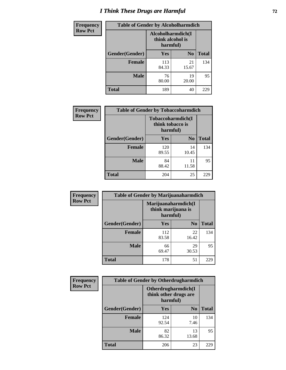# *I Think These Drugs are Harmful* **72**

| <b>Frequency</b> | <b>Table of Gender by Alcoholharmdich</b> |                                                   |                |              |
|------------------|-------------------------------------------|---------------------------------------------------|----------------|--------------|
| <b>Row Pct</b>   |                                           | Alcoholharmdich(I<br>think alcohol is<br>harmful) |                |              |
|                  | Gender(Gender)                            | <b>Yes</b>                                        | N <sub>0</sub> | <b>Total</b> |
|                  | <b>Female</b>                             | 113<br>84.33                                      | 21<br>15.67    | 134          |
|                  | <b>Male</b>                               | 76<br>80.00                                       | 19<br>20.00    | 95           |
|                  | <b>Total</b>                              | 189                                               | 40             | 229          |

| Frequency      | <b>Table of Gender by Tobaccoharmdich</b> |                              |                   |              |
|----------------|-------------------------------------------|------------------------------|-------------------|--------------|
| <b>Row Pct</b> |                                           | think tobacco is<br>harmful) | Tobaccoharmdich(I |              |
|                | Gender(Gender)                            | Yes                          | N <sub>0</sub>    | <b>Total</b> |
|                | <b>Female</b>                             | 120<br>89.55                 | 14<br>10.45       | 134          |
|                | <b>Male</b>                               | 84<br>88.42                  | 11<br>11.58       | 95           |
|                | <b>Total</b>                              | 204                          | 25                | 229          |

| Frequency      | <b>Table of Gender by Marijuanaharmdich</b> |                                |                     |              |
|----------------|---------------------------------------------|--------------------------------|---------------------|--------------|
| <b>Row Pct</b> |                                             | think marijuana is<br>harmful) | Marijuanaharmdich(I |              |
|                | Gender(Gender)                              | <b>Yes</b>                     | N <sub>0</sub>      | <b>Total</b> |
|                | <b>Female</b>                               | 112<br>83.58                   | 22<br>16.42         | 134          |
|                | <b>Male</b>                                 | 66<br>69.47                    | 29<br>30.53         | 95           |
|                | <b>Total</b>                                | 178                            | 51                  | 229          |

| Frequency      | <b>Table of Gender by Otherdrugharmdich</b> |                                                          |                |              |  |
|----------------|---------------------------------------------|----------------------------------------------------------|----------------|--------------|--|
| <b>Row Pct</b> |                                             | Otherdrugharmdich(I<br>think other drugs are<br>harmful) |                |              |  |
|                | Gender(Gender)                              | <b>Yes</b>                                               | N <sub>0</sub> | <b>Total</b> |  |
|                | <b>Female</b>                               | 124<br>92.54                                             | 10<br>7.46     | 134          |  |
|                | <b>Male</b>                                 | 82<br>86.32                                              | 13<br>13.68    | 95           |  |
|                | <b>Total</b>                                | 206                                                      | 23             | 229          |  |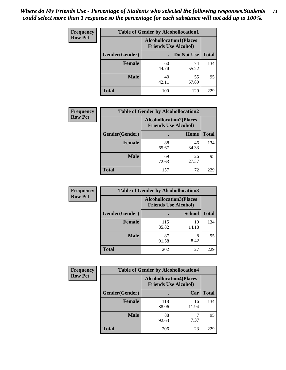| <b>Frequency</b> | <b>Table of Gender by Alcohollocation1</b> |                                                               |             |              |
|------------------|--------------------------------------------|---------------------------------------------------------------|-------------|--------------|
| <b>Row Pct</b>   |                                            | <b>Alcohollocation1(Places</b><br><b>Friends Use Alcohol)</b> |             |              |
|                  | Gender(Gender)                             |                                                               | Do Not Use  | <b>Total</b> |
|                  | <b>Female</b>                              | 60<br>44.78                                                   | 74<br>55.22 | 134          |
|                  | <b>Male</b>                                | 40<br>42.11                                                   | 55<br>57.89 | 95           |
|                  | <b>Total</b>                               | 100                                                           | 129         | 229          |

| <b>Frequency</b> | <b>Table of Gender by Alcohollocation2</b> |                                                               |             |              |
|------------------|--------------------------------------------|---------------------------------------------------------------|-------------|--------------|
| <b>Row Pct</b>   |                                            | <b>Alcohollocation2(Places</b><br><b>Friends Use Alcohol)</b> |             |              |
|                  | Gender(Gender)                             |                                                               | Home        | <b>Total</b> |
|                  | <b>Female</b>                              | 88<br>65.67                                                   | 46<br>34.33 | 134          |
|                  | <b>Male</b>                                | 69<br>72.63                                                   | 26<br>27.37 | 95           |
|                  | <b>Total</b>                               | 157                                                           | 72          | 229          |

| Frequency      | <b>Table of Gender by Alcohollocation3</b> |                                                               |               |              |
|----------------|--------------------------------------------|---------------------------------------------------------------|---------------|--------------|
| <b>Row Pct</b> |                                            | <b>Alcohollocation3(Places</b><br><b>Friends Use Alcohol)</b> |               |              |
|                | Gender(Gender)                             |                                                               | <b>School</b> | <b>Total</b> |
|                | <b>Female</b>                              | 115<br>85.82                                                  | 19<br>14.18   | 134          |
|                | <b>Male</b>                                | 87<br>91.58                                                   | 8<br>8.42     | 95           |
|                | <b>Total</b>                               | 202                                                           | 27            | 229          |

| Frequency      | <b>Table of Gender by Alcohollocation4</b> |                                                               |             |              |
|----------------|--------------------------------------------|---------------------------------------------------------------|-------------|--------------|
| <b>Row Pct</b> |                                            | <b>Alcohollocation4(Places</b><br><b>Friends Use Alcohol)</b> |             |              |
|                | <b>Gender</b> (Gender)                     |                                                               | Car         | <b>Total</b> |
|                | <b>Female</b>                              | 118<br>88.06                                                  | 16<br>11.94 | 134          |
|                | <b>Male</b>                                | 88<br>92.63                                                   | 7.37        | 95           |
|                | <b>Total</b>                               | 206                                                           | 23          | 229          |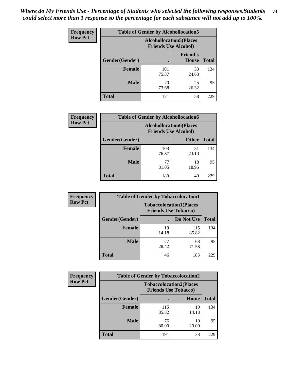| <b>Frequency</b> | <b>Table of Gender by Alcohollocation5</b> |                                                                |                                 |              |
|------------------|--------------------------------------------|----------------------------------------------------------------|---------------------------------|--------------|
| <b>Row Pct</b>   |                                            | <b>Alcohollocation5</b> (Places<br><b>Friends Use Alcohol)</b> |                                 |              |
|                  | Gender(Gender)                             |                                                                | <b>Friend's</b><br><b>House</b> | <b>Total</b> |
|                  | <b>Female</b>                              | 101<br>75.37                                                   | 33<br>24.63                     | 134          |
|                  | <b>Male</b>                                | 70<br>73.68                                                    | 25<br>26.32                     | 95           |
|                  | <b>Total</b>                               | 171                                                            | 58                              | 229          |

| <b>Frequency</b> | <b>Table of Gender by Alcohollocation6</b> |                                                               |              |              |
|------------------|--------------------------------------------|---------------------------------------------------------------|--------------|--------------|
| <b>Row Pct</b>   |                                            | <b>Alcohollocation6(Places</b><br><b>Friends Use Alcohol)</b> |              |              |
|                  | Gender(Gender)                             |                                                               | <b>Other</b> | <b>Total</b> |
|                  | <b>Female</b>                              | 103<br>76.87                                                  | 31<br>23.13  | 134          |
|                  | <b>Male</b>                                | 77<br>81.05                                                   | 18<br>18.95  | 95           |
|                  | <b>Total</b>                               | 180                                                           | 49           | 229          |

| Frequency      | <b>Table of Gender by Tobaccolocation1</b> |                                                               |              |              |  |
|----------------|--------------------------------------------|---------------------------------------------------------------|--------------|--------------|--|
| <b>Row Pct</b> |                                            | <b>Tobaccolocation1(Places</b><br><b>Friends Use Tobacco)</b> |              |              |  |
|                | Gender(Gender)                             |                                                               | Do Not Use   | <b>Total</b> |  |
|                | Female                                     | 19<br>14.18                                                   | 115<br>85.82 | 134          |  |
|                | <b>Male</b>                                | 27<br>28.42                                                   | 68<br>71.58  | 95           |  |
|                | <b>Total</b>                               | 46                                                            | 183          | 229          |  |

| Frequency      | <b>Table of Gender by Tobaccolocation2</b> |                                                               |             |              |
|----------------|--------------------------------------------|---------------------------------------------------------------|-------------|--------------|
| <b>Row Pct</b> |                                            | <b>Tobaccolocation2(Places</b><br><b>Friends Use Tobacco)</b> |             |              |
|                | Gender(Gender)                             |                                                               | Home        | <b>Total</b> |
|                | Female                                     | 115<br>85.82                                                  | 19<br>14.18 | 134          |
|                | <b>Male</b>                                | 76<br>80.00                                                   | 19<br>20.00 | 95           |
|                | <b>Total</b>                               | 191                                                           | 38          | 229          |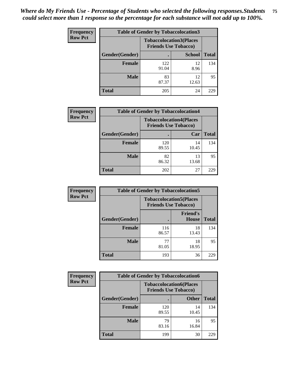| <b>Frequency</b> | <b>Table of Gender by Tobaccolocation3</b> |                                                               |               |              |
|------------------|--------------------------------------------|---------------------------------------------------------------|---------------|--------------|
| <b>Row Pct</b>   |                                            | <b>Tobaccolocation3(Places</b><br><b>Friends Use Tobacco)</b> |               |              |
|                  | Gender(Gender)                             |                                                               | <b>School</b> | <b>Total</b> |
|                  | <b>Female</b>                              | 122<br>91.04                                                  | 12<br>8.96    | 134          |
|                  | <b>Male</b>                                | 83<br>87.37                                                   | 12<br>12.63   | 95           |
|                  | Total                                      | 205                                                           | 24            | 229          |

| <b>Frequency</b> | <b>Table of Gender by Tobaccolocation4</b> |                             |                                |              |
|------------------|--------------------------------------------|-----------------------------|--------------------------------|--------------|
| <b>Row Pct</b>   |                                            | <b>Friends Use Tobacco)</b> | <b>Tobaccolocation4(Places</b> |              |
|                  | Gender(Gender)                             |                             | Car                            | <b>Total</b> |
|                  | Female                                     | 120<br>89.55                | 14<br>10.45                    | 134          |
|                  | <b>Male</b>                                | 82<br>86.32                 | 13<br>13.68                    | 95           |
|                  | <b>Total</b>                               | 202                         | 27                             | 229          |

| <b>Frequency</b> | <b>Table of Gender by Tobaccolocation5</b> |                                                               |                                 |              |
|------------------|--------------------------------------------|---------------------------------------------------------------|---------------------------------|--------------|
| <b>Row Pct</b>   |                                            | <b>Tobaccolocation5(Places</b><br><b>Friends Use Tobacco)</b> |                                 |              |
|                  | Gender(Gender)                             |                                                               | <b>Friend's</b><br><b>House</b> | <b>Total</b> |
|                  | <b>Female</b>                              | 116<br>86.57                                                  | 18<br>13.43                     | 134          |
|                  | <b>Male</b>                                | 77<br>81.05                                                   | 18<br>18.95                     | 95           |
|                  | <b>Total</b>                               | 193                                                           | 36                              | 229          |

| Frequency      | <b>Table of Gender by Tobaccolocation6</b> |                                                               |              |              |  |
|----------------|--------------------------------------------|---------------------------------------------------------------|--------------|--------------|--|
| <b>Row Pct</b> |                                            | <b>Tobaccolocation6(Places</b><br><b>Friends Use Tobacco)</b> |              |              |  |
|                | Gender(Gender)                             |                                                               | <b>Other</b> | <b>Total</b> |  |
|                | Female                                     | 120<br>89.55                                                  | 14<br>10.45  | 134          |  |
|                | <b>Male</b>                                | 79<br>83.16                                                   | 16<br>16.84  | 95           |  |
|                | <b>Total</b>                               | 199                                                           | 30           | 229          |  |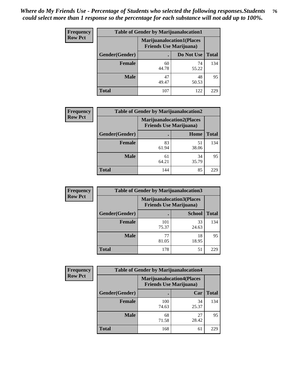| <b>Frequency</b> | <b>Table of Gender by Marijuanalocation1</b> |                                                                    |             |              |  |
|------------------|----------------------------------------------|--------------------------------------------------------------------|-------------|--------------|--|
| <b>Row Pct</b>   |                                              | <b>Marijuanalocation1(Places</b><br><b>Friends Use Marijuana</b> ) |             |              |  |
|                  | Gender(Gender)                               |                                                                    | Do Not Use  | <b>Total</b> |  |
|                  | <b>Female</b>                                | 60<br>44.78                                                        | 74<br>55.22 | 134          |  |
|                  | <b>Male</b>                                  | 47<br>49.47                                                        | 48<br>50.53 | 95           |  |
|                  | <b>Total</b>                                 | 107                                                                | 122         | 229          |  |

| <b>Frequency</b> | <b>Table of Gender by Marijuanalocation2</b> |                                                                    |             |              |  |
|------------------|----------------------------------------------|--------------------------------------------------------------------|-------------|--------------|--|
| <b>Row Pct</b>   |                                              | <b>Marijuanalocation2(Places</b><br><b>Friends Use Marijuana</b> ) |             |              |  |
|                  | Gender(Gender)                               |                                                                    | Home        | <b>Total</b> |  |
|                  | <b>Female</b>                                | 83<br>61.94                                                        | 51<br>38.06 | 134          |  |
|                  | <b>Male</b>                                  | 61<br>64.21                                                        | 34<br>35.79 | 95           |  |
|                  | <b>Total</b>                                 | 144                                                                | 85          | 229          |  |

| Frequency      |                | <b>Table of Gender by Marijuanalocation3</b>                       |               |              |
|----------------|----------------|--------------------------------------------------------------------|---------------|--------------|
| <b>Row Pct</b> |                | <b>Marijuanalocation3(Places</b><br><b>Friends Use Marijuana</b> ) |               |              |
|                | Gender(Gender) |                                                                    | <b>School</b> | <b>Total</b> |
|                | Female         | 101<br>75.37                                                       | 33<br>24.63   | 134          |
|                | <b>Male</b>    | 77<br>81.05                                                        | 18<br>18.95   | 95           |
|                | <b>Total</b>   | 178                                                                | 51            | 229          |

| <b>Frequency</b> | <b>Table of Gender by Marijuanalocation4</b> |                                |                                  |              |
|------------------|----------------------------------------------|--------------------------------|----------------------------------|--------------|
| <b>Row Pct</b>   |                                              | <b>Friends Use Marijuana</b> ) | <b>Marijuanalocation4(Places</b> |              |
|                  | Gender(Gender)                               |                                | Car                              | <b>Total</b> |
|                  | Female                                       | 100<br>74.63                   | 34<br>25.37                      | 134          |
|                  | <b>Male</b>                                  | 68<br>71.58                    | 27<br>28.42                      | 95           |
|                  | <b>Total</b>                                 | 168                            | 61                               | 229          |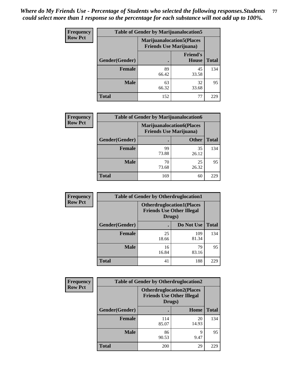| Frequency      | <b>Table of Gender by Marijuanalocation5</b> |                                                                    |                                 |              |
|----------------|----------------------------------------------|--------------------------------------------------------------------|---------------------------------|--------------|
| <b>Row Pct</b> |                                              | <b>Marijuanalocation5(Places</b><br><b>Friends Use Marijuana</b> ) |                                 |              |
|                | Gender(Gender)                               |                                                                    | <b>Friend's</b><br><b>House</b> | <b>Total</b> |
|                | <b>Female</b>                                | 89<br>66.42                                                        | 45<br>33.58                     | 134          |
|                | <b>Male</b>                                  | 63<br>66.32                                                        | 32<br>33.68                     | 95           |
|                | <b>Total</b>                                 | 152                                                                | 77                              | 229          |

| <b>Frequency</b> | <b>Table of Gender by Marijuanalocation6</b> |                                |                                  |              |  |
|------------------|----------------------------------------------|--------------------------------|----------------------------------|--------------|--|
| <b>Row Pct</b>   |                                              | <b>Friends Use Marijuana</b> ) | <b>Marijuanalocation6(Places</b> |              |  |
|                  | <b>Gender</b> (Gender)                       |                                | <b>Other</b>                     | <b>Total</b> |  |
|                  | <b>Female</b>                                | 99<br>73.88                    | 35<br>26.12                      | 134          |  |
|                  | <b>Male</b>                                  | 70<br>73.68                    | 25<br>26.32                      | 95           |  |
|                  | <b>Total</b>                                 | 169                            | 60                               | 229          |  |

| <b>Frequency</b> | <b>Table of Gender by Otherdruglocation1</b> |                                                                                |              |              |
|------------------|----------------------------------------------|--------------------------------------------------------------------------------|--------------|--------------|
| <b>Row Pct</b>   |                                              | <b>Otherdruglocation1(Places</b><br><b>Friends Use Other Illegal</b><br>Drugs) |              |              |
|                  | Gender(Gender)                               |                                                                                | Do Not Use   | <b>Total</b> |
|                  | Female                                       | 25<br>18.66                                                                    | 109<br>81.34 | 134          |
|                  | <b>Male</b>                                  | 16<br>16.84                                                                    | 79<br>83.16  | 95           |
|                  | <b>Total</b>                                 | 41                                                                             | 188          | 229          |

| <b>Frequency</b> | <b>Table of Gender by Otherdruglocation2</b> |                                            |                                   |              |
|------------------|----------------------------------------------|--------------------------------------------|-----------------------------------|--------------|
| <b>Row Pct</b>   |                                              | <b>Friends Use Other Illegal</b><br>Drugs) | <b>Otherdruglocation2(Places)</b> |              |
|                  | Gender(Gender)                               |                                            | <b>Home</b>                       | <b>Total</b> |
|                  | Female                                       | 114<br>85.07                               | 20<br>14.93                       | 134          |
|                  | <b>Male</b>                                  | 86<br>90.53                                | 9<br>9.47                         | 95           |
|                  | <b>Total</b>                                 | 200                                        | 29                                | 229          |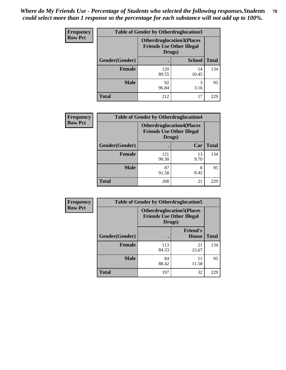| Frequency      | <b>Table of Gender by Otherdruglocation3</b> |                                                                                |               |              |
|----------------|----------------------------------------------|--------------------------------------------------------------------------------|---------------|--------------|
| <b>Row Pct</b> |                                              | <b>Otherdruglocation3(Places</b><br><b>Friends Use Other Illegal</b><br>Drugs) |               |              |
|                | Gender(Gender)                               |                                                                                | <b>School</b> | <b>Total</b> |
|                | <b>Female</b>                                | 120<br>89.55                                                                   | 14<br>10.45   | 134          |
|                | <b>Male</b>                                  | 92<br>96.84                                                                    | 3<br>3.16     | 95           |
|                | <b>Total</b>                                 | 212                                                                            | 17            | 229          |

| Frequency      | <b>Table of Gender by Otherdruglocation4</b> |                                                                                |            |              |
|----------------|----------------------------------------------|--------------------------------------------------------------------------------|------------|--------------|
| <b>Row Pct</b> |                                              | <b>Otherdruglocation4(Places</b><br><b>Friends Use Other Illegal</b><br>Drugs) |            |              |
|                | Gender(Gender)                               |                                                                                | Car        | <b>Total</b> |
|                | <b>Female</b>                                | 121<br>90.30                                                                   | 13<br>9.70 | 134          |
|                | <b>Male</b>                                  | 87<br>91.58                                                                    | 8<br>8.42  | 95           |
|                | <b>Total</b>                                 | 208                                                                            | 21         | 229          |

| <b>Frequency</b> | <b>Table of Gender by Otherdruglocation5</b> |                                                                                |                                 |              |
|------------------|----------------------------------------------|--------------------------------------------------------------------------------|---------------------------------|--------------|
| <b>Row Pct</b>   |                                              | <b>Otherdruglocation5(Places</b><br><b>Friends Use Other Illegal</b><br>Drugs) |                                 |              |
|                  | Gender(Gender)                               |                                                                                | <b>Friend's</b><br><b>House</b> | <b>Total</b> |
|                  | <b>Female</b>                                | 113<br>84.33                                                                   | 21<br>15.67                     | 134          |
|                  | <b>Male</b>                                  | 84<br>88.42                                                                    | 11<br>11.58                     | 95           |
|                  | <b>Total</b>                                 | 197                                                                            | 32                              | 229          |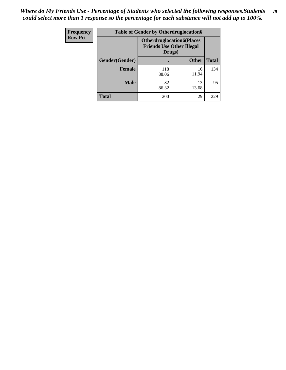| <b>Frequency</b> | <b>Table of Gender by Otherdruglocation6</b> |                                            |                                  |              |
|------------------|----------------------------------------------|--------------------------------------------|----------------------------------|--------------|
| <b>Row Pct</b>   |                                              | <b>Friends Use Other Illegal</b><br>Drugs) | <b>Otherdruglocation6(Places</b> |              |
|                  | Gender(Gender)                               |                                            | <b>Other</b>                     | <b>Total</b> |
|                  | Female                                       | 118<br>88.06                               | 16<br>11.94                      | 134          |
|                  | <b>Male</b>                                  | 82<br>86.32                                | 13<br>13.68                      | 95           |
|                  | <b>Total</b>                                 | 200                                        | 29                               | 229          |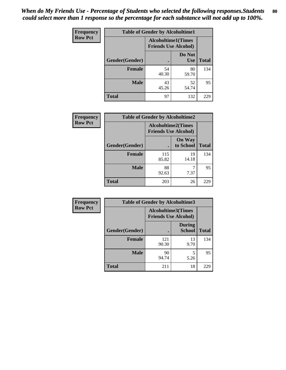| <b>Frequency</b> | <b>Table of Gender by Alcoholtime1</b> |                                                          |                      |              |
|------------------|----------------------------------------|----------------------------------------------------------|----------------------|--------------|
| <b>Row Pct</b>   |                                        | <b>Alcoholtime1(Times</b><br><b>Friends Use Alcohol)</b> |                      |              |
|                  | Gender(Gender)                         | $\bullet$                                                | Do Not<br><b>Use</b> | <b>Total</b> |
|                  | <b>Female</b>                          | 54<br>40.30                                              | 80<br>59.70          | 134          |
|                  | <b>Male</b>                            | 43<br>45.26                                              | 52<br>54.74          | 95           |
|                  | <b>Total</b>                           | 97                                                       | 132                  | 229          |

| Frequency      | <b>Table of Gender by Alcoholtime2</b> |                                                          |                            |              |
|----------------|----------------------------------------|----------------------------------------------------------|----------------------------|--------------|
| <b>Row Pct</b> |                                        | <b>Alcoholtime2(Times</b><br><b>Friends Use Alcohol)</b> |                            |              |
|                | Gender(Gender)                         |                                                          | <b>On Way</b><br>to School | <b>Total</b> |
|                | <b>Female</b>                          | 115<br>85.82                                             | 19<br>14.18                | 134          |
|                | <b>Male</b>                            | 88<br>92.63                                              | 7.37                       | 95           |
|                | <b>Total</b>                           | 203                                                      | 26                         | 229          |

| Frequency      | <b>Table of Gender by Alcoholtime3</b> |                                                          |                                |              |
|----------------|----------------------------------------|----------------------------------------------------------|--------------------------------|--------------|
| <b>Row Pct</b> |                                        | <b>Alcoholtime3(Times</b><br><b>Friends Use Alcohol)</b> |                                |              |
|                | Gender(Gender)                         |                                                          | <b>During</b><br><b>School</b> | <b>Total</b> |
|                | Female                                 | 121<br>90.30                                             | 13<br>9.70                     | 134          |
|                | <b>Male</b>                            | 90<br>94.74                                              | 5<br>5.26                      | 95           |
|                | <b>Total</b>                           | 211                                                      | 18                             | 229          |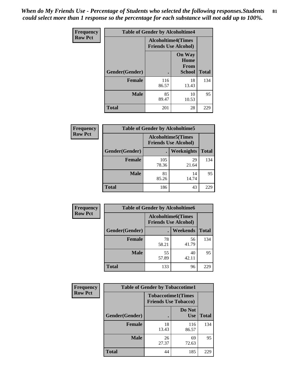*When do My Friends Use - Percentage of Students who selected the following responses.Students could select more than 1 response so the percentage for each substance will not add up to 100%.* **81**

| <b>Frequency</b> | <b>Table of Gender by Alcoholtime4</b> |                                                          |                                                |              |
|------------------|----------------------------------------|----------------------------------------------------------|------------------------------------------------|--------------|
| <b>Row Pct</b>   |                                        | <b>Alcoholtime4(Times</b><br><b>Friends Use Alcohol)</b> |                                                |              |
|                  | Gender(Gender)                         |                                                          | <b>On Way</b><br>Home<br>From<br><b>School</b> | <b>Total</b> |
|                  | <b>Female</b>                          | 116<br>86.57                                             | 18<br>13.43                                    | 134          |
|                  | <b>Male</b>                            | 85<br>89.47                                              | 10<br>10.53                                    | 95           |
|                  | <b>Total</b>                           | 201                                                      | 28                                             | 229          |

| <b>Frequency</b> | <b>Table of Gender by Alcoholtime5</b> |                                                           |                   |              |
|------------------|----------------------------------------|-----------------------------------------------------------|-------------------|--------------|
| <b>Row Pct</b>   |                                        | <b>Alcoholtime5</b> (Times<br><b>Friends Use Alcohol)</b> |                   |              |
|                  | Gender(Gender)                         |                                                           | <b>Weeknights</b> | <b>Total</b> |
|                  | <b>Female</b>                          | 105<br>78.36                                              | 29<br>21.64       | 134          |
|                  | <b>Male</b>                            | 81<br>85.26                                               | 14<br>14.74       | 95           |
|                  | <b>Total</b>                           | 186                                                       | 43                | 229          |

| <b>Frequency</b> | <b>Table of Gender by Alcoholtime6</b> |             |                                                          |              |  |
|------------------|----------------------------------------|-------------|----------------------------------------------------------|--------------|--|
| <b>Row Pct</b>   |                                        |             | <b>Alcoholtime6(Times</b><br><b>Friends Use Alcohol)</b> |              |  |
|                  | Gender(Gender)                         |             | Weekends                                                 | <b>Total</b> |  |
|                  | Female                                 | 78<br>58.21 | 56<br>41.79                                              | 134          |  |
|                  | <b>Male</b>                            | 55<br>57.89 | 40<br>42.11                                              | 95           |  |
|                  | <b>Total</b>                           | 133         | 96                                                       | 229          |  |

| Frequency      | <b>Table of Gender by Tobaccotime1</b> |                                                          |                      |              |
|----------------|----------------------------------------|----------------------------------------------------------|----------------------|--------------|
| <b>Row Pct</b> |                                        | <b>Tobaccotime1(Times</b><br><b>Friends Use Tobacco)</b> |                      |              |
|                | Gender(Gender)                         |                                                          | Do Not<br><b>Use</b> | <b>Total</b> |
|                | <b>Female</b>                          | 18<br>13.43                                              | 116<br>86.57         | 134          |
|                | <b>Male</b>                            | 26<br>27.37                                              | 69<br>72.63          | 95           |
|                | <b>Total</b>                           | 44                                                       | 185                  | 229          |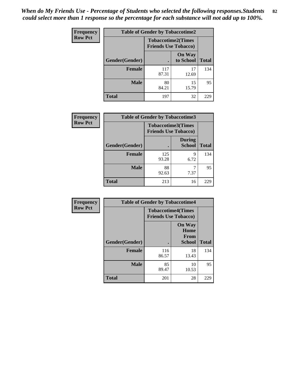*When do My Friends Use - Percentage of Students who selected the following responses.Students could select more than 1 response so the percentage for each substance will not add up to 100%.* **82**

| <b>Frequency</b> | <b>Table of Gender by Tobaccotime2</b> |                                                          |                            |              |
|------------------|----------------------------------------|----------------------------------------------------------|----------------------------|--------------|
| <b>Row Pct</b>   |                                        | <b>Tobaccotime2(Times</b><br><b>Friends Use Tobacco)</b> |                            |              |
|                  | Gender(Gender)                         | $\bullet$                                                | <b>On Way</b><br>to School | <b>Total</b> |
|                  | Female                                 | 117<br>87.31                                             | 17<br>12.69                | 134          |
|                  | <b>Male</b>                            | 80<br>84.21                                              | 15<br>15.79                | 95           |
|                  | <b>Total</b>                           | 197                                                      | 32                         | 229          |

| Frequency      | <b>Table of Gender by Tobaccotime3</b> |                                                          |                                |              |
|----------------|----------------------------------------|----------------------------------------------------------|--------------------------------|--------------|
| <b>Row Pct</b> |                                        | <b>Tobaccotime3(Times</b><br><b>Friends Use Tobacco)</b> |                                |              |
|                | Gender(Gender)                         |                                                          | <b>During</b><br><b>School</b> | <b>Total</b> |
|                | <b>Female</b>                          | 125<br>93.28                                             | 9<br>6.72                      | 134          |
|                | <b>Male</b>                            | 88<br>92.63                                              | 7.37                           | 95           |
|                | <b>Total</b>                           | 213                                                      | 16                             | 229          |

| <b>Frequency</b> | <b>Table of Gender by Tobaccotime4</b> |                                                          |                                                       |              |
|------------------|----------------------------------------|----------------------------------------------------------|-------------------------------------------------------|--------------|
| <b>Row Pct</b>   |                                        | <b>Tobaccotime4(Times</b><br><b>Friends Use Tobacco)</b> |                                                       |              |
|                  | Gender(Gender)                         |                                                          | <b>On Way</b><br>Home<br><b>From</b><br><b>School</b> | <b>Total</b> |
|                  | <b>Female</b>                          | 116<br>86.57                                             | 18<br>13.43                                           | 134          |
|                  | <b>Male</b>                            | 85<br>89.47                                              | 10<br>10.53                                           | 95           |
|                  | <b>Total</b>                           | 201                                                      | 28                                                    | 229          |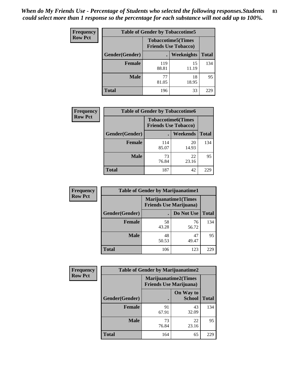| <b>Frequency</b> | <b>Table of Gender by Tobaccotime5</b> |              |                                                           |              |  |
|------------------|----------------------------------------|--------------|-----------------------------------------------------------|--------------|--|
| <b>Row Pct</b>   |                                        |              | <b>Tobaccotime5</b> (Times<br><b>Friends Use Tobacco)</b> |              |  |
|                  | Gender(Gender)                         |              | Weeknights                                                | <b>Total</b> |  |
|                  | <b>Female</b>                          | 119<br>88.81 | 15<br>11.19                                               | 134          |  |
|                  | <b>Male</b>                            | 77<br>81.05  | 18<br>18.95                                               | 95           |  |
|                  | Total                                  | 196          | 33                                                        | 229          |  |

| <b>Frequency</b> | <b>Table of Gender by Tobaccotime6</b> |                             |                           |              |
|------------------|----------------------------------------|-----------------------------|---------------------------|--------------|
| <b>Row Pct</b>   |                                        | <b>Friends Use Tobacco)</b> | <b>Tobaccotime6(Times</b> |              |
|                  | Gender(Gender)                         |                             | Weekends                  | <b>Total</b> |
|                  | Female                                 | 114<br>85.07                | 20<br>14.93               | 134          |
|                  | <b>Male</b>                            | 73<br>76.84                 | 22<br>23.16               | 95           |
|                  | <b>Total</b>                           | 187                         | 42                        | 229          |

| Frequency      | <b>Table of Gender by Marijuanatime1</b> |                                                               |             |              |  |
|----------------|------------------------------------------|---------------------------------------------------------------|-------------|--------------|--|
| <b>Row Pct</b> |                                          | <b>Marijuanatime1(Times</b><br><b>Friends Use Marijuana</b> ) |             |              |  |
|                | Gender(Gender)                           |                                                               | Do Not Use  | <b>Total</b> |  |
|                | <b>Female</b>                            | 58<br>43.28                                                   | 76<br>56.72 | 134          |  |
|                | <b>Male</b>                              | 48<br>50.53                                                   | 47<br>49.47 | 95           |  |
|                | <b>Total</b>                             | 106                                                           | 123         | 229          |  |

| <b>Frequency</b> | <b>Table of Gender by Marijuanatime2</b> |                                |                             |              |
|------------------|------------------------------------------|--------------------------------|-----------------------------|--------------|
| <b>Row Pct</b>   |                                          | <b>Friends Use Marijuana</b> ) | <b>Marijuanatime2(Times</b> |              |
|                  | Gender(Gender)                           |                                | On Way to<br><b>School</b>  | <b>Total</b> |
|                  | <b>Female</b>                            | 91<br>67.91                    | 43<br>32.09                 | 134          |
|                  | <b>Male</b>                              | 73<br>76.84                    | 22<br>23.16                 | 95           |
|                  | <b>Total</b>                             | 164                            | 65                          | 229          |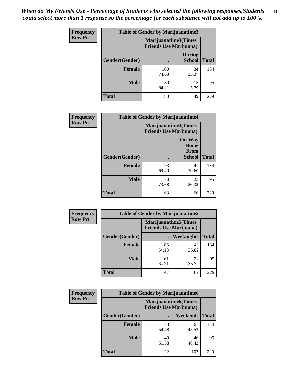| Frequency      | <b>Table of Gender by Marijuanatime3</b> |                                                        |                                |              |
|----------------|------------------------------------------|--------------------------------------------------------|--------------------------------|--------------|
| <b>Row Pct</b> |                                          | Marijuanatime3(Times<br><b>Friends Use Marijuana</b> ) |                                |              |
|                | Gender(Gender)                           |                                                        | <b>During</b><br><b>School</b> | <b>Total</b> |
|                | <b>Female</b>                            | 100<br>74.63                                           | 34<br>25.37                    | 134          |
|                | <b>Male</b>                              | 80<br>84.21                                            | 15<br>15.79                    | 95           |
|                | <b>Total</b>                             | 180                                                    | 49                             | 229          |

| Frequency      | <b>Table of Gender by Marijuanatime4</b> |                                                               |                                                |              |
|----------------|------------------------------------------|---------------------------------------------------------------|------------------------------------------------|--------------|
| <b>Row Pct</b> |                                          | <b>Marijuanatime4(Times</b><br><b>Friends Use Marijuana</b> ) |                                                |              |
|                | Gender(Gender)                           |                                                               | <b>On Way</b><br>Home<br>From<br><b>School</b> | <b>Total</b> |
|                | <b>Female</b>                            | 93<br>69.40                                                   | 41<br>30.60                                    | 134          |
|                | <b>Male</b>                              | 70<br>73.68                                                   | 25<br>26.32                                    | 95           |
|                | <b>Total</b>                             | 163                                                           | 66                                             | 229          |

| Frequency      | <b>Table of Gender by Marijuanatime5</b> |             |                                                                |              |  |
|----------------|------------------------------------------|-------------|----------------------------------------------------------------|--------------|--|
| <b>Row Pct</b> |                                          |             | <b>Marijuanatime5</b> (Times<br><b>Friends Use Marijuana</b> ) |              |  |
|                | Gender(Gender)                           |             | Weeknights                                                     | <b>Total</b> |  |
|                | <b>Female</b>                            | 86<br>64.18 | 48<br>35.82                                                    | 134          |  |
|                | <b>Male</b>                              | 61<br>64.21 | 34<br>35.79                                                    | 95           |  |
|                | <b>Total</b>                             | 147         | 82                                                             | 229          |  |

| Frequency      | <b>Table of Gender by Marijuanatime6</b> |                                                               |                 |              |  |
|----------------|------------------------------------------|---------------------------------------------------------------|-----------------|--------------|--|
| <b>Row Pct</b> |                                          | <b>Marijuanatime6(Times</b><br><b>Friends Use Marijuana</b> ) |                 |              |  |
|                | Gender(Gender)                           |                                                               | <b>Weekends</b> | <b>Total</b> |  |
|                | <b>Female</b>                            | 73<br>54.48                                                   | 61<br>45.52     | 134          |  |
|                | <b>Male</b>                              | 49<br>51.58                                                   | 46<br>48.42     | 95           |  |
|                | <b>Total</b>                             | 122                                                           | 107             | 229          |  |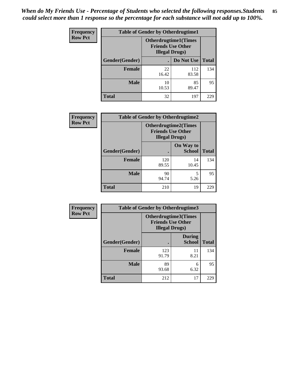*When do My Friends Use - Percentage of Students who selected the following responses.Students could select more than 1 response so the percentage for each substance will not add up to 100%.* **85**

| <b>Frequency</b> | <b>Table of Gender by Otherdrugtime1</b> |                                                                                    |              |              |
|------------------|------------------------------------------|------------------------------------------------------------------------------------|--------------|--------------|
| <b>Row Pct</b>   |                                          | <b>Otherdrugtime1</b> (Times<br><b>Friends Use Other</b><br><b>Illegal Drugs</b> ) |              |              |
|                  | Gender(Gender)                           |                                                                                    | Do Not Use   | <b>Total</b> |
|                  | Female                                   | 22<br>16.42                                                                        | 112<br>83.58 | 134          |
|                  | <b>Male</b>                              | 10<br>10.53                                                                        | 85<br>89.47  | 95           |
|                  | <b>Total</b>                             | 32                                                                                 | 197          | 229          |

| Frequency      | <b>Table of Gender by Otherdrugtime2</b> |                                                    |                             |              |
|----------------|------------------------------------------|----------------------------------------------------|-----------------------------|--------------|
| <b>Row Pct</b> |                                          | <b>Friends Use Other</b><br><b>Illegal Drugs</b> ) | <b>Otherdrugtime2(Times</b> |              |
|                | Gender(Gender)                           |                                                    | On Way to<br><b>School</b>  | <b>Total</b> |
|                | <b>Female</b>                            | 120<br>89.55                                       | 14<br>10.45                 | 134          |
|                | <b>Male</b>                              | 90<br>94.74                                        | 5<br>5.26                   | 95           |
|                | <b>Total</b>                             | 210                                                | 19                          | 229          |

| Frequency      | <b>Table of Gender by Otherdrugtime3</b> |                        |                                                         |              |
|----------------|------------------------------------------|------------------------|---------------------------------------------------------|--------------|
| <b>Row Pct</b> |                                          | <b>Illegal Drugs</b> ) | <b>Otherdrugtime3(Times</b><br><b>Friends Use Other</b> |              |
|                | Gender(Gender)                           |                        | <b>During</b><br><b>School</b>                          | <b>Total</b> |
|                | <b>Female</b>                            | 123<br>91.79           | 11<br>8.21                                              | 134          |
|                | <b>Male</b>                              | 89<br>93.68            | 6<br>6.32                                               | 95           |
|                | <b>Total</b>                             | 212                    | 17                                                      | 229          |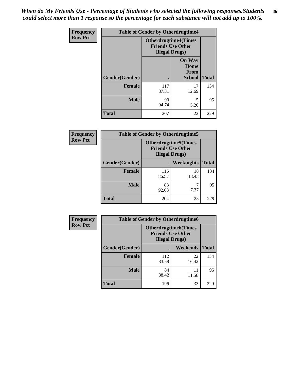*When do My Friends Use - Percentage of Students who selected the following responses.Students could select more than 1 response so the percentage for each substance will not add up to 100%.* **86**

| <b>Frequency</b> | <b>Table of Gender by Otherdrugtime4</b> |                                                       |                                                       |              |
|------------------|------------------------------------------|-------------------------------------------------------|-------------------------------------------------------|--------------|
| <b>Row Pct</b>   |                                          | <b>Otherdrugtime4(Times</b><br><b>Illegal Drugs</b> ) | <b>Friends Use Other</b>                              |              |
|                  | Gender(Gender)                           |                                                       | <b>On Way</b><br>Home<br><b>From</b><br><b>School</b> | <b>Total</b> |
|                  | <b>Female</b>                            | 117<br>87.31                                          | 17<br>12.69                                           | 134          |
|                  | <b>Male</b>                              | 90<br>94.74                                           | 5<br>5.26                                             | 95           |
|                  | <b>Total</b>                             | 207                                                   | 22                                                    | 229          |

| Frequency      | <b>Table of Gender by Otherdrugtime5</b> |                                                                                    |             |              |
|----------------|------------------------------------------|------------------------------------------------------------------------------------|-------------|--------------|
| <b>Row Pct</b> |                                          | <b>Otherdrugtime5</b> (Times<br><b>Friends Use Other</b><br><b>Illegal Drugs</b> ) |             |              |
|                | Gender(Gender)                           |                                                                                    | Weeknights  | <b>Total</b> |
|                | <b>Female</b>                            | 116<br>86.57                                                                       | 18<br>13.43 | 134          |
|                | <b>Male</b>                              | 88<br>92.63                                                                        | 7.37        | 95           |
|                | <b>Total</b>                             | 204                                                                                | 25          | 229          |

| <b>Frequency</b> | <b>Table of Gender by Otherdrugtime6</b> |                                                                                   |             |              |  |
|------------------|------------------------------------------|-----------------------------------------------------------------------------------|-------------|--------------|--|
| <b>Row Pct</b>   |                                          | <b>Otherdrugtime6(Times</b><br><b>Friends Use Other</b><br><b>Illegal Drugs</b> ) |             |              |  |
|                  | Gender(Gender)                           |                                                                                   | Weekends    | <b>Total</b> |  |
|                  | <b>Female</b>                            | 112<br>83.58                                                                      | 22<br>16.42 | 134          |  |
|                  | <b>Male</b>                              | 84<br>88.42                                                                       | 11<br>11.58 | 95           |  |
|                  | <b>Total</b>                             | 196                                                                               | 33          | 229          |  |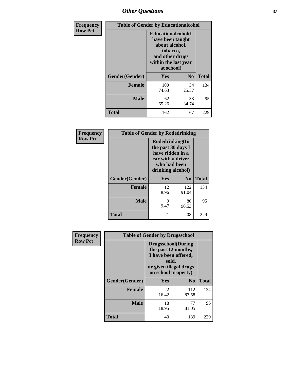# *Other Questions* **87**

| <b>Frequency</b> | <b>Table of Gender by Educationalcohol</b> |                                                                                                                                       |                |              |
|------------------|--------------------------------------------|---------------------------------------------------------------------------------------------------------------------------------------|----------------|--------------|
| <b>Row Pct</b>   |                                            | <b>Educationalcohol</b> (I<br>have been taught<br>about alcohol,<br>tobacco,<br>and other drugs<br>within the last year<br>at school) |                |              |
|                  | Gender(Gender)                             | <b>Yes</b>                                                                                                                            | N <sub>0</sub> | <b>Total</b> |
|                  | <b>Female</b>                              | 100<br>74.63                                                                                                                          | 34<br>25.37    | 134          |
|                  | <b>Male</b>                                | 62<br>65.26                                                                                                                           | 33<br>34.74    | 95           |
|                  | <b>Total</b>                               | 162                                                                                                                                   | 67             | 229          |

| Frequency      | <b>Table of Gender by Rodedrinking</b> |                                                                                                                     |              |              |  |
|----------------|----------------------------------------|---------------------------------------------------------------------------------------------------------------------|--------------|--------------|--|
| <b>Row Pct</b> |                                        | Rodedrinking(In<br>the past 30 days I<br>have ridden in a<br>car with a driver<br>who had been<br>drinking alcohol) |              |              |  |
|                | Gender(Gender)                         | Yes                                                                                                                 | $\bf N_0$    | <b>Total</b> |  |
|                | <b>Female</b>                          | 12<br>8.96                                                                                                          | 122<br>91.04 | 134          |  |
|                | <b>Male</b>                            | 9<br>9.47                                                                                                           | 86<br>90.53  | 95           |  |
|                | <b>Total</b>                           | 21                                                                                                                  | 208          | 229          |  |

| Frequency      | <b>Table of Gender by Drugsschool</b> |                                                                                                                                     |                |              |  |
|----------------|---------------------------------------|-------------------------------------------------------------------------------------------------------------------------------------|----------------|--------------|--|
| <b>Row Pct</b> |                                       | <b>Drugsschool</b> (During<br>the past 12 months,<br>I have been offered,<br>sold,<br>or given illegal drugs<br>on school property) |                |              |  |
|                | Gender(Gender)                        | Yes                                                                                                                                 | N <sub>0</sub> | <b>Total</b> |  |
|                | <b>Female</b>                         | 22<br>16.42                                                                                                                         | 112<br>83.58   | 134          |  |
|                | <b>Male</b>                           | 18<br>18.95                                                                                                                         | 77<br>81.05    | 95           |  |
|                | <b>Total</b>                          | 40                                                                                                                                  | 189            | 229          |  |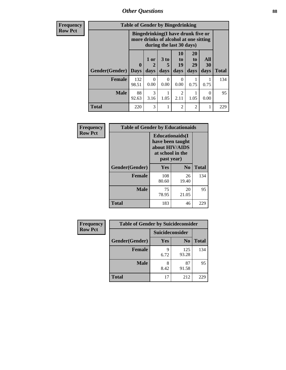*Other Questions* **88**

**Frequency Row Pct**

| <b>Table of Gender by Bingedrinking</b> |                         |                                                                                                         |                   |                        |                        |                   |              |
|-----------------------------------------|-------------------------|---------------------------------------------------------------------------------------------------------|-------------------|------------------------|------------------------|-------------------|--------------|
|                                         |                         | Bingedrinking(I have drunk five or<br>more drinks of alcohol at one sitting<br>during the last 30 days) |                   |                        |                        |                   |              |
| Gender(Gender)                          | $\bf{0}$<br><b>Days</b> | 1 or<br>2<br>days                                                                                       | 3 to<br>5<br>days | 10<br>to<br>19<br>days | 20<br>to<br>29<br>days | All<br>30<br>days | <b>Total</b> |
| <b>Female</b>                           | 132<br>98.51            | 0<br>0.00                                                                                               | 0<br>0.00         | $\mathbf{0}$<br>0.00   | 0.75                   | 0.75              | 134          |
| <b>Male</b>                             | 88                      | 3                                                                                                       |                   | 2                      |                        | $\theta$          | 95           |
|                                         | 92.63                   | 3.16                                                                                                    | 1.05              | 2.11                   | 1.05                   | 0.00              |              |

| Frequency      | <b>Table of Gender by Educationaids</b> |                                                                                                 |             |              |  |
|----------------|-----------------------------------------|-------------------------------------------------------------------------------------------------|-------------|--------------|--|
| <b>Row Pct</b> |                                         | <b>Educationaids</b> (I<br>have been taught<br>about HIV/AIDS<br>at school in the<br>past year) |             |              |  |
|                | Gender(Gender)                          | Yes                                                                                             | $\bf N_0$   | <b>Total</b> |  |
|                | <b>Female</b>                           | 108<br>80.60                                                                                    | 26<br>19.40 | 134          |  |
|                | <b>Male</b>                             | 75<br>78.95                                                                                     | 20<br>21.05 | 95           |  |
|                | <b>Total</b>                            | 183                                                                                             | 46          | 229          |  |

| <b>Frequency</b> | <b>Table of Gender by Suicideconsider</b> |                 |                |              |  |
|------------------|-------------------------------------------|-----------------|----------------|--------------|--|
| <b>Row Pct</b>   |                                           | Suicideconsider |                |              |  |
|                  | Gender(Gender)                            | Yes             | N <sub>0</sub> | <b>Total</b> |  |
|                  | <b>Female</b>                             | q<br>6.72       | 125<br>93.28   | 134          |  |
|                  | <b>Male</b>                               | 8.42            | 87<br>91.58    | 95           |  |
|                  | <b>Total</b>                              | 17              | 212            | 229          |  |